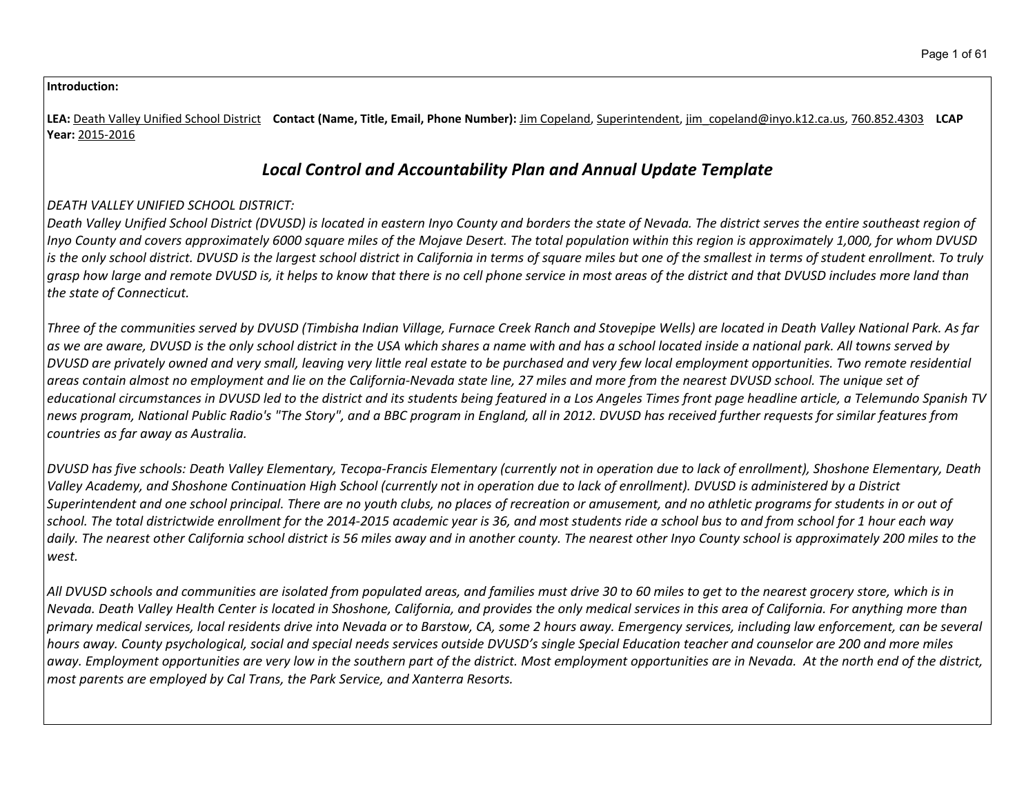#### **Introduction:**

**LEA:** Death Valley Unified School District **Contact (Name, Title, Email, Phone Number):** Jim Copeland, Superintendent, jim\_copeland@inyo.k12.ca.us, 760.852.4303 **LCAP Year:** 2015-2016

# *Local Control and Accountability Plan and Annual Update Template*

## *DEATH VALLEY UNIFIED SCHOOL DISTRICT:*

Death Valley Unified School District (DVUSD) is located in eastern Inyo County and borders the state of Nevada. The district serves the entire southeast reaion of Inyo County and covers approximately 6000 square miles of the Mojave Desert. The total population within this region is approximately 1,000, for whom DVUSD is the only school district. DVUSD is the largest school district in California in terms of square miles but one of the smallest in terms of student enrollment. To truly grasp how large and remote DVUSD is, it helps to know that there is no cell phone service in most areas of the district and that DVUSD includes more land than *the state of Connecticut.*

Three of the communities served by DVUSD (Timbisha Indian Village, Furnace Creek Ranch and Stovepipe Wells) are located in Death Valley National Park. As far as we are aware, DVUSD is the only school district in the USA which shares a name with and has a school located inside a national park. All towns served by DVUSD are privately owned and very small, leaving very little real estate to be purchased and very few local employment opportunities. Two remote residential areas contain almost no employment and lie on the California-Nevada state line, 27 miles and more from the nearest DVUSD school. The unique set of educational circumstances in DVUSD led to the district and its students being featured in a Los Angeles Times front page headline article, a Telemundo Spanish TV news program, National Public Radio's "The Story", and a BBC program in England, all in 2012. DVUSD has received further requests for similar features from *countries as far away as Australia.*

DVUSD has five schools: Death Valley Elementary, Tecopa-Francis Elementary (currently not in operation due to lack of enrollment), Shoshone Elementary, Death Valley Academy, and Shoshone Continuation High School (currently not in operation due to lack of enrollment). DVUSD is administered by a District Superintendent and one school principal. There are no youth clubs, no places of recreation or amusement, and no athletic programs for students in or out of school. The total districtwide enrollment for the 2014-2015 academic year is 36, and most students ride a school bus to and from school for 1 hour each way daily. The nearest other California school district is 56 miles away and in another county. The nearest other Inyo County school is approximately 200 miles to the *west.*

All DVUSD schools and communities are isolated from populated areas, and families must drive 30 to 60 miles to get to the nearest grocery store, which is in Nevada. Death Valley Health Center is located in Shoshone, California, and provides the only medical services in this area of California. For anything more than primary medical services, local residents drive into Nevada or to Barstow, CA, some 2 hours away. Emergency services, including law enforcement, can be several hours away. County psychological, social and special needs services outside DVUSD's single Special Education teacher and counselor are 200 and more miles away. Employment opportunities are very low in the southern part of the district. Most employment opportunities are in Nevada. At the north end of the district, *most parents are employed by Cal Trans, the Park Service, and Xanterra Resorts.*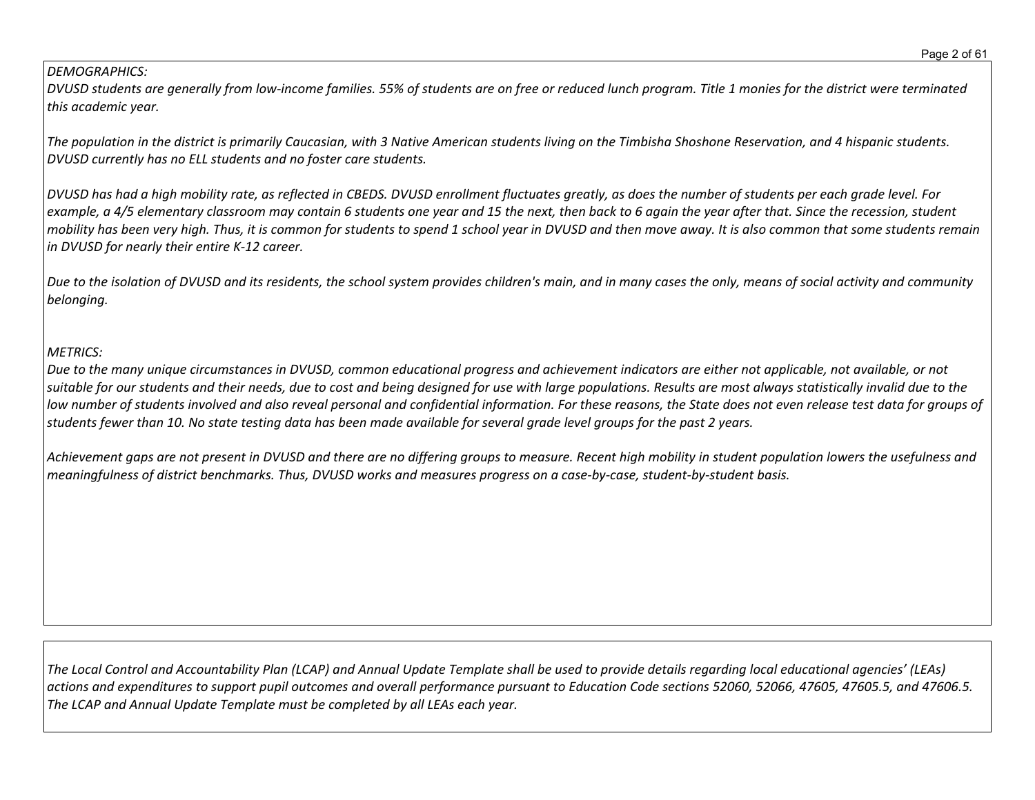#### *DEMOGRAPHICS:*

DVUSD students are generally from low-income families. 55% of students are on free or reduced lunch program. Title 1 monies for the district were terminated *this academic year.*

The population in the district is primarily Caucasian, with 3 Native American students living on the Timbisha Shoshone Reservation, and 4 hispanic students. *DVUSD currently has no ELL students and no foster care students.*

DVUSD has had a high mobility rate, as reflected in CBEDS. DVUSD enrollment fluctuates greatly, as does the number of students per each grade level. For example, a 4/5 elementary classroom may contain 6 students one year and 15 the next, then back to 6 again the year after that. Since the recession, student mobility has been very high. Thus, it is common for students to spend 1 school year in DVUSD and then move away. It is also common that some students remain *in DVUSD for nearly their entire K-12 career.*

Due to the isolation of DVUSD and its residents, the school system provides children's main, and in many cases the only, means of social activity and community *belonging.*

## *METRICS:*

Due to the many unique circumstances in DVUSD, common educational progress and achievement indicators are either not applicable, not available, or not suitable for our students and their needs, due to cost and being designed for use with large populations. Results are most always statistically invalid due to the low number of students involved and also reveal personal and confidential information. For these reasons, the State does not even release test data for groups of students fewer than 10. No state testing data has been made available for several grade level groups for the past 2 years.

Achievement gaps are not present in DVUSD and there are no differing groups to measure. Recent high mobility in student population lowers the usefulness and meaningfulness of district benchmarks. Thus, DVUSD works and measures progress on a case-by-case, student-by-student basis.

The Local Control and Accountability Plan (LCAP) and Annual Update Template shall be used to provide details regarding local educational agencies' (LEAs) actions and expenditures to support pupil outcomes and overall performance pursuant to Education Code sections 52060, 52066, 47605, 47605.5, and 47606.5. *The LCAP and Annual Update Template must be completed by all LEAs each year.*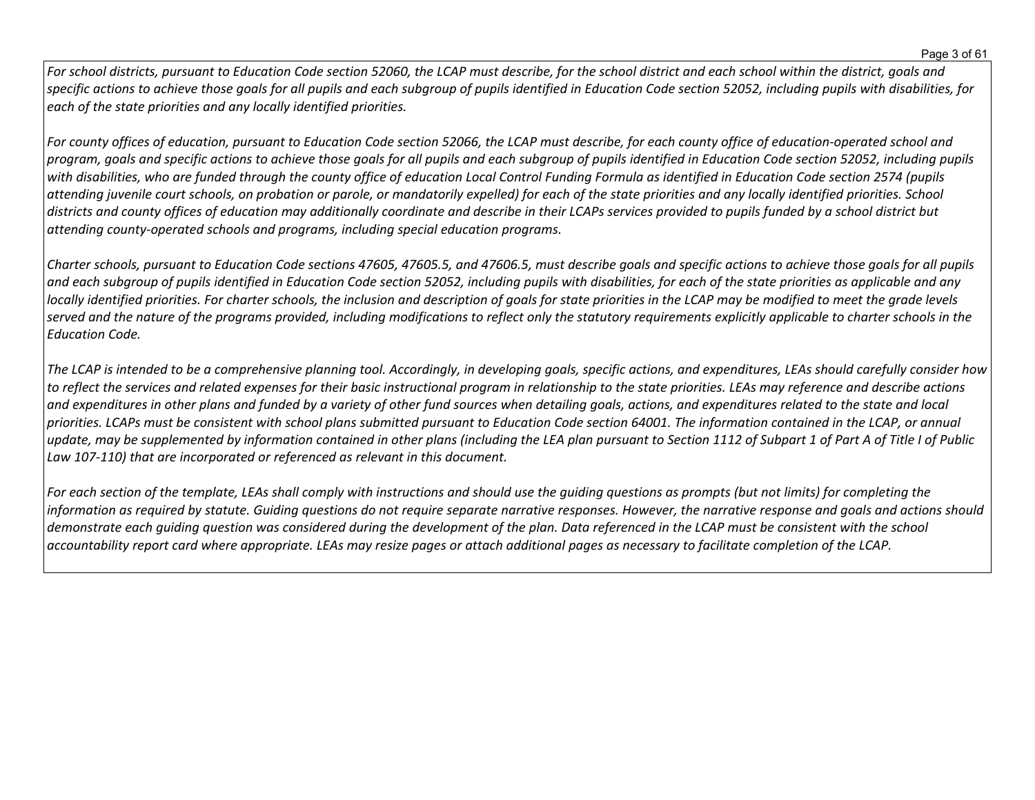For school districts, pursuant to Education Code section 52060, the LCAP must describe, for the school district and each school within the district, goals and specific actions to achieve those goals for all pupils and each subgroup of pupils identified in Education Code section 52052, including pupils with disabilities, for *each of the state priorities and any locally identified priorities.*

For county offices of education, pursuant to Education Code section 52066, the LCAP must describe, for each county office of education-operated school and program, goals and specific actions to achieve those goals for all pupils and each subgroup of pupils identified in Education Code section 52052, including pupils with disabilities, who are funded through the county office of education Local Control Funding Formula as identified in Education Code section 2574 (pupils attending juvenile court schools, on probation or parole, or mandatorily expelled) for each of the state priorities and any locally identified priorities. School districts and county offices of education may additionally coordinate and describe in their LCAPs services provided to pupils funded by a school district but *attending county-operated schools and programs, including special education programs.*

Charter schools, pursuant to Education Code sections 47605, 47605.5, and 47606.5, must describe goals and specific actions to achieve those goals for all pupils and each subgroup of pupils identified in Education Code section 52052, including pupils with disabilities, for each of the state priorities as applicable and any locally identified priorities. For charter schools, the inclusion and description of goals for state priorities in the LCAP may be modified to meet the grade levels served and the nature of the programs provided, including modifications to reflect only the statutory requirements explicitly applicable to charter schools in the *Education Code.*

The LCAP is intended to be a comprehensive planning tool. Accordingly, in developing goals, specific actions, and expenditures, LEAs should carefully consider how to reflect the services and related expenses for their basic instructional program in relationship to the state priorities. LEAs may reference and describe actions and expenditures in other plans and funded by a variety of other fund sources when detailing goals, actions, and expenditures related to the state and local priorities. LCAPs must be consistent with school plans submitted pursuant to Education Code section 64001. The information contained in the LCAP, or annual update, may be supplemented by information contained in other plans (including the LEA plan pursuant to Section 1112 of Subpart 1 of Part A of Title I of Public *Law 107-110) that are incorporated or referenced as relevant in this document.* 

For each section of the template, LEAs shall comply with instructions and should use the quiding questions as prompts (but not limits) for completing the information as required by statute. Guiding questions do not require separate narrative responses. However, the narrative response and goals and actions should demonstrate each quiding question was considered during the development of the plan. Data referenced in the LCAP must be consistent with the school accountability report card where appropriate. LEAs may resize pages or attach additional pages as necessary to facilitate completion of the LCAP.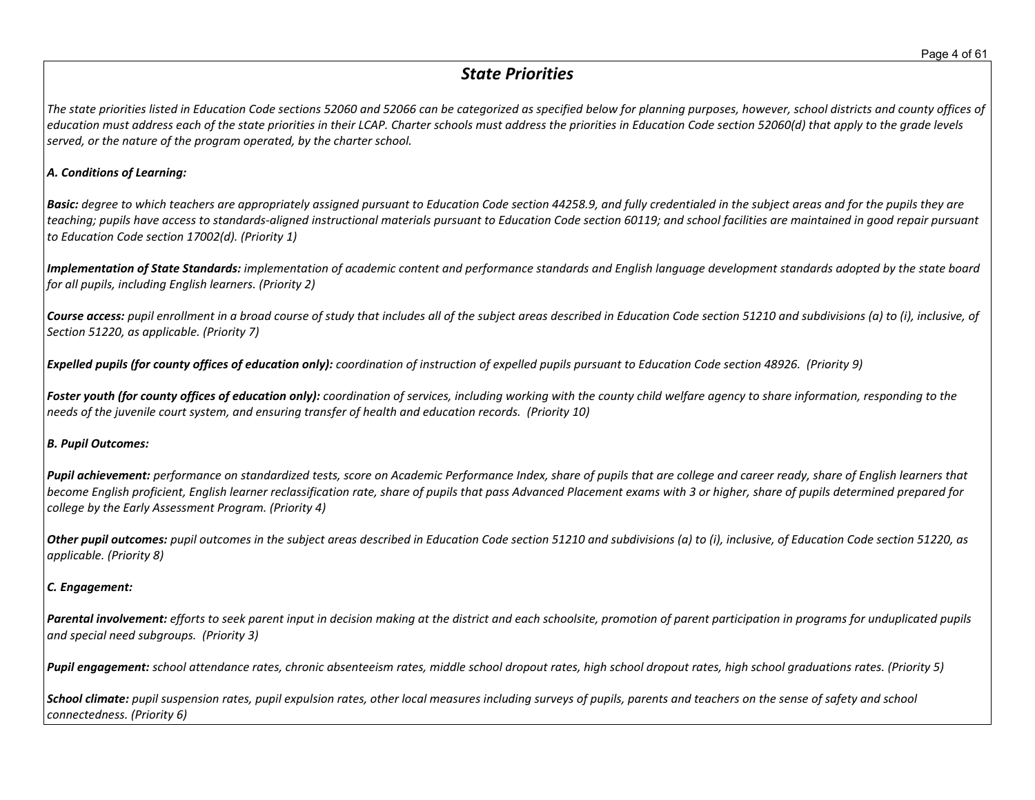## *State Priorities*

The state priorities listed in Education Code sections 52060 and 52066 can be categorized as specified below for planning purposes, however, school districts and county offices of education must address each of the state priorities in their LCAP. Charter schools must address the priorities in Education Code section 52060(d) that apply to the grade levels *served, or the nature of the program operated, by the charter school.*

#### *A. Conditions of Learning:*

**Basic:** degree to which teachers are appropriately assigned pursuant to Education Code section 44258.9, and fully credentialed in the subject areas and for the pupils they are teaching; pupils have access to standards-aligned instructional materials pursuant to Education Code section 60119; and school facilities are maintained in good repair pursuant *to Education Code section 17002(d). (Priority 1)*

Implementation of State Standards: implementation of academic content and performance standards and English language development standards adopted by the state board *for all pupils, including English learners. (Priority 2)*

Course access: pupil enrollment in a broad course of study that includes all of the subject areas described in Education Code section 51210 and subdivisions (a) to (i), inclusive, of *Section 51220, as applicable. (Priority 7)*

Expelled pupils (for county offices of education only): coordination of instruction of expelled pupils pursuant to Education Code section 48926. (Priority 9)

Foster youth (for county offices of education only): coordination of services, including working with the county child welfare agency to share information, responding to the *needs of the juvenile court system, and ensuring transfer of health and education records. (Priority 10)*

#### *B. Pupil Outcomes:*

Pupil achievement: performance on standardized tests, score on Academic Performance Index, share of pupils that are college and career ready, share of English learners that become English proficient, English learner reclassification rate, share of pupils that pass Advanced Placement exams with 3 or higher, share of pupils determined prepared for *college by the Early Assessment Program. (Priority 4)*

Other pupil outcomes: pupil outcomes in the subject areas described in Education Code section 51210 and subdivisions (a) to (i), inclusive, of Education Code section 51220, as *applicable. (Priority 8)* 

#### *C. Engagement:*

Parental involvement: efforts to seek parent input in decision making at the district and each schoolsite, promotion of parent participation in programs for unduplicated pupils *and special need subgroups. (Priority 3)*

Pupil engagement: school attendance rates, chronic absenteeism rates, middle school dropout rates, high school dropout rates, high school graduations rates. (Priority 5)

School climate: pupil suspension rates, pupil expulsion rates, other local measures including surveys of pupils, parents and teachers on the sense of safety and school *connectedness. (Priority 6)*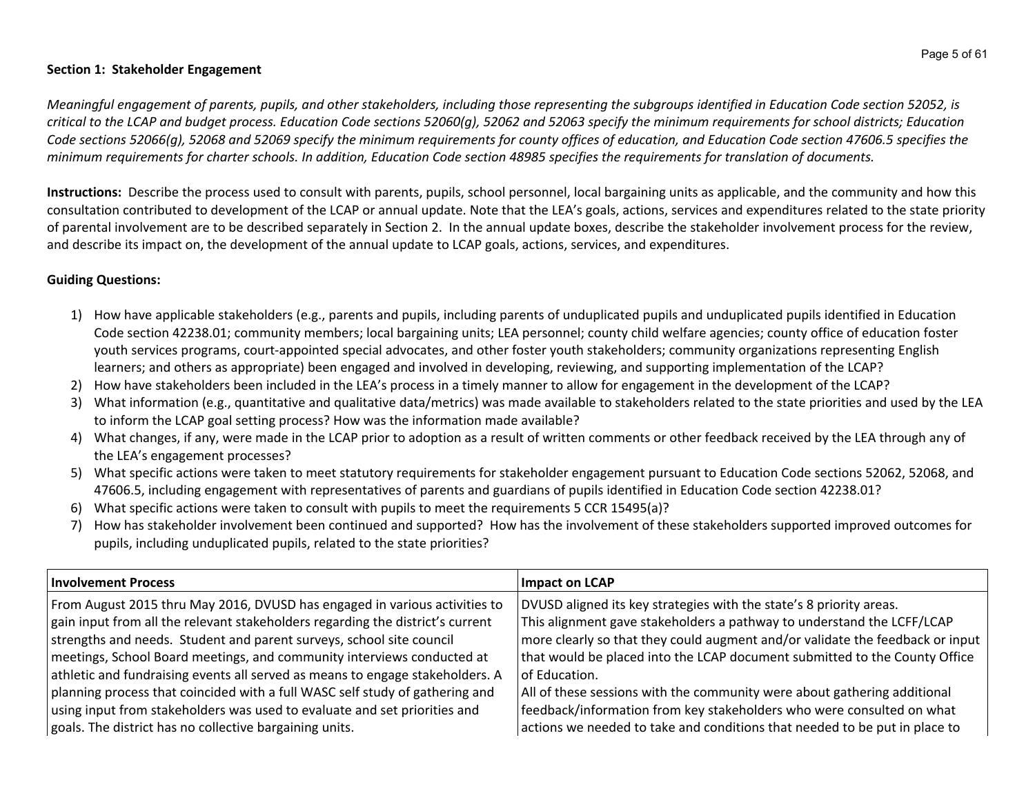#### **Section 1: Stakeholder Engagement**

Meaningful engagement of parents, pupils, and other stakeholders, including those representing the subgroups identified in Education Code section 52052, is critical to the LCAP and budget process. Education Code sections 52060(g), 52062 and 52063 specify the minimum requirements for school districts; Education Code sections 52066(g), 52068 and 52069 specify the minimum requirements for county offices of education, and Education Code section 47606.5 specifies the minimum requirements for charter schools. In addition, Education Code section 48985 specifies the requirements for translation of documents.

**Instructions:** Describe the process used to consult with parents, pupils, school personnel, local bargaining units as applicable, and the community and how this consultation contributed to development of the LCAP or annual update. Note that the LEA's goals, actions, services and expenditures related to the state priority of parental involvement are to be described separately in Section 2. In the annual update boxes, describe the stakeholder involvement process for the review, and describe its impact on, the development of the annual update to LCAP goals, actions, services, and expenditures.

## **Guiding Questions:**

- 1) How have applicable stakeholders (e.g., parents and pupils, including parents of unduplicated pupils and unduplicated pupils identified in Education Code section 42238.01; community members; local bargaining units; LEA personnel; county child welfare agencies; county office of education foster youth services programs, court-appointed special advocates, and other foster youth stakeholders; community organizations representing English learners; and others as appropriate) been engaged and involved in developing, reviewing, and supporting implementation of the LCAP?
- 2) How have stakeholders been included in the LEA's process in a timely manner to allow for engagement in the development of the LCAP?
- 3) What information (e.g., quantitative and qualitative data/metrics) was made available to stakeholders related to the state priorities and used by the LEA to inform the LCAP goal setting process? How was the information made available?
- 4) What changes, if any, were made in the LCAP prior to adoption as a result of written comments or other feedback received by the LEA through any of the LEA's engagement processes?
- 5) What specific actions were taken to meet statutory requirements for stakeholder engagement pursuant to Education Code sections 52062, 52068, and 47606.5, including engagement with representatives of parents and guardians of pupils identified in Education Code section 42238.01?
- 6) What specific actions were taken to consult with pupils to meet the requirements 5 CCR 15495(a)?
- 7) How has stakeholder involvement been continued and supported? How has the involvement of these stakeholders supported improved outcomes for pupils, including unduplicated pupils, related to the state priorities?

| <b>Involvement Process</b>                                                     | Impact on LCAP                                                                |
|--------------------------------------------------------------------------------|-------------------------------------------------------------------------------|
| From August 2015 thru May 2016, DVUSD has engaged in various activities to     | DVUSD aligned its key strategies with the state's 8 priority areas.           |
| gain input from all the relevant stakeholders regarding the district's current | This alignment gave stakeholders a pathway to understand the LCFF/LCAP        |
| strengths and needs. Student and parent surveys, school site council           | more clearly so that they could augment and/or validate the feedback or input |
| meetings, School Board meetings, and community interviews conducted at         | that would be placed into the LCAP document submitted to the County Office    |
| athletic and fundraising events all served as means to engage stakeholders. A  | of Education.                                                                 |
| planning process that coincided with a full WASC self study of gathering and   | All of these sessions with the community were about gathering additional      |
| using input from stakeholders was used to evaluate and set priorities and      | feedback/information from key stakeholders who were consulted on what         |
| goals. The district has no collective bargaining units.                        | actions we needed to take and conditions that needed to be put in place to    |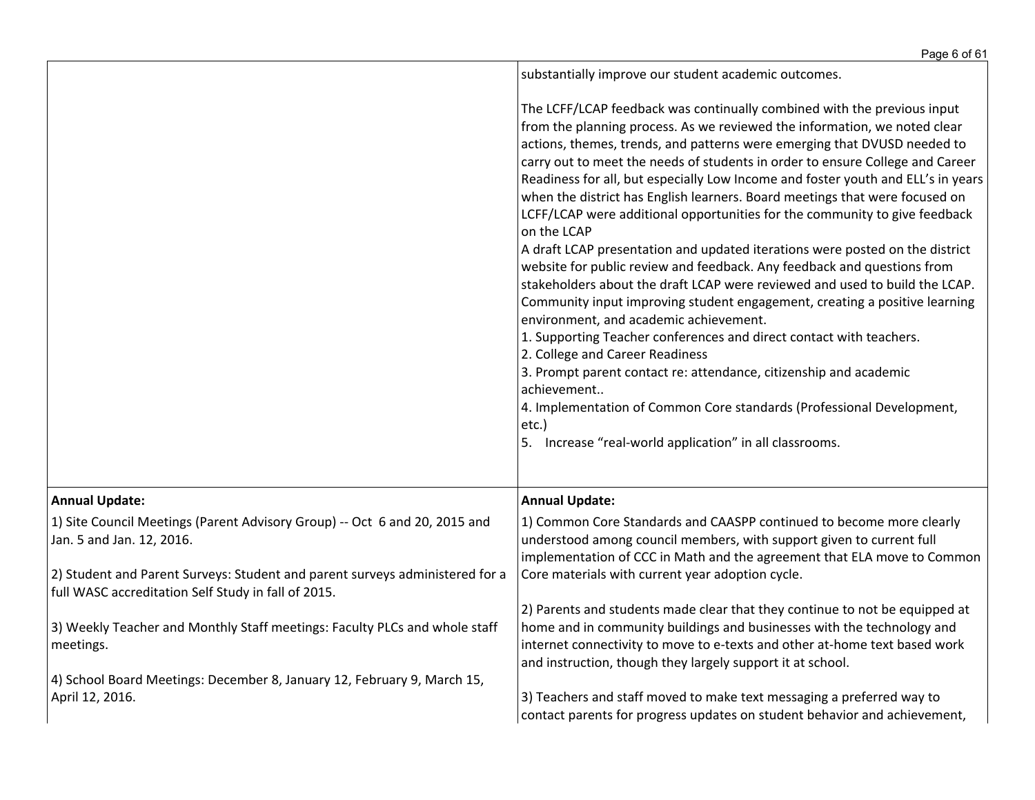|                                                                                                                                                                                         | Page 6 of 61                                                                                                                                                                                                                                                                                                                                                                                                                                                                                                                                                                                                                                                                                                                                                                                                                                                                                                                                                                                                                                                                                                                                                                                                                                                                                   |
|-----------------------------------------------------------------------------------------------------------------------------------------------------------------------------------------|------------------------------------------------------------------------------------------------------------------------------------------------------------------------------------------------------------------------------------------------------------------------------------------------------------------------------------------------------------------------------------------------------------------------------------------------------------------------------------------------------------------------------------------------------------------------------------------------------------------------------------------------------------------------------------------------------------------------------------------------------------------------------------------------------------------------------------------------------------------------------------------------------------------------------------------------------------------------------------------------------------------------------------------------------------------------------------------------------------------------------------------------------------------------------------------------------------------------------------------------------------------------------------------------|
|                                                                                                                                                                                         | substantially improve our student academic outcomes.                                                                                                                                                                                                                                                                                                                                                                                                                                                                                                                                                                                                                                                                                                                                                                                                                                                                                                                                                                                                                                                                                                                                                                                                                                           |
|                                                                                                                                                                                         | The LCFF/LCAP feedback was continually combined with the previous input<br>from the planning process. As we reviewed the information, we noted clear<br>actions, themes, trends, and patterns were emerging that DVUSD needed to<br>carry out to meet the needs of students in order to ensure College and Career<br>Readiness for all, but especially Low Income and foster youth and ELL's in years<br>when the district has English learners. Board meetings that were focused on<br>LCFF/LCAP were additional opportunities for the community to give feedback<br>on the LCAP<br>A draft LCAP presentation and updated iterations were posted on the district<br>website for public review and feedback. Any feedback and questions from<br>stakeholders about the draft LCAP were reviewed and used to build the LCAP.<br>Community input improving student engagement, creating a positive learning<br>environment, and academic achievement.<br>1. Supporting Teacher conferences and direct contact with teachers.<br>2. College and Career Readiness<br>3. Prompt parent contact re: attendance, citizenship and academic<br>achievement<br>4. Implementation of Common Core standards (Professional Development,<br>etc.)<br>5. Increase "real-world application" in all classrooms. |
| <b>Annual Update:</b>                                                                                                                                                                   | <b>Annual Update:</b>                                                                                                                                                                                                                                                                                                                                                                                                                                                                                                                                                                                                                                                                                                                                                                                                                                                                                                                                                                                                                                                                                                                                                                                                                                                                          |
| 1) Site Council Meetings (Parent Advisory Group) -- Oct 6 and 20, 2015 and<br>Jan. 5 and Jan. 12, 2016.<br>2) Student and Parent Surveys: Student and parent surveys administered for a | 1) Common Core Standards and CAASPP continued to become more clearly<br>understood among council members, with support given to current full<br>implementation of CCC in Math and the agreement that ELA move to Common<br>Core materials with current year adoption cycle.                                                                                                                                                                                                                                                                                                                                                                                                                                                                                                                                                                                                                                                                                                                                                                                                                                                                                                                                                                                                                    |
| full WASC accreditation Self Study in fall of 2015.                                                                                                                                     |                                                                                                                                                                                                                                                                                                                                                                                                                                                                                                                                                                                                                                                                                                                                                                                                                                                                                                                                                                                                                                                                                                                                                                                                                                                                                                |
| 3) Weekly Teacher and Monthly Staff meetings: Faculty PLCs and whole staff<br>meetings.                                                                                                 | 2) Parents and students made clear that they continue to not be equipped at<br>home and in community buildings and businesses with the technology and<br>internet connectivity to move to e-texts and other at-home text based work<br>and instruction, though they largely support it at school.                                                                                                                                                                                                                                                                                                                                                                                                                                                                                                                                                                                                                                                                                                                                                                                                                                                                                                                                                                                              |
| 4) School Board Meetings: December 8, January 12, February 9, March 15,<br>April 12, 2016.                                                                                              | 3) Teachers and staff moved to make text messaging a preferred way to<br>contact parents for progress updates on student behavior and achievement,                                                                                                                                                                                                                                                                                                                                                                                                                                                                                                                                                                                                                                                                                                                                                                                                                                                                                                                                                                                                                                                                                                                                             |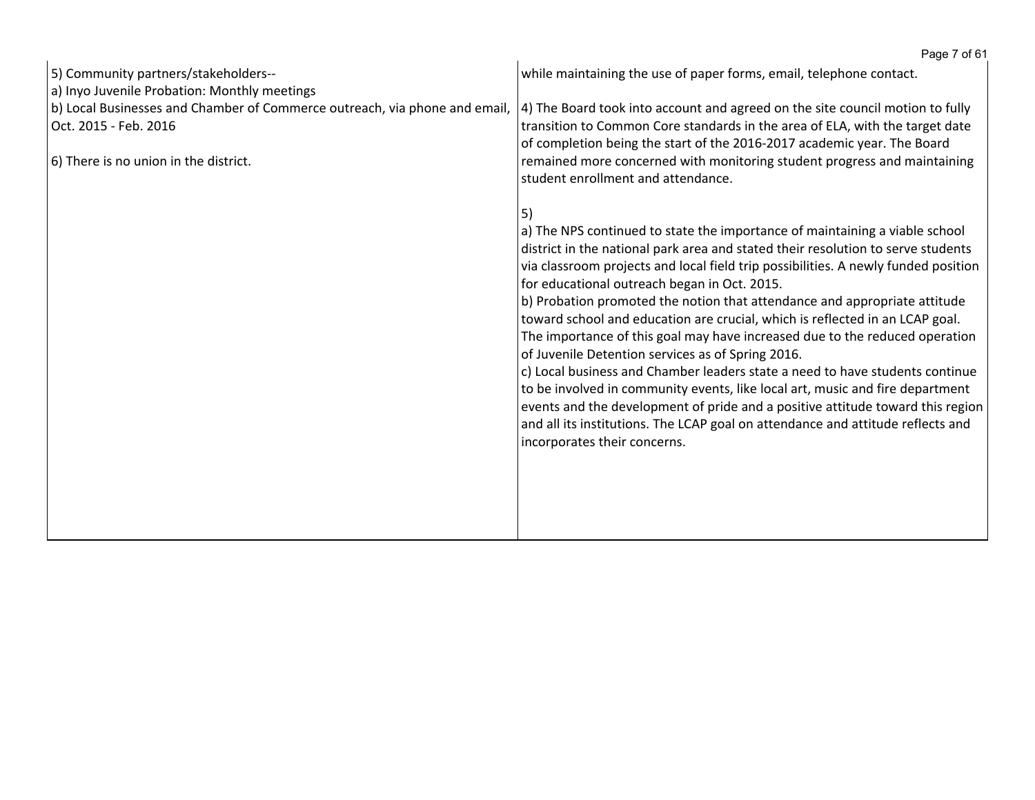|                                                                                                                                                                                              | Page 7 of 61                                                                                                                                                                                                                                                                                                                                                                                                                                                                                                                                                                                                                                                                                                                                                                                                                                                                                                                                                                       |
|----------------------------------------------------------------------------------------------------------------------------------------------------------------------------------------------|------------------------------------------------------------------------------------------------------------------------------------------------------------------------------------------------------------------------------------------------------------------------------------------------------------------------------------------------------------------------------------------------------------------------------------------------------------------------------------------------------------------------------------------------------------------------------------------------------------------------------------------------------------------------------------------------------------------------------------------------------------------------------------------------------------------------------------------------------------------------------------------------------------------------------------------------------------------------------------|
| 5) Community partners/stakeholders--                                                                                                                                                         | while maintaining the use of paper forms, email, telephone contact.                                                                                                                                                                                                                                                                                                                                                                                                                                                                                                                                                                                                                                                                                                                                                                                                                                                                                                                |
| a) Inyo Juvenile Probation: Monthly meetings<br>b) Local Businesses and Chamber of Commerce outreach, via phone and email,<br>Oct. 2015 - Feb. 2016<br>6) There is no union in the district. | 4) The Board took into account and agreed on the site council motion to fully<br>transition to Common Core standards in the area of ELA, with the target date<br>of completion being the start of the 2016-2017 academic year. The Board<br>remained more concerned with monitoring student progress and maintaining<br>student enrollment and attendance.                                                                                                                                                                                                                                                                                                                                                                                                                                                                                                                                                                                                                         |
|                                                                                                                                                                                              | 5)<br>a) The NPS continued to state the importance of maintaining a viable school<br>district in the national park area and stated their resolution to serve students<br>via classroom projects and local field trip possibilities. A newly funded position<br>for educational outreach began in Oct. 2015.<br>b) Probation promoted the notion that attendance and appropriate attitude<br>toward school and education are crucial, which is reflected in an LCAP goal.<br>The importance of this goal may have increased due to the reduced operation<br>of Juvenile Detention services as of Spring 2016.<br>c) Local business and Chamber leaders state a need to have students continue<br>to be involved in community events, like local art, music and fire department<br>events and the development of pride and a positive attitude toward this region<br>and all its institutions. The LCAP goal on attendance and attitude reflects and<br>incorporates their concerns. |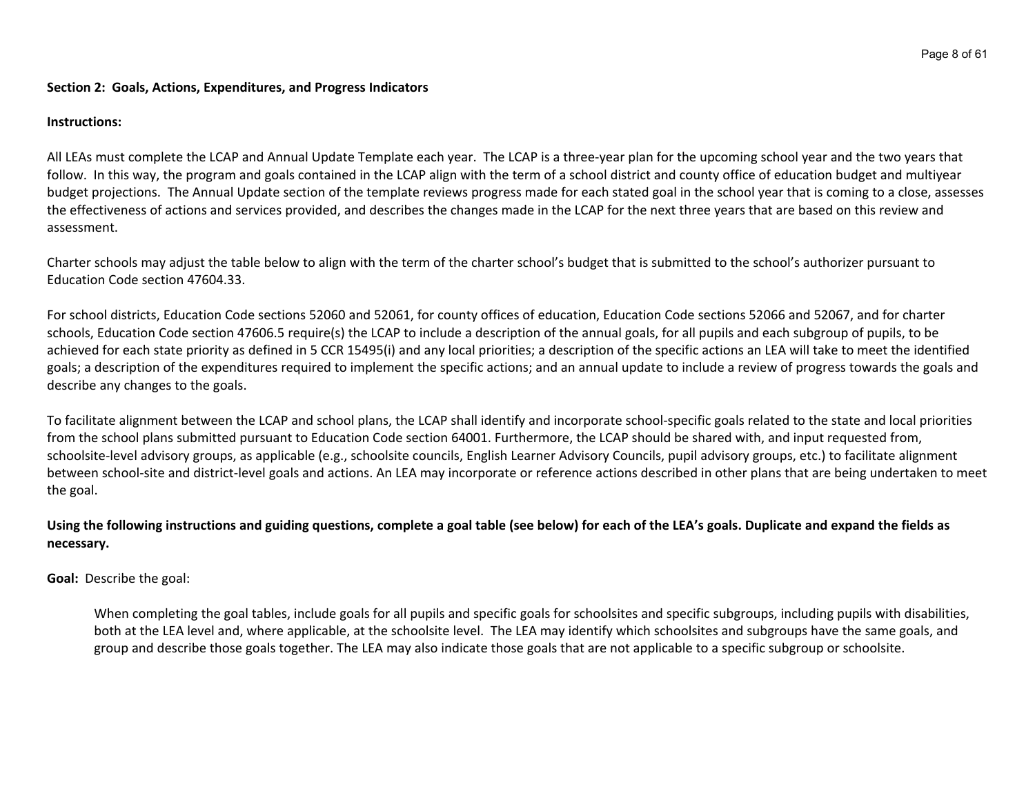#### **Section 2: Goals, Actions, Expenditures, and Progress Indicators**

#### **Instructions:**

All LEAs must complete the LCAP and Annual Update Template each year. The LCAP is a three-year plan for the upcoming school year and the two years that follow. In this way, the program and goals contained in the LCAP align with the term of a school district and county office of education budget and multiyear budget projections. The Annual Update section of the template reviews progress made for each stated goal in the school year that is coming to a close, assesses the effectiveness of actions and services provided, and describes the changes made in the LCAP for the next three years that are based on this review and assessment.

Charter schools may adjust the table below to align with the term of the charter school's budget that is submitted to the school's authorizer pursuant to Education Code section 47604.33.

For school districts, Education Code sections 52060 and 52061, for county offices of education, Education Code sections 52066 and 52067, and for charter schools, Education Code section 47606.5 require(s) the LCAP to include a description of the annual goals, for all pupils and each subgroup of pupils, to be achieved for each state priority as defined in 5 CCR 15495(i) and any local priorities; a description of the specific actions an LEA will take to meet the identified goals; a description of the expenditures required to implement the specific actions; and an annual update to include a review of progress towards the goals and describe any changes to the goals.

To facilitate alignment between the LCAP and school plans, the LCAP shall identify and incorporate school-specific goals related to the state and local priorities from the school plans submitted pursuant to Education Code section 64001. Furthermore, the LCAP should be shared with, and input requested from, schoolsite-level advisory groups, as applicable (e.g., schoolsite councils, English Learner Advisory Councils, pupil advisory groups, etc.) to facilitate alignment between school-site and district-level goals and actions. An LEA may incorporate or reference actions described in other plans that are being undertaken to meet the goal.

## Using the following instructions and guiding questions, complete a goal table (see below) for each of the LEA's goals. Duplicate and expand the fields as **necessary.**

**Goal:** Describe the goal:

When completing the goal tables, include goals for all pupils and specific goals for schoolsites and specific subgroups, including pupils with disabilities, both at the LEA level and, where applicable, at the schoolsite level. The LEA may identify which schoolsites and subgroups have the same goals, and group and describe those goals together. The LEA may also indicate those goals that are not applicable to a specific subgroup or schoolsite.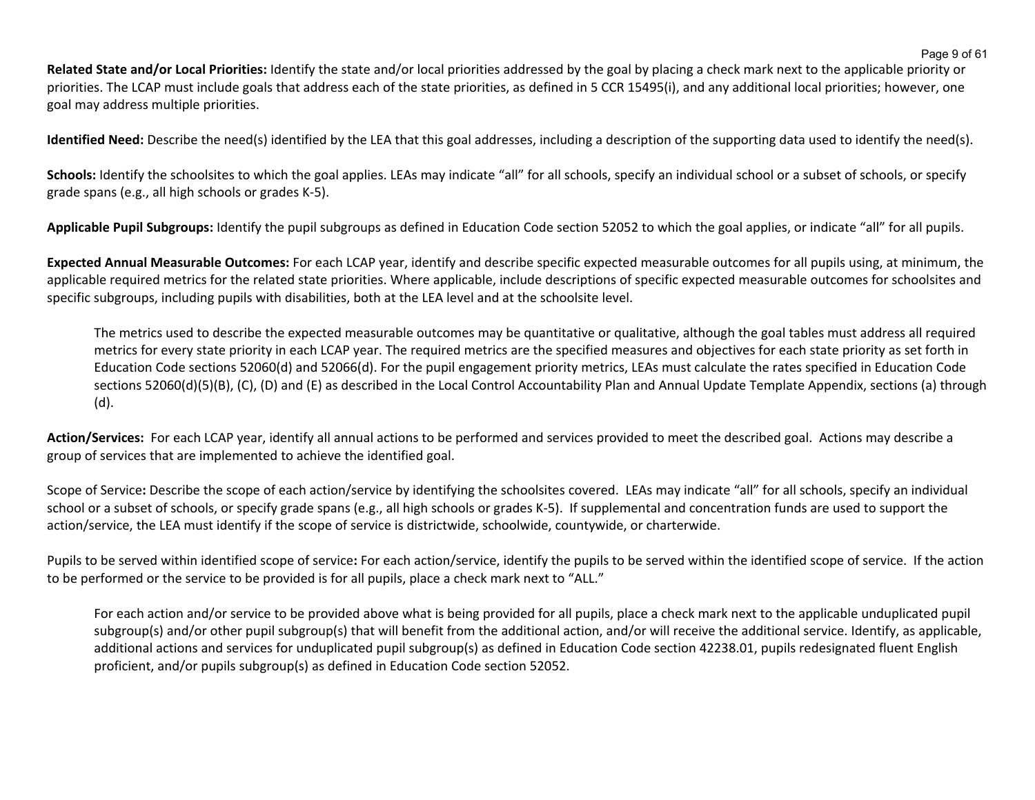**Related State and/or Local Priorities:** Identify the state and/or local priorities addressed by the goal by placing a check mark next to the applicable priority or priorities. The LCAP must include goals that address each of the state priorities, as defined in 5 CCR 15495(i), and any additional local priorities; however, one goal may address multiple priorities.

**Identified Need:** Describe the need(s) identified by the LEA that this goal addresses, including a description of the supporting data used to identify the need(s).

Schools: Identify the schoolsites to which the goal applies. LEAs may indicate "all" for all schools, specify an individual school or a subset of schools, or specify grade spans (e.g., all high schools or grades K-5).

**Applicable Pupil Subgroups:** Identify the pupil subgroups as defined in Education Code section 52052 to which the goal applies, or indicate "all" for all pupils.

**Expected Annual Measurable Outcomes:** For each LCAP year, identify and describe specific expected measurable outcomes for all pupils using, at minimum, the applicable required metrics for the related state priorities. Where applicable, include descriptions of specific expected measurable outcomes for schoolsites and specific subgroups, including pupils with disabilities, both at the LEA level and at the schoolsite level.

The metrics used to describe the expected measurable outcomes may be quantitative or qualitative, although the goal tables must address all required metrics for every state priority in each LCAP year. The required metrics are the specified measures and objectives for each state priority as set forth in Education Code sections 52060(d) and 52066(d). For the pupil engagement priority metrics, LEAs must calculate the rates specified in Education Code sections 52060(d)(5)(B), (C), (D) and (E) as described in the Local Control Accountability Plan and Annual Update Template Appendix, sections (a) through (d).

**Action/Services:** For each LCAP year, identify all annual actions to be performed and services provided to meet the described goal. Actions may describe a group of services that are implemented to achieve the identified goal.

Scope of Service**:** Describe the scope of each action/service by identifying the schoolsites covered. LEAs may indicate "all" for all schools, specify an individual school or a subset of schools, or specify grade spans (e.g., all high schools or grades K-5). If supplemental and concentration funds are used to support the action/service, the LEA must identify if the scope of service is districtwide, schoolwide, countywide, or charterwide.

Pupils to be served within identified scope of service**:** For each action/service, identify the pupils to be served within the identified scope of service. If the action to be performed or the service to be provided is for all pupils, place a check mark next to "ALL."

For each action and/or service to be provided above what is being provided for all pupils, place a check mark next to the applicable unduplicated pupil subgroup(s) and/or other pupil subgroup(s) that will benefit from the additional action, and/or will receive the additional service. Identify, as applicable, additional actions and services for unduplicated pupil subgroup(s) as defined in Education Code section 42238.01, pupils redesignated fluent English proficient, and/or pupils subgroup(s) as defined in Education Code section 52052.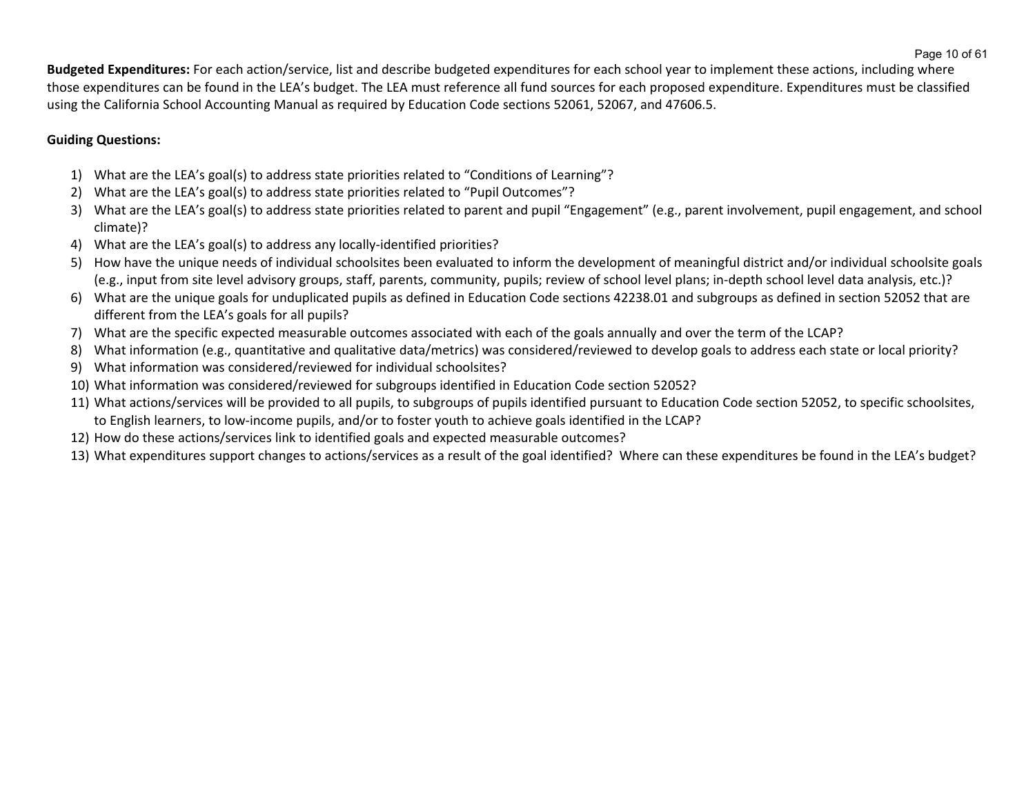**Budgeted Expenditures:** For each action/service, list and describe budgeted expenditures for each school year to implement these actions, including where those expenditures can be found in the LEA's budget. The LEA must reference all fund sources for each proposed expenditure. Expenditures must be classified using the California School Accounting Manual as required by Education Code sections 52061, 52067, and 47606.5.

## **Guiding Questions:**

- 1) What are the LEA's goal(s) to address state priorities related to "Conditions of Learning"?
- 2) What are the LEA's goal(s) to address state priorities related to "Pupil Outcomes"?
- 3) What are the LEA's goal(s) to address state priorities related to parent and pupil "Engagement" (e.g., parent involvement, pupil engagement, and school climate)?
- 4) What are the LEA's goal(s) to address any locally-identified priorities?
- 5) How have the unique needs of individual schoolsites been evaluated to inform the development of meaningful district and/or individual schoolsite goals (e.g., input from site level advisory groups, staff, parents, community, pupils; review of school level plans; in-depth school level data analysis, etc.)?
- 6) What are the unique goals for unduplicated pupils as defined in Education Code sections 42238.01 and subgroups as defined in section 52052 that are different from the LEA's goals for all pupils?
- 7) What are the specific expected measurable outcomes associated with each of the goals annually and over the term of the LCAP?
- 8) What information (e.g., quantitative and qualitative data/metrics) was considered/reviewed to develop goals to address each state or local priority?
- 9) What information was considered/reviewed for individual schoolsites?
- 10) What information was considered/reviewed for subgroups identified in Education Code section 52052?
- 11) What actions/services will be provided to all pupils, to subgroups of pupils identified pursuant to Education Code section 52052, to specific schoolsites, to English learners, to low-income pupils, and/or to foster youth to achieve goals identified in the LCAP?
- 12) How do these actions/services link to identified goals and expected measurable outcomes?
- 13) What expenditures support changes to actions/services as a result of the goal identified? Where can these expenditures be found in the LEA's budget?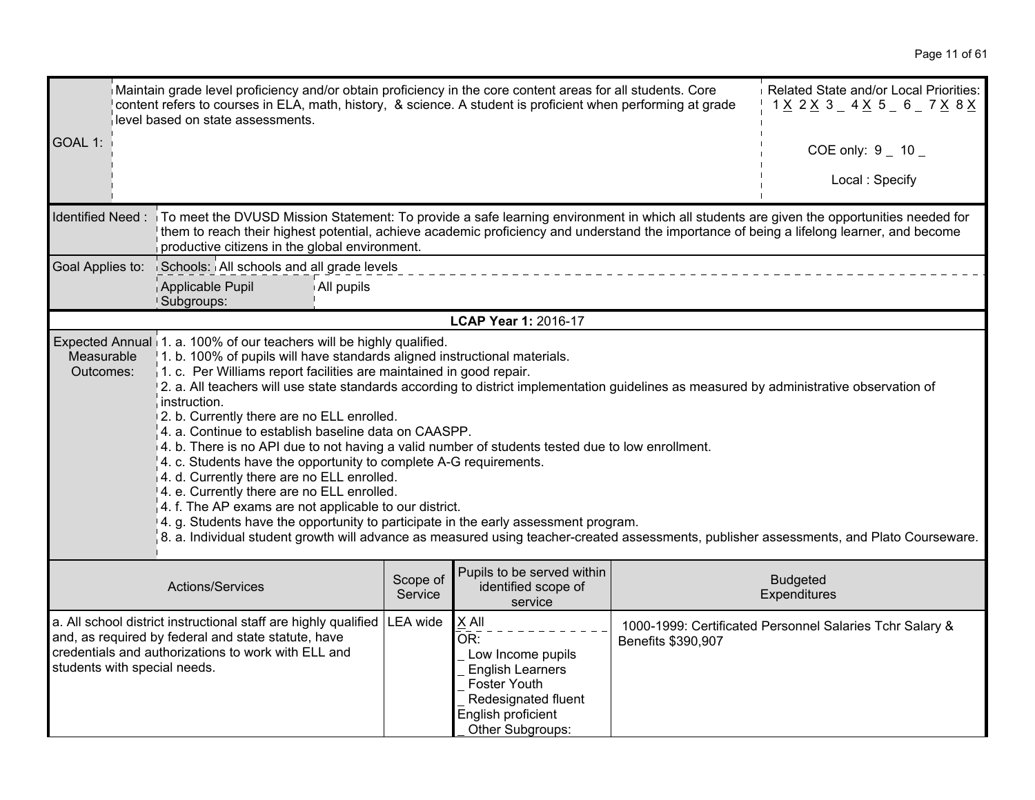| Maintain grade level proficiency and/or obtain proficiency in the core content areas for all students. Core<br>content refers to courses in ELA, math, history, & science. A student is proficient when performing at grade<br>level based on state assessments.                                                                                                                                                                                                                                                                                                                                                                                                                                                                                                                                                                                                                                                                                                                                                                                                                                   |                                                                                                                                                                                                                                                                                                                                                          |                     |                                                                                                                                               |                    | Related State and/or Local Priorities:<br>1 <u>X</u> 2 <u>X</u> 3 _ 4 <u>X</u> 5 _ 6 _ 7 <u>X</u> 8 <u>X</u> |
|----------------------------------------------------------------------------------------------------------------------------------------------------------------------------------------------------------------------------------------------------------------------------------------------------------------------------------------------------------------------------------------------------------------------------------------------------------------------------------------------------------------------------------------------------------------------------------------------------------------------------------------------------------------------------------------------------------------------------------------------------------------------------------------------------------------------------------------------------------------------------------------------------------------------------------------------------------------------------------------------------------------------------------------------------------------------------------------------------|----------------------------------------------------------------------------------------------------------------------------------------------------------------------------------------------------------------------------------------------------------------------------------------------------------------------------------------------------------|---------------------|-----------------------------------------------------------------------------------------------------------------------------------------------|--------------------|--------------------------------------------------------------------------------------------------------------|
| GOAL 1:                                                                                                                                                                                                                                                                                                                                                                                                                                                                                                                                                                                                                                                                                                                                                                                                                                                                                                                                                                                                                                                                                            |                                                                                                                                                                                                                                                                                                                                                          |                     |                                                                                                                                               |                    | COE only: $9 - 10 -$                                                                                         |
|                                                                                                                                                                                                                                                                                                                                                                                                                                                                                                                                                                                                                                                                                                                                                                                                                                                                                                                                                                                                                                                                                                    |                                                                                                                                                                                                                                                                                                                                                          |                     |                                                                                                                                               |                    | Local: Specify                                                                                               |
|                                                                                                                                                                                                                                                                                                                                                                                                                                                                                                                                                                                                                                                                                                                                                                                                                                                                                                                                                                                                                                                                                                    | Identified Need: To meet the DVUSD Mission Statement: To provide a safe learning environment in which all students are given the opportunities needed for<br>them to reach their highest potential, achieve academic proficiency and understand the importance of being a lifelong learner, and become<br>productive citizens in the global environment. |                     |                                                                                                                                               |                    |                                                                                                              |
| Goal Applies to:                                                                                                                                                                                                                                                                                                                                                                                                                                                                                                                                                                                                                                                                                                                                                                                                                                                                                                                                                                                                                                                                                   | Schools: All schools and all grade levels                                                                                                                                                                                                                                                                                                                |                     |                                                                                                                                               |                    |                                                                                                              |
|                                                                                                                                                                                                                                                                                                                                                                                                                                                                                                                                                                                                                                                                                                                                                                                                                                                                                                                                                                                                                                                                                                    | Applicable Pupil<br>All pupils<br>Subgroups:                                                                                                                                                                                                                                                                                                             |                     |                                                                                                                                               |                    |                                                                                                              |
|                                                                                                                                                                                                                                                                                                                                                                                                                                                                                                                                                                                                                                                                                                                                                                                                                                                                                                                                                                                                                                                                                                    |                                                                                                                                                                                                                                                                                                                                                          |                     | LCAP Year 1: 2016-17                                                                                                                          |                    |                                                                                                              |
| Expected Annual 1. a. 100% of our teachers will be highly qualified.<br>1. b. 100% of pupils will have standards aligned instructional materials.<br>Measurable<br>$\vert$ 1. c. Per Williams report facilities are maintained in good repair.<br>Outcomes:<br>2. a. All teachers will use state standards according to district implementation guidelines as measured by administrative observation of<br>instruction.<br>2. b. Currently there are no ELL enrolled.<br>4. a. Continue to establish baseline data on CAASPP.<br>$4. b$ . There is no API due to not having a valid number of students tested due to low enrollment.<br>4. c. Students have the opportunity to complete A-G requirements.<br>4. d. Currently there are no ELL enrolled.<br>4. e. Currently there are no ELL enrolled.<br>4. f. The AP exams are not applicable to our district.<br>4. g. Students have the opportunity to participate in the early assessment program.<br>8. a. Individual student growth will advance as measured using teacher-created assessments, publisher assessments, and Plato Courseware. |                                                                                                                                                                                                                                                                                                                                                          |                     |                                                                                                                                               |                    |                                                                                                              |
|                                                                                                                                                                                                                                                                                                                                                                                                                                                                                                                                                                                                                                                                                                                                                                                                                                                                                                                                                                                                                                                                                                    | Actions/Services                                                                                                                                                                                                                                                                                                                                         | Scope of<br>Service | Pupils to be served within<br>identified scope of<br>service                                                                                  |                    | <b>Budgeted</b><br>Expenditures                                                                              |
| students with special needs.                                                                                                                                                                                                                                                                                                                                                                                                                                                                                                                                                                                                                                                                                                                                                                                                                                                                                                                                                                                                                                                                       | a. All school district instructional staff are highly qualified<br>and, as required by federal and state statute, have<br>credentials and authorizations to work with ELL and                                                                                                                                                                            | <b>LEA</b> wide     | X All<br>OR:<br>Low Income pupils<br><b>English Learners</b><br>Foster Youth<br>Redesignated fluent<br>English proficient<br>Other Subgroups: | Benefits \$390,907 | 1000-1999: Certificated Personnel Salaries Tchr Salary &                                                     |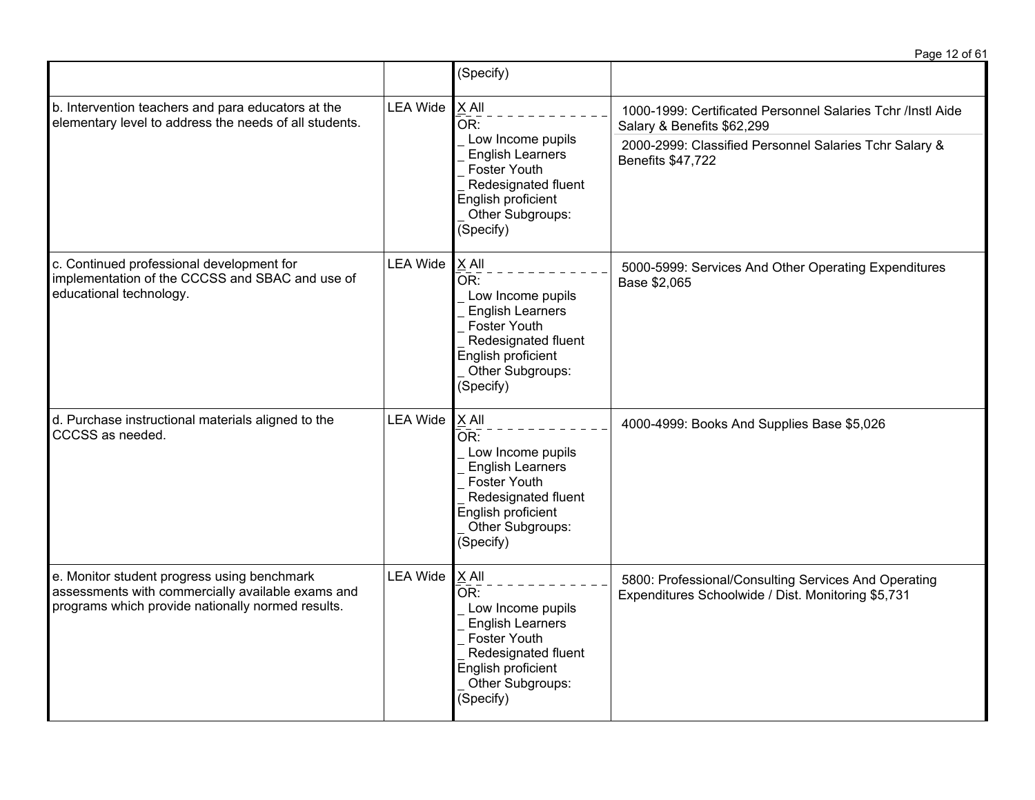Page 12 of 61 (Specify) LEA Wide  $X$  All  $\overline{OR:}$ \_ Low Income pupils English Learners 1000-1999: Certificated Personnel Salaries Tchr /Instl Aide Salary & Benefits \$62,299 2000-2999: Classified Personnel Salaries Tchr Salary & Benefits \$47,722

|                                                                                                                                                       |                 | <b>Foster Youth</b><br>Redesignated fluent<br>English proficient<br>Other Subgroups:<br>(Specify)                                                                   | $D$ GHGHG $\psi$ $\tau$ i, i 22                                                                            |
|-------------------------------------------------------------------------------------------------------------------------------------------------------|-----------------|---------------------------------------------------------------------------------------------------------------------------------------------------------------------|------------------------------------------------------------------------------------------------------------|
| c. Continued professional development for<br>implementation of the CCCSS and SBAC and use of<br>educational technology.                               | <b>LEA Wide</b> | X All<br>OR:<br>Low Income pupils<br><b>English Learners</b><br>Foster Youth<br>Redesignated fluent<br>English proficient<br>Other Subgroups:<br>(Specify)          | 5000-5999: Services And Other Operating Expenditures<br>Base \$2,065                                       |
| d. Purchase instructional materials aligned to the<br>CCCSS as needed.                                                                                | <b>LEA Wide</b> | X All<br>OR:<br>Low Income pupils<br><b>English Learners</b><br><b>Foster Youth</b><br>Redesignated fluent<br>English proficient<br>Other Subgroups:<br>(Specify)   | 4000-4999: Books And Supplies Base \$5,026                                                                 |
| e. Monitor student progress using benchmark<br>assessments with commercially available exams and<br>programs which provide nationally normed results. | <b>LEA Wide</b> | $X$ All<br>OR:<br>Low Income pupils<br><b>English Learners</b><br><b>Foster Youth</b><br>Redesignated fluent<br>English proficient<br>Other Subgroups:<br>(Specify) | 5800: Professional/Consulting Services And Operating<br>Expenditures Schoolwide / Dist. Monitoring \$5,731 |

b. Intervention teachers and para educators at the elementary level to address the needs of all students.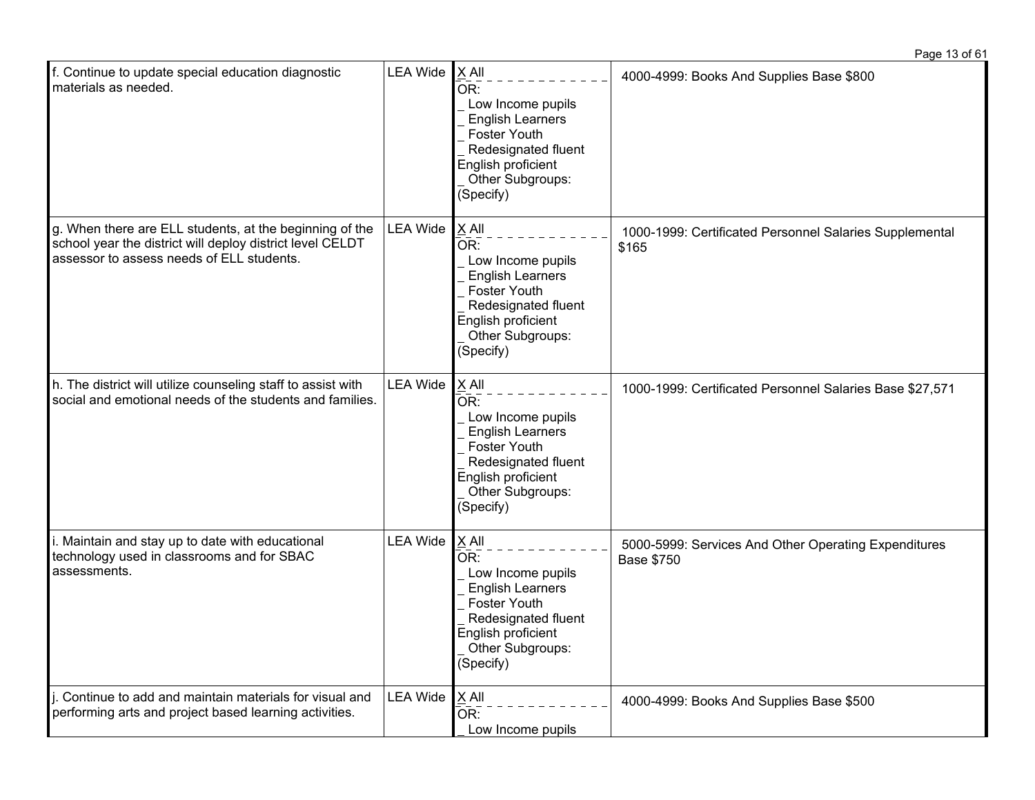| f. Continue to update special education diagnostic<br>materials as needed.                                                                                        | <b>LEA Wide</b> | X All<br>OR:<br>Low Income pupils<br><b>English Learners</b><br><b>Foster Youth</b><br>Redesignated fluent<br>English proficient<br>Other Subgroups:<br>(Specify)            | 4000-4999: Books And Supplies Base \$800                                  |
|-------------------------------------------------------------------------------------------------------------------------------------------------------------------|-----------------|------------------------------------------------------------------------------------------------------------------------------------------------------------------------------|---------------------------------------------------------------------------|
| g. When there are ELL students, at the beginning of the<br>school year the district will deploy district level CELDT<br>assessor to assess needs of ELL students. | <b>LEA Wide</b> | X All<br>OR:<br>Low Income pupils<br><b>English Learners</b><br>Foster Youth<br>Redesignated fluent<br>English proficient<br>Other Subgroups:<br>(Specify)                   | 1000-1999: Certificated Personnel Salaries Supplemental<br>\$165          |
| h. The district will utilize counseling staff to assist with<br>social and emotional needs of the students and families.                                          | <b>LEA Wide</b> | X All<br>$\bar{\mathsf{OR}}$ :<br>Low Income pupils<br><b>English Learners</b><br>Foster Youth<br>Redesignated fluent<br>English proficient<br>Other Subgroups:<br>(Specify) | 1000-1999: Certificated Personnel Salaries Base \$27,571                  |
| i. Maintain and stay up to date with educational<br>technology used in classrooms and for SBAC<br>assessments.                                                    | <b>LEA Wide</b> | X All<br>OR:<br>Low Income pupils<br><b>English Learners</b><br>Foster Youth<br>Redesignated fluent<br>English proficient<br>Other Subgroups:<br>(Specify)                   | 5000-5999: Services And Other Operating Expenditures<br><b>Base \$750</b> |
| Continue to add and maintain materials for visual and<br>performing arts and project based learning activities.                                                   | <b>LEA Wide</b> | X All<br>OR:<br>Low Income pupils                                                                                                                                            | 4000-4999: Books And Supplies Base \$500                                  |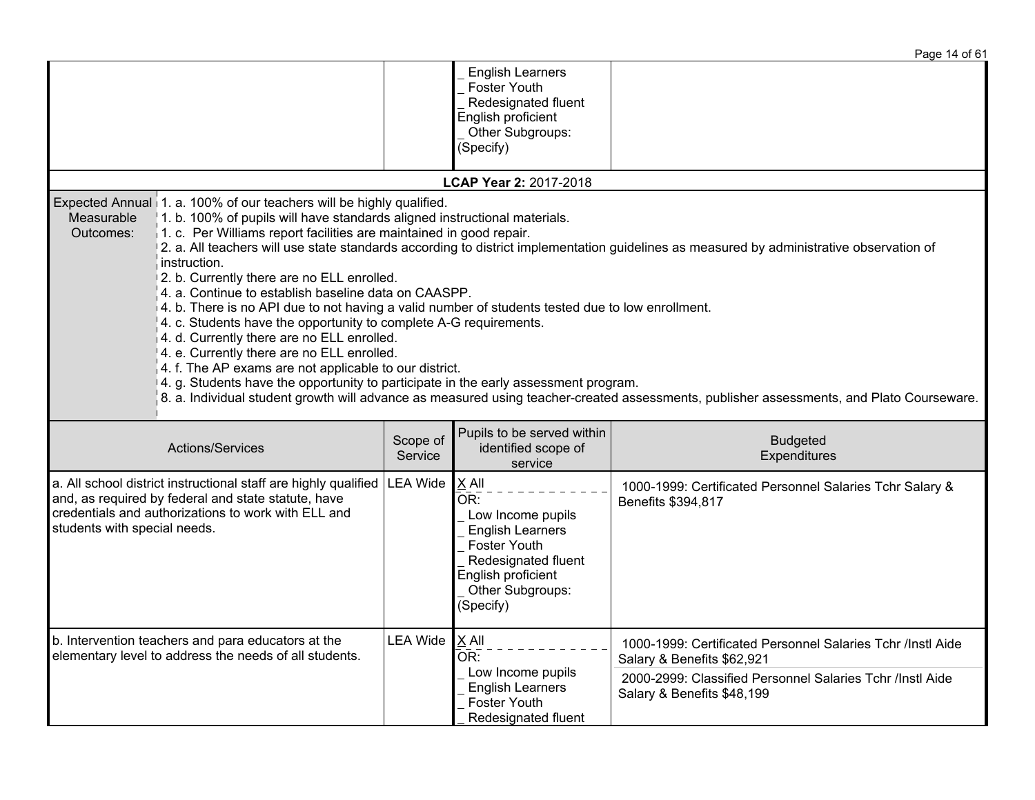|                                                                                                                                                                                                                                                                                                                                                                                                                                                                                                                                                                                                                                                                                                                                                                                                 |                     |                                                                                                                                                              | Page 14 of 61                                                                                                                                                                                                                                                                        |
|-------------------------------------------------------------------------------------------------------------------------------------------------------------------------------------------------------------------------------------------------------------------------------------------------------------------------------------------------------------------------------------------------------------------------------------------------------------------------------------------------------------------------------------------------------------------------------------------------------------------------------------------------------------------------------------------------------------------------------------------------------------------------------------------------|---------------------|--------------------------------------------------------------------------------------------------------------------------------------------------------------|--------------------------------------------------------------------------------------------------------------------------------------------------------------------------------------------------------------------------------------------------------------------------------------|
|                                                                                                                                                                                                                                                                                                                                                                                                                                                                                                                                                                                                                                                                                                                                                                                                 |                     | <b>English Learners</b><br>Foster Youth<br>Redesignated fluent<br>English proficient<br>Other Subgroups:<br>(Specify)                                        |                                                                                                                                                                                                                                                                                      |
|                                                                                                                                                                                                                                                                                                                                                                                                                                                                                                                                                                                                                                                                                                                                                                                                 |                     | LCAP Year 2: 2017-2018                                                                                                                                       |                                                                                                                                                                                                                                                                                      |
| Expected Annual 1. a. 100% of our teachers will be highly qualified.<br>1. b. 100% of pupils will have standards aligned instructional materials.<br>Measurable<br>1. c. Per Williams report facilities are maintained in good repair.<br>Outcomes:<br>instruction.<br>2. b. Currently there are no ELL enrolled.<br>4. a. Continue to establish baseline data on CAASPP.<br>4. b. There is no API due to not having a valid number of students tested due to low enrollment.<br>4. c. Students have the opportunity to complete A-G requirements.<br>4. d. Currently there are no ELL enrolled.<br>4. e. Currently there are no ELL enrolled.<br>4. f. The AP exams are not applicable to our district.<br>4. g. Students have the opportunity to participate in the early assessment program. |                     |                                                                                                                                                              | 2. a. All teachers will use state standards according to district implementation guidelines as measured by administrative observation of<br>8. a. Individual student growth will advance as measured using teacher-created assessments, publisher assessments, and Plato Courseware. |
| Actions/Services                                                                                                                                                                                                                                                                                                                                                                                                                                                                                                                                                                                                                                                                                                                                                                                | Scope of<br>Service | Pupils to be served within<br>identified scope of<br>service                                                                                                 | <b>Budgeted</b><br>Expenditures                                                                                                                                                                                                                                                      |
| a. All school district instructional staff are highly qualified<br>and, as required by federal and state statute, have<br>credentials and authorizations to work with ELL and<br>students with special needs.                                                                                                                                                                                                                                                                                                                                                                                                                                                                                                                                                                                   | <b>LEA Wide</b>     | $X$ All<br>OR:<br>Low Income pupils<br><b>English Learners</b><br>Foster Youth<br>Redesignated fluent<br>English proficient<br>Other Subgroups:<br>(Specify) | 1000-1999: Certificated Personnel Salaries Tchr Salary &<br>Benefits \$394,817                                                                                                                                                                                                       |
| b. Intervention teachers and para educators at the<br>elementary level to address the needs of all students.                                                                                                                                                                                                                                                                                                                                                                                                                                                                                                                                                                                                                                                                                    | <b>LEA Wide</b>     | $X$ All<br>OR:                                                                                                                                               | 1000-1999: Certificated Personnel Salaries Tchr /Instl Aide<br>Salary & Benefits \$62,921                                                                                                                                                                                            |
|                                                                                                                                                                                                                                                                                                                                                                                                                                                                                                                                                                                                                                                                                                                                                                                                 |                     | Low Income pupils<br><b>English Learners</b><br>Foster Youth<br>Redesignated fluent                                                                          | 2000-2999: Classified Personnel Salaries Tchr /Instl Aide<br>Salary & Benefits \$48,199                                                                                                                                                                                              |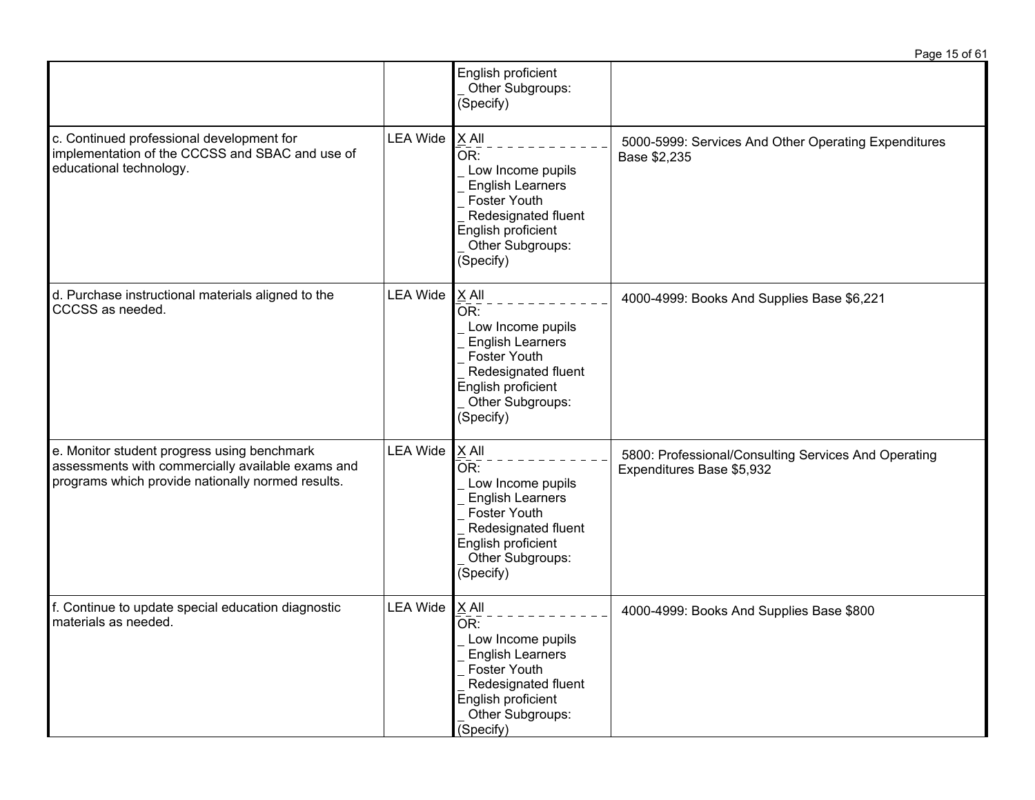|                                                                                                                                                       |                 |                                                                                                                                                                          | Page 15 of 61                                                                     |
|-------------------------------------------------------------------------------------------------------------------------------------------------------|-----------------|--------------------------------------------------------------------------------------------------------------------------------------------------------------------------|-----------------------------------------------------------------------------------|
|                                                                                                                                                       |                 | English proficient<br>Other Subgroups:<br>(Specify)                                                                                                                      |                                                                                   |
| c. Continued professional development for<br>implementation of the CCCSS and SBAC and use of<br>educational technology.                               | <b>LEA Wide</b> | $X$ All<br>OR:<br>Low Income pupils<br><b>English Learners</b><br>Foster Youth<br>Redesignated fluent<br>English proficient<br>Other Subgroups:<br>(Specify)             | 5000-5999: Services And Other Operating Expenditures<br>Base \$2,235              |
| d. Purchase instructional materials aligned to the<br>CCCSS as needed.                                                                                | <b>LEA Wide</b> | X All<br>OR:<br>Low Income pupils<br><b>English Learners</b><br><b>Foster Youth</b><br>Redesignated fluent<br>English proficient<br>Other Subgroups:<br>(Specify)        | 4000-4999: Books And Supplies Base \$6,221                                        |
| e. Monitor student progress using benchmark<br>assessments with commercially available exams and<br>programs which provide nationally normed results. | <b>LEA Wide</b> | X All<br>OR:<br>Low Income pupils<br><b>English Learners</b><br>Foster Youth<br>Redesignated fluent<br>English proficient<br>Other Subgroups:<br>(Specify)               | 5800: Professional/Consulting Services And Operating<br>Expenditures Base \$5,932 |
| f. Continue to update special education diagnostic<br>materials as needed.                                                                            | <b>LEA Wide</b> | $\underline{X}$ All<br>OR:<br>Low Income pupils<br><b>English Learners</b><br>Foster Youth<br>Redesignated fluent<br>English proficient<br>Other Subgroups:<br>(Specify) | 4000-4999: Books And Supplies Base \$800                                          |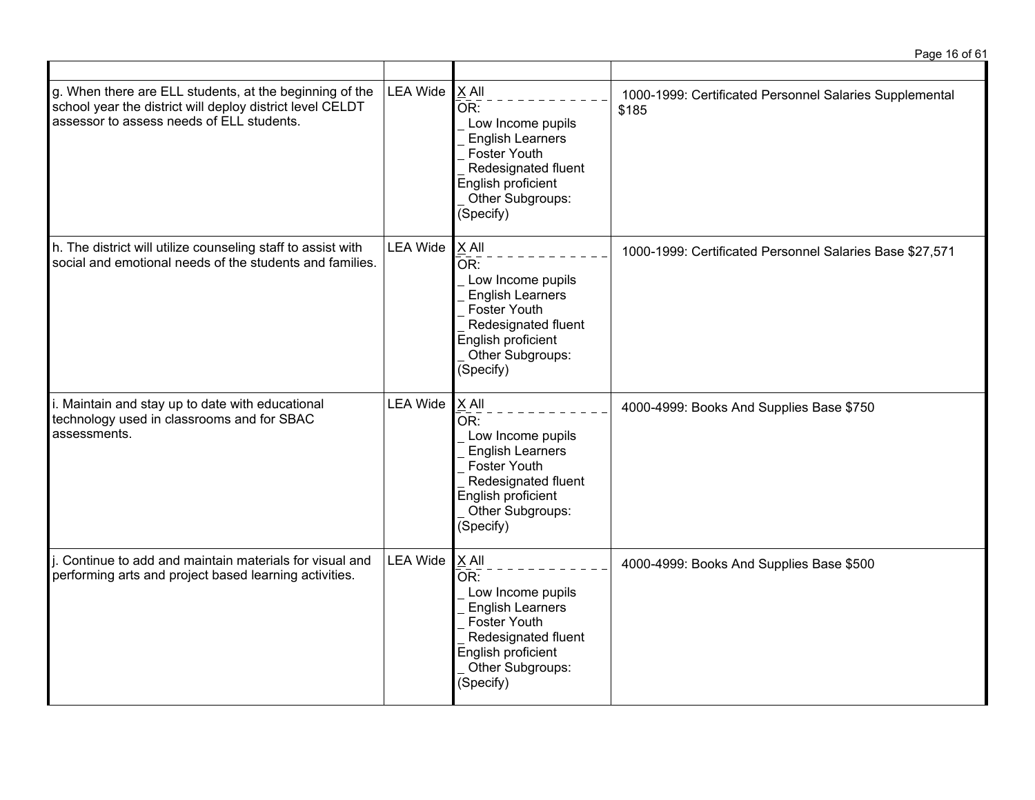|                                                                                                                                                                   |                 |                                                                                                                                                                       | Page 16 of 61                                                    |
|-------------------------------------------------------------------------------------------------------------------------------------------------------------------|-----------------|-----------------------------------------------------------------------------------------------------------------------------------------------------------------------|------------------------------------------------------------------|
| g. When there are ELL students, at the beginning of the<br>school year the district will deploy district level CELDT<br>assessor to assess needs of ELL students. | <b>LEA Wide</b> | $X$ All<br>OR:<br>Low Income pupils<br><b>English Learners</b><br>Foster Youth<br>Redesignated fluent<br>English proficient<br>Other Subgroups:<br>(Specify)          | 1000-1999: Certificated Personnel Salaries Supplemental<br>\$185 |
| h. The district will utilize counseling staff to assist with<br>social and emotional needs of the students and families.                                          | <b>LEA Wide</b> | X All<br>OR:<br>Low Income pupils<br><b>English Learners</b><br>Foster Youth<br>Redesignated fluent<br>English proficient<br>Other Subgroups:<br>(Specify)            | 1000-1999: Certificated Personnel Salaries Base \$27,571         |
| i. Maintain and stay up to date with educational<br>technology used in classrooms and for SBAC<br>assessments.                                                    | <b>LEA Wide</b> | $X$ All<br>$\bar{OR}$ :<br>Low Income pupils<br><b>English Learners</b><br>Foster Youth<br>Redesignated fluent<br>English proficient<br>Other Subgroups:<br>(Specify) | 4000-4999: Books And Supplies Base \$750                         |
| i. Continue to add and maintain materials for visual and<br>performing arts and project based learning activities.                                                | <b>LEA Wide</b> | X All<br>OR:<br>Low Income pupils<br><b>English Learners</b><br>Foster Youth<br>Redesignated fluent<br>English proficient<br>Other Subgroups:<br>(Specify)            | 4000-4999: Books And Supplies Base \$500                         |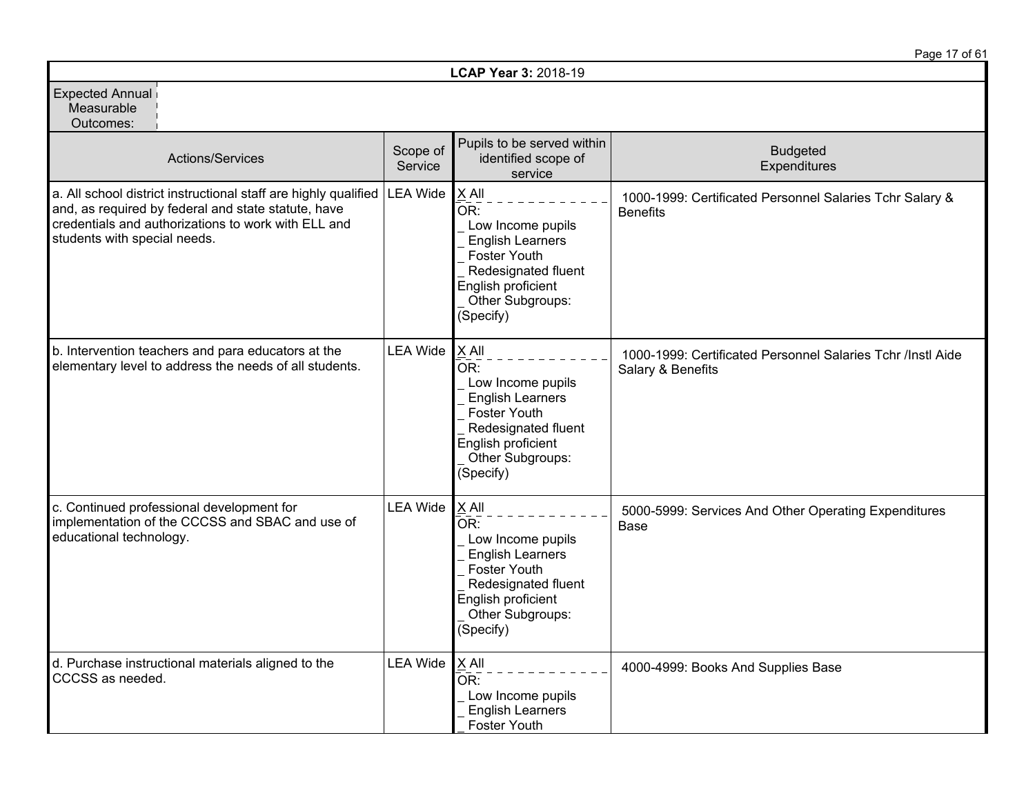|                                                                                                                                                                                                               |                     |                                                                                                                                                                   | Page 17 of 61                                                                    |
|---------------------------------------------------------------------------------------------------------------------------------------------------------------------------------------------------------------|---------------------|-------------------------------------------------------------------------------------------------------------------------------------------------------------------|----------------------------------------------------------------------------------|
|                                                                                                                                                                                                               |                     | LCAP Year 3: 2018-19                                                                                                                                              |                                                                                  |
| <b>Expected Annual</b><br>Measurable<br>Outcomes:                                                                                                                                                             |                     |                                                                                                                                                                   |                                                                                  |
| <b>Actions/Services</b>                                                                                                                                                                                       | Scope of<br>Service | Pupils to be served within<br>identified scope of<br>service                                                                                                      | <b>Budgeted</b><br>Expenditures                                                  |
| a. All school district instructional staff are highly qualified<br>and, as required by federal and state statute, have<br>credentials and authorizations to work with ELL and<br>students with special needs. | <b>LEA Wide</b>     | X All<br>OR:<br>Low Income pupils<br><b>English Learners</b><br><b>Foster Youth</b><br>Redesignated fluent<br>English proficient<br>Other Subgroups:<br>(Specify) | 1000-1999: Certificated Personnel Salaries Tchr Salary &<br><b>Benefits</b>      |
| b. Intervention teachers and para educators at the<br>elementary level to address the needs of all students.                                                                                                  | <b>LEA Wide</b>     | $X$ All<br>OR:<br>Low Income pupils<br><b>English Learners</b><br>Foster Youth<br>Redesignated fluent<br>English proficient<br>Other Subgroups:<br>(Specify)      | 1000-1999: Certificated Personnel Salaries Tchr /Instl Aide<br>Salary & Benefits |
| c. Continued professional development for<br>implementation of the CCCSS and SBAC and use of<br>educational technology.                                                                                       | <b>LEA Wide</b>     | $X$ All<br>OR:<br>Low Income pupils<br><b>English Learners</b><br>Foster Youth<br>Redesignated fluent<br>English proficient<br>Other Subgroups:<br>(Specify)      | 5000-5999: Services And Other Operating Expenditures<br><b>Base</b>              |
| d. Purchase instructional materials aligned to the<br>CCCSS as needed.                                                                                                                                        | <b>LEA Wide</b>     | X All<br>OR:<br>Low Income pupils<br><b>English Learners</b><br>Foster Youth                                                                                      | 4000-4999: Books And Supplies Base                                               |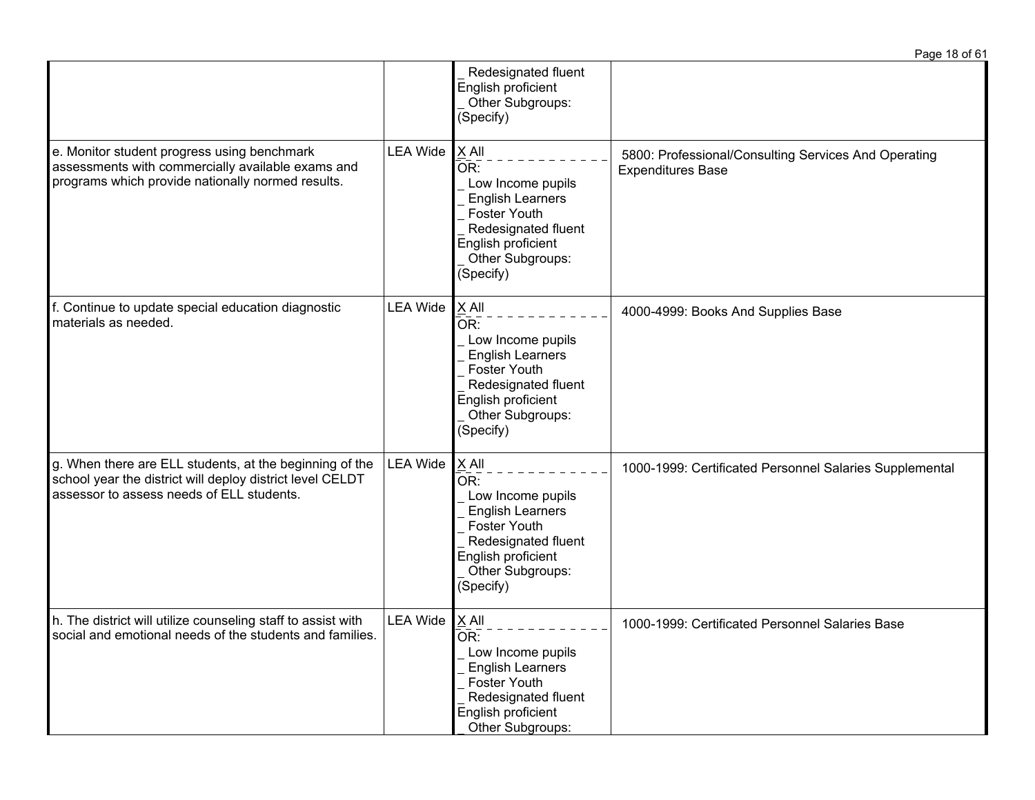|                                                                                                                                                                   |                  |                                                                                                                                                                     | Page 18 of 61                                                                    |
|-------------------------------------------------------------------------------------------------------------------------------------------------------------------|------------------|---------------------------------------------------------------------------------------------------------------------------------------------------------------------|----------------------------------------------------------------------------------|
|                                                                                                                                                                   |                  | Redesignated fluent<br>English proficient<br>Other Subgroups:<br>(Specify)                                                                                          |                                                                                  |
| e. Monitor student progress using benchmark<br>assessments with commercially available exams and<br>programs which provide nationally normed results.             | <b>LEA Wide</b>  | $ X$ All<br>OR:<br>Low Income pupils<br><b>English Learners</b><br>Foster Youth<br>Redesignated fluent<br>English proficient<br>Other Subgroups:<br>(Specify)       | 5800: Professional/Consulting Services And Operating<br><b>Expenditures Base</b> |
| f. Continue to update special education diagnostic<br>materials as needed.                                                                                        | <b>LEA Wide</b>  | X All<br>OR:<br>Low Income pupils<br><b>English Learners</b><br><b>Foster Youth</b><br>Redesignated fluent<br>English proficient<br>Other Subgroups:<br>(Specify)   | 4000-4999: Books And Supplies Base                                               |
| g. When there are ELL students, at the beginning of the<br>school year the district will deploy district level CELDT<br>assessor to assess needs of ELL students. | <b>LEA Wide</b>  | $X$ All<br>OR:<br>Low Income pupils<br><b>English Learners</b><br><b>Foster Youth</b><br>Redesignated fluent<br>English proficient<br>Other Subgroups:<br>(Specify) | 1000-1999: Certificated Personnel Salaries Supplemental                          |
| h. The district will utilize counseling staff to assist with<br>social and emotional needs of the students and families.                                          | LEA Wide $X$ All | OR:<br>Low Income pupils<br><b>English Learners</b><br>Foster Youth<br>Redesignated fluent<br>English proficient<br>Other Subgroups:                                | 1000-1999: Certificated Personnel Salaries Base                                  |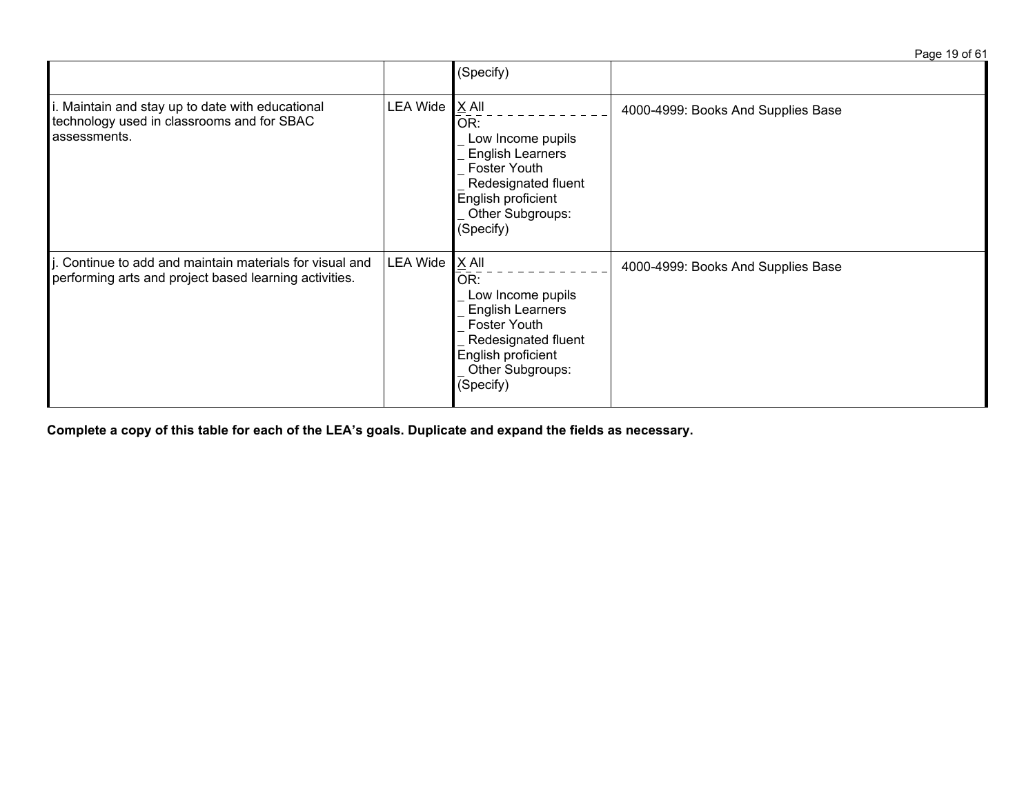Page 19 of 61

|                                                                                                                 |                 | (Specify)                                                                                                                                                    |                                    |
|-----------------------------------------------------------------------------------------------------------------|-----------------|--------------------------------------------------------------------------------------------------------------------------------------------------------------|------------------------------------|
| Maintain and stay up to date with educational<br>technology used in classrooms and for SBAC<br>assessments.     | <b>LEA Wide</b> | $X$ All<br>OR:<br>Low Income pupils<br><b>English Learners</b><br>Foster Youth<br>Redesignated fluent<br>English proficient<br>Other Subgroups:<br>(Specify) | 4000-4999: Books And Supplies Base |
| Continue to add and maintain materials for visual and<br>performing arts and project based learning activities. | <b>LEA Wide</b> | $X$ All<br>OR:<br>Low Income pupils<br><b>English Learners</b><br>Foster Youth<br>Redesignated fluent<br>English proficient<br>Other Subgroups:<br>(Specify) | 4000-4999: Books And Supplies Base |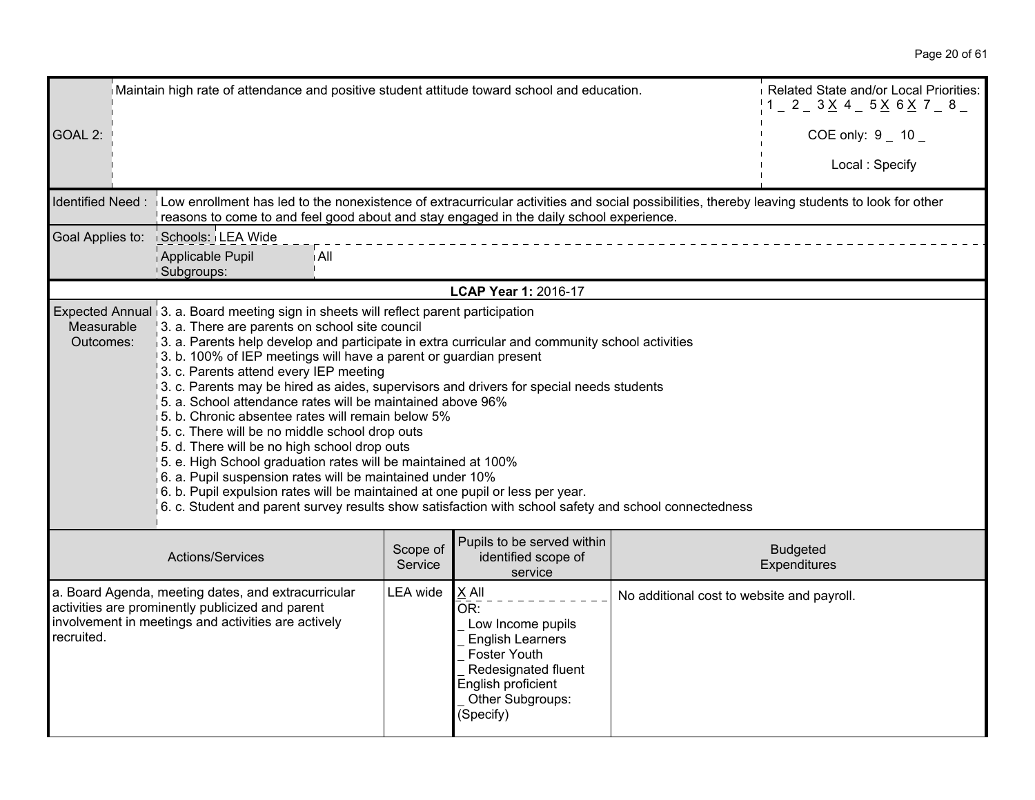|                         | Maintain high rate of attendance and positive student attitude toward school and education.                                                                                                                                                                                                                                                                                                                                                                                                                                                                                                                                                                                                                                                                                                                                                                                                                                                                                                              |                     |                                                                                                                                                              |                                            | Related State and/or Local Priorities:<br>$1 - 2 - 3 \times 4 - 5 \times 6 \times 7 - 8$ |
|-------------------------|----------------------------------------------------------------------------------------------------------------------------------------------------------------------------------------------------------------------------------------------------------------------------------------------------------------------------------------------------------------------------------------------------------------------------------------------------------------------------------------------------------------------------------------------------------------------------------------------------------------------------------------------------------------------------------------------------------------------------------------------------------------------------------------------------------------------------------------------------------------------------------------------------------------------------------------------------------------------------------------------------------|---------------------|--------------------------------------------------------------------------------------------------------------------------------------------------------------|--------------------------------------------|------------------------------------------------------------------------------------------|
| GOAL 2:                 |                                                                                                                                                                                                                                                                                                                                                                                                                                                                                                                                                                                                                                                                                                                                                                                                                                                                                                                                                                                                          |                     |                                                                                                                                                              |                                            | COE only: $9 - 10 -$                                                                     |
|                         |                                                                                                                                                                                                                                                                                                                                                                                                                                                                                                                                                                                                                                                                                                                                                                                                                                                                                                                                                                                                          |                     |                                                                                                                                                              |                                            | Local: Specify                                                                           |
| Identified Need:        | Low enrollment has led to the nonexistence of extracurricular activities and social possibilities, thereby leaving students to look for other<br>reasons to come to and feel good about and stay engaged in the daily school experience.                                                                                                                                                                                                                                                                                                                                                                                                                                                                                                                                                                                                                                                                                                                                                                 |                     |                                                                                                                                                              |                                            |                                                                                          |
| Goal Applies to:        | Schools: LEA Wide                                                                                                                                                                                                                                                                                                                                                                                                                                                                                                                                                                                                                                                                                                                                                                                                                                                                                                                                                                                        |                     |                                                                                                                                                              |                                            |                                                                                          |
|                         | Applicable Pupil<br>i All<br>Subgroups:                                                                                                                                                                                                                                                                                                                                                                                                                                                                                                                                                                                                                                                                                                                                                                                                                                                                                                                                                                  |                     |                                                                                                                                                              |                                            |                                                                                          |
|                         |                                                                                                                                                                                                                                                                                                                                                                                                                                                                                                                                                                                                                                                                                                                                                                                                                                                                                                                                                                                                          |                     | LCAP Year 1: 2016-17                                                                                                                                         |                                            |                                                                                          |
| Measurable<br>Outcomes: | Expected Annual 3. a. Board meeting sign in sheets will reflect parent participation<br>3. a. There are parents on school site council<br>$\beta$ . a. Parents help develop and participate in extra curricular and community school activities<br>3. b. 100% of IEP meetings will have a parent or guardian present<br>3. c. Parents attend every IEP meeting<br>3. c. Parents may be hired as aides, supervisors and drivers for special needs students<br>5. a. School attendance rates will be maintained above 96%<br>5. b. Chronic absentee rates will remain below 5%<br>5. c. There will be no middle school drop outs<br>5. d. There will be no high school drop outs<br>5. e. High School graduation rates will be maintained at 100%<br>$6.$ a. Pupil suspension rates will be maintained under 10%<br>6. b. Pupil expulsion rates will be maintained at one pupil or less per year.<br>6. c. Student and parent survey results show satisfaction with school safety and school connectedness |                     |                                                                                                                                                              |                                            |                                                                                          |
|                         | Actions/Services                                                                                                                                                                                                                                                                                                                                                                                                                                                                                                                                                                                                                                                                                                                                                                                                                                                                                                                                                                                         | Scope of<br>Service | Pupils to be served within<br>identified scope of<br>service                                                                                                 |                                            | <b>Budgeted</b><br>Expenditures                                                          |
| recruited.              | a. Board Agenda, meeting dates, and extracurricular<br>activities are prominently publicized and parent<br>involvement in meetings and activities are actively                                                                                                                                                                                                                                                                                                                                                                                                                                                                                                                                                                                                                                                                                                                                                                                                                                           | <b>LEA</b> wide     | $X$ All<br>OR:<br>Low Income pupils<br><b>English Learners</b><br>Foster Youth<br>Redesignated fluent<br>English proficient<br>Other Subgroups:<br>(Specify) | No additional cost to website and payroll. |                                                                                          |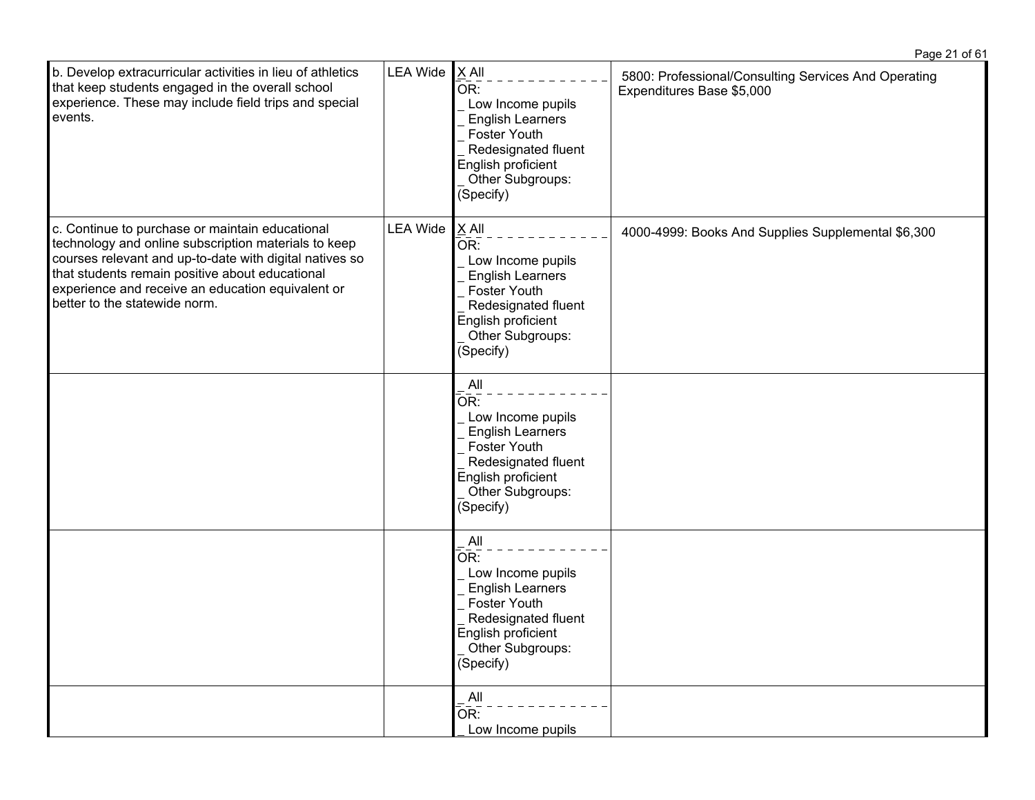| b. Develop extracurricular activities in lieu of athletics<br>that keep students engaged in the overall school<br>experience. These may include field trips and special<br>events.                                                                                                                          | <b>LEA Wide</b> | $X$ All<br>OR:<br>Low Income pupils<br><b>English Learners</b><br>Foster Youth<br>Redesignated fluent<br>English proficient<br>Other Subgroups:<br>(Specify)               | 5800: Professional/Consulting Services And Operating<br>Expenditures Base \$5,000 |
|-------------------------------------------------------------------------------------------------------------------------------------------------------------------------------------------------------------------------------------------------------------------------------------------------------------|-----------------|----------------------------------------------------------------------------------------------------------------------------------------------------------------------------|-----------------------------------------------------------------------------------|
| c. Continue to purchase or maintain educational<br>technology and online subscription materials to keep<br>courses relevant and up-to-date with digital natives so<br>that students remain positive about educational<br>experience and receive an education equivalent or<br>better to the statewide norm. | <b>LEA Wide</b> | X All<br>OR:<br>Low Income pupils<br><b>English Learners</b><br>Foster Youth<br>Redesignated fluent<br>English proficient<br>Other Subgroups:<br>(Specify)                 | 4000-4999: Books And Supplies Supplemental \$6,300                                |
|                                                                                                                                                                                                                                                                                                             |                 | All<br>$\bar{\mathsf{OR}}$ :<br>Low Income pupils<br><b>English Learners</b><br>Foster Youth<br>Redesignated fluent<br>English proficient<br>Other Subgroups:<br>(Specify) |                                                                                   |
|                                                                                                                                                                                                                                                                                                             |                 | All<br>$\bar{\mathsf{OR}}$ :<br>Low Income pupils<br><b>English Learners</b><br>Foster Youth<br>Redesignated fluent<br>English proficient<br>Other Subgroups:<br>(Specify) |                                                                                   |
|                                                                                                                                                                                                                                                                                                             |                 | All<br>OR:<br>Low Income pupils                                                                                                                                            |                                                                                   |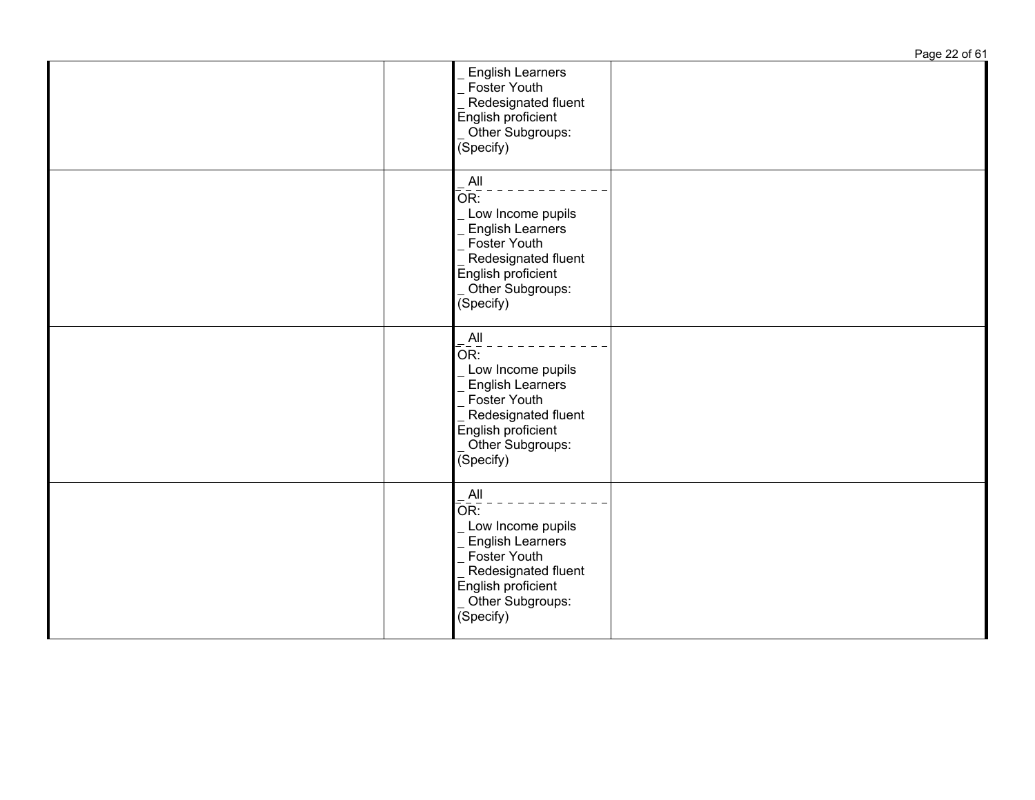|                                                                                                                                                                                 | Page 22 of 61 |
|---------------------------------------------------------------------------------------------------------------------------------------------------------------------------------|---------------|
| <b>English Learners</b><br>Foster Youth<br>Redesignated fluent<br>English proficient<br>Other Subgroups:<br>(Specify)                                                           |               |
| All<br>OR:<br>Low Income pupils<br><b>English Learners</b><br>Foster Youth<br>Redesignated fluent<br>English proficient<br>Other Subgroups:<br>(Specify)                        |               |
| All<br>OR:<br>Low Income pupils<br><b>English Learners</b><br>Foster Youth<br>Redesignated fluent<br>English proficient<br>Other Subgroups:<br>(Specify)                        |               |
| All<br>$\overline{\mathsf{OR}}$ :<br>Low Income pupils<br><b>English Learners</b><br>Foster Youth<br>Redesignated fluent<br>English proficient<br>Other Subgroups:<br>(Specify) |               |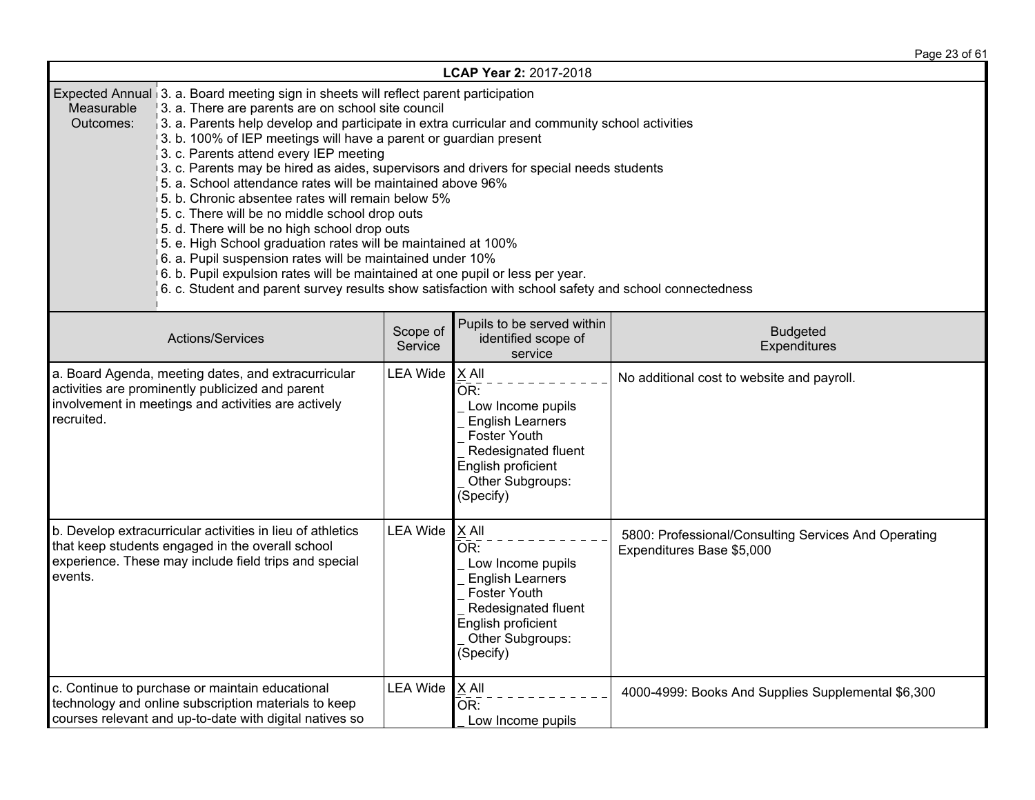Page 23 of 61

| LCAP Year 2: 2017-2018                                                                                                                                                                                                                                                                                                                                                                                                                                                                                                                                                                                                                                                                                                                                                                                                                                                                                                                                                                                                         |                 |                                                                                                                                                            |                                                                                   |  |  |  |
|--------------------------------------------------------------------------------------------------------------------------------------------------------------------------------------------------------------------------------------------------------------------------------------------------------------------------------------------------------------------------------------------------------------------------------------------------------------------------------------------------------------------------------------------------------------------------------------------------------------------------------------------------------------------------------------------------------------------------------------------------------------------------------------------------------------------------------------------------------------------------------------------------------------------------------------------------------------------------------------------------------------------------------|-----------------|------------------------------------------------------------------------------------------------------------------------------------------------------------|-----------------------------------------------------------------------------------|--|--|--|
| Expected Annual 3. a. Board meeting sign in sheets will reflect parent participation<br>Measurable<br>3. a. There are parents are on school site council<br>3. a. Parents help develop and participate in extra curricular and community school activities<br>Outcomes:<br>3. b. 100% of IEP meetings will have a parent or guardian present<br>3. c. Parents attend every IEP meeting<br>3. c. Parents may be hired as aides, supervisors and drivers for special needs students<br>5. a. School attendance rates will be maintained above 96%<br>5. b. Chronic absentee rates will remain below 5%<br>5. c. There will be no middle school drop outs<br>5. d. There will be no high school drop outs<br>5. e. High School graduation rates will be maintained at 100%<br>6. a. Pupil suspension rates will be maintained under 10%<br>6. b. Pupil expulsion rates will be maintained at one pupil or less per year.<br>6. c. Student and parent survey results show satisfaction with school safety and school connectedness |                 |                                                                                                                                                            |                                                                                   |  |  |  |
| Pupils to be served within<br>Scope of<br><b>Budgeted</b><br>Actions/Services<br>identified scope of<br>Service<br>Expenditures<br>service                                                                                                                                                                                                                                                                                                                                                                                                                                                                                                                                                                                                                                                                                                                                                                                                                                                                                     |                 |                                                                                                                                                            |                                                                                   |  |  |  |
| a. Board Agenda, meeting dates, and extracurricular<br><b>LEA Wide</b><br>activities are prominently publicized and parent<br>involvement in meetings and activities are actively<br>recruited.                                                                                                                                                                                                                                                                                                                                                                                                                                                                                                                                                                                                                                                                                                                                                                                                                                |                 | X All<br>OR:<br>Low Income pupils<br><b>English Learners</b><br>Foster Youth<br>Redesignated fluent<br>English proficient<br>Other Subgroups:<br>(Specify) | No additional cost to website and payroll.                                        |  |  |  |
| b. Develop extracurricular activities in lieu of athletics<br>that keep students engaged in the overall school<br>experience. These may include field trips and special<br>events.                                                                                                                                                                                                                                                                                                                                                                                                                                                                                                                                                                                                                                                                                                                                                                                                                                             | <b>LEA Wide</b> | X All<br>OR:<br>Low Income pupils<br><b>English Learners</b><br>Foster Youth<br>Redesignated fluent<br>English proficient<br>Other Subgroups:<br>(Specify) | 5800: Professional/Consulting Services And Operating<br>Expenditures Base \$5,000 |  |  |  |
| c. Continue to purchase or maintain educational<br>technology and online subscription materials to keep<br>courses relevant and up-to-date with digital natives so                                                                                                                                                                                                                                                                                                                                                                                                                                                                                                                                                                                                                                                                                                                                                                                                                                                             | <b>LEA Wide</b> | X All<br>OR:<br>Low Income pupils                                                                                                                          | 4000-4999: Books And Supplies Supplemental \$6,300                                |  |  |  |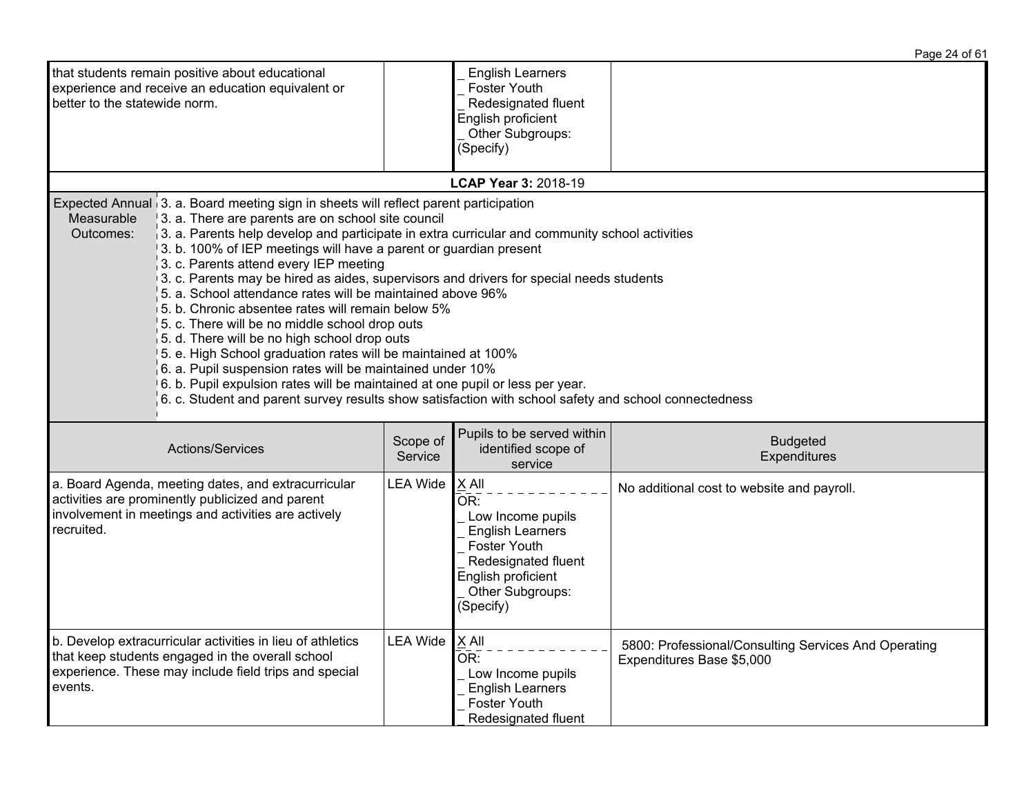|                                                                                                                                                                                                                                                                                                                                                                                                                                                                                                                                                                                                                                                                                                                                                                                                                                                                                                                                                                                                                                                |                     |                                                                                                                                                              | Page 24 of 61                                                                     |  |
|------------------------------------------------------------------------------------------------------------------------------------------------------------------------------------------------------------------------------------------------------------------------------------------------------------------------------------------------------------------------------------------------------------------------------------------------------------------------------------------------------------------------------------------------------------------------------------------------------------------------------------------------------------------------------------------------------------------------------------------------------------------------------------------------------------------------------------------------------------------------------------------------------------------------------------------------------------------------------------------------------------------------------------------------|---------------------|--------------------------------------------------------------------------------------------------------------------------------------------------------------|-----------------------------------------------------------------------------------|--|
| that students remain positive about educational<br>experience and receive an education equivalent or<br>better to the statewide norm.                                                                                                                                                                                                                                                                                                                                                                                                                                                                                                                                                                                                                                                                                                                                                                                                                                                                                                          |                     | <b>English Learners</b><br>Foster Youth<br>Redesignated fluent<br>English proficient<br>Other Subgroups:<br>(Specify)                                        |                                                                                   |  |
|                                                                                                                                                                                                                                                                                                                                                                                                                                                                                                                                                                                                                                                                                                                                                                                                                                                                                                                                                                                                                                                |                     | LCAP Year 3: 2018-19                                                                                                                                         |                                                                                   |  |
| Expected Annual 3. a. Board meeting sign in sheets will reflect parent participation<br>Measurable<br>3. a. There are parents are on school site council<br>$\frac{1}{3}$ 3. a. Parents help develop and participate in extra curricular and community school activities<br>Outcomes:<br>3. b. 100% of IEP meetings will have a parent or guardian present<br>3. c. Parents attend every IEP meeting<br>3. c. Parents may be hired as aides, supervisors and drivers for special needs students<br>5. a. School attendance rates will be maintained above 96%<br>5. b. Chronic absentee rates will remain below 5%<br>5. c. There will be no middle school drop outs<br>5. d. There will be no high school drop outs<br>5. e. High School graduation rates will be maintained at 100%<br>$6.$ a. Pupil suspension rates will be maintained under 10%<br>6. b. Pupil expulsion rates will be maintained at one pupil or less per year.<br>6. c. Student and parent survey results show satisfaction with school safety and school connectedness |                     |                                                                                                                                                              |                                                                                   |  |
| Actions/Services                                                                                                                                                                                                                                                                                                                                                                                                                                                                                                                                                                                                                                                                                                                                                                                                                                                                                                                                                                                                                               | Scope of<br>Service | Pupils to be served within<br>identified scope of<br>service                                                                                                 | <b>Budgeted</b><br>Expenditures                                                   |  |
| a. Board Agenda, meeting dates, and extracurricular<br>activities are prominently publicized and parent<br>involvement in meetings and activities are actively<br>recruited.                                                                                                                                                                                                                                                                                                                                                                                                                                                                                                                                                                                                                                                                                                                                                                                                                                                                   | <b>LEA Wide</b>     | $X$ All<br>OR:<br>Low Income pupils<br><b>English Learners</b><br>Foster Youth<br>Redesignated fluent<br>English proficient<br>Other Subgroups:<br>(Specify) | No additional cost to website and payroll.                                        |  |
| b. Develop extracurricular activities in lieu of athletics<br>that keep students engaged in the overall school<br>experience. These may include field trips and special<br>events.                                                                                                                                                                                                                                                                                                                                                                                                                                                                                                                                                                                                                                                                                                                                                                                                                                                             | <b>LEA Wide</b>     | $X$ All<br>OR:<br>Low Income pupils<br><b>English Learners</b><br>Foster Youth<br>Redesignated fluent                                                        | 5800: Professional/Consulting Services And Operating<br>Expenditures Base \$5,000 |  |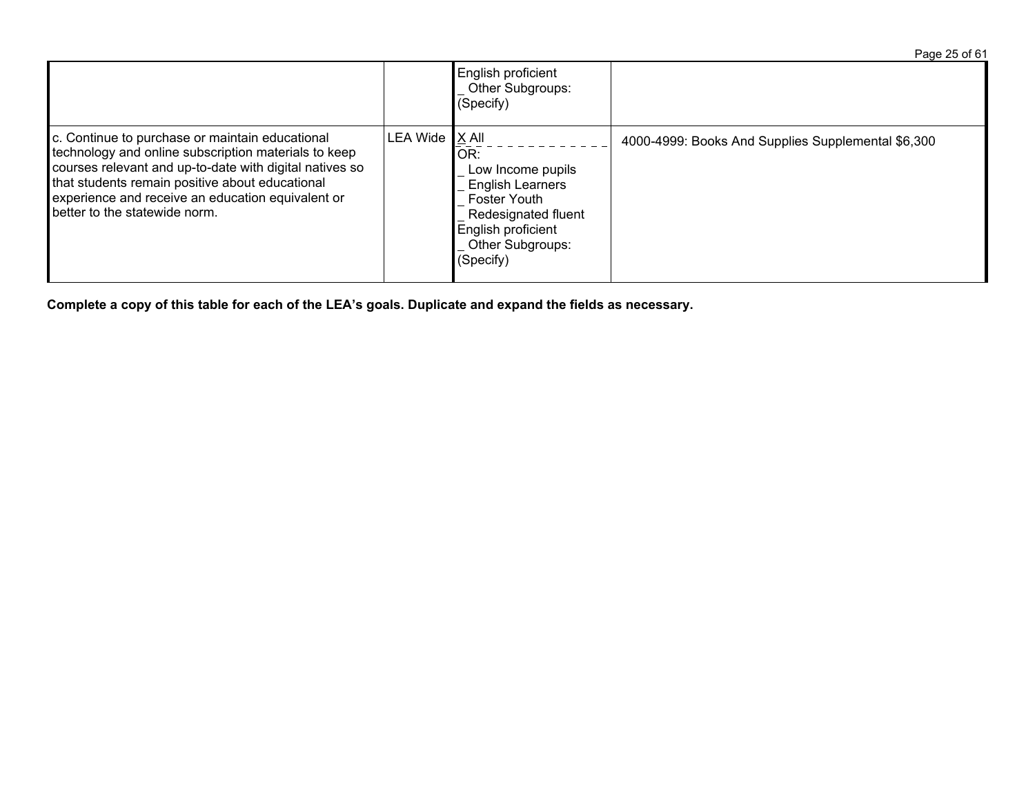Page 25 of 61 English proficient Other Subgroups:  $\sqrt{\text{Specify}}$ c. Continue to purchase or maintain educational technology and online subscription materials to keep courses relevant and up-to-date with digital natives so that students remain positive about educational experience and receive an education equivalent or better to the statewide norm. LEA Wide  $X$  All  $\overline{OR}$ : Low Income pupils English Learners Foster Youth Redesignated fluent English proficient Other Subgroups: (Specify) 4000-4999: Books And Supplies Supplemental \$6,300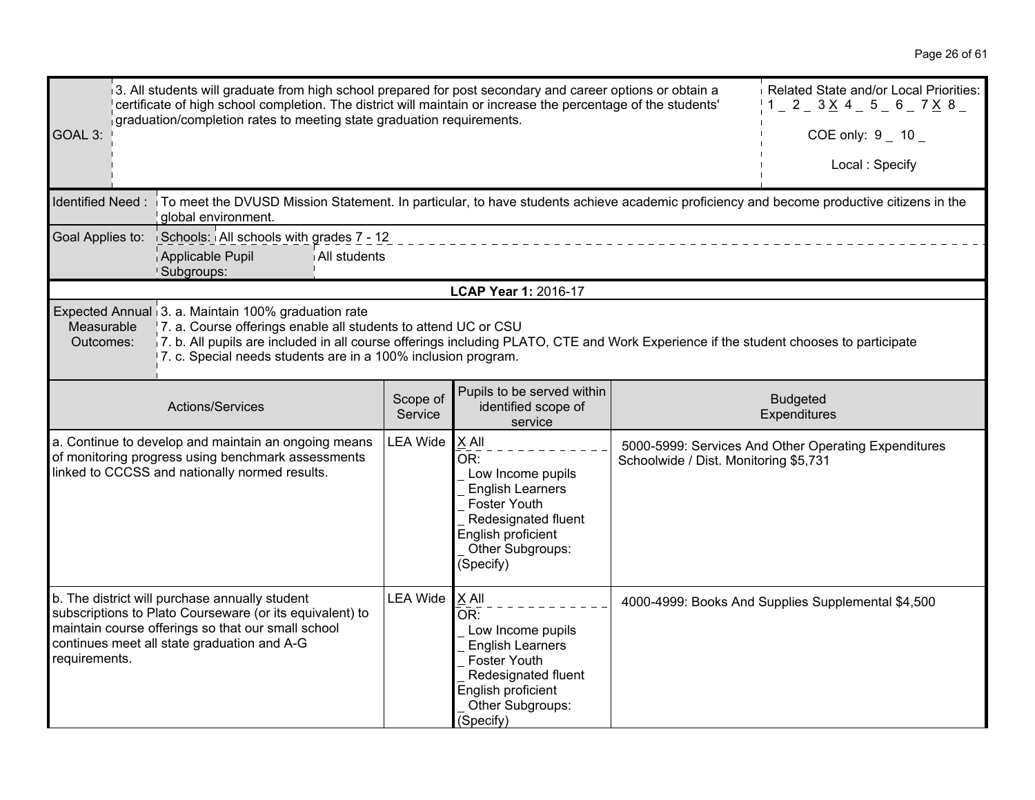| 3. All students will graduate from high school prepared for post secondary and career options or obtain a<br>certificate of high school completion. The district will maintain or increase the percentage of the students'<br>graduation/completion rates to meeting state graduation requirements.<br>GOAL 3:                                                                         |                                                                                                                                                                                                                 |                     |                                                                                                                                                            |                                                      | Related State and/or Local Priorities:<br>$1 - 2 - 3 \times 4 - 5 - 6 - 7 \times 8$<br>COE only: $9 - 10 -$<br>Local: Specify |
|----------------------------------------------------------------------------------------------------------------------------------------------------------------------------------------------------------------------------------------------------------------------------------------------------------------------------------------------------------------------------------------|-----------------------------------------------------------------------------------------------------------------------------------------------------------------------------------------------------------------|---------------------|------------------------------------------------------------------------------------------------------------------------------------------------------------|------------------------------------------------------|-------------------------------------------------------------------------------------------------------------------------------|
|                                                                                                                                                                                                                                                                                                                                                                                        | Identified Need : To meet the DVUSD Mission Statement. In particular, to have students achieve academic proficiency and become productive citizens in the<br>global environment.                                |                     |                                                                                                                                                            |                                                      |                                                                                                                               |
|                                                                                                                                                                                                                                                                                                                                                                                        | Goal Applies to: Schools: All schools with grades 7 - 12<br>Applicable Pupil<br>All students<br>Subgroups:                                                                                                      |                     |                                                                                                                                                            |                                                      |                                                                                                                               |
|                                                                                                                                                                                                                                                                                                                                                                                        |                                                                                                                                                                                                                 |                     | LCAP Year 1: 2016-17                                                                                                                                       |                                                      |                                                                                                                               |
| Expected Annual 3. a. Maintain 100% graduation rate<br>Measurable<br>7. a. Course offerings enable all students to attend UC or CSU<br>7. b. All pupils are included in all course offerings including PLATO, CTE and Work Experience if the student chooses to participate<br>Outcomes:<br>7. c. Special needs students are in a 100% inclusion program.                              |                                                                                                                                                                                                                 |                     |                                                                                                                                                            |                                                      |                                                                                                                               |
|                                                                                                                                                                                                                                                                                                                                                                                        | Actions/Services                                                                                                                                                                                                | Scope of<br>Service | Pupils to be served within<br>identified scope of<br>service                                                                                               |                                                      | <b>Budgeted</b><br>Expenditures                                                                                               |
| <b>LEA Wide</b><br>X All<br>a. Continue to develop and maintain an ongoing means<br>of monitoring progress using benchmark assessments<br>OR:<br>Schoolwide / Dist. Monitoring \$5,731<br>linked to CCCSS and nationally normed results.<br>Low Income pupils<br><b>English Learners</b><br>Foster Youth<br>Redesignated fluent<br>English proficient<br>Other Subgroups:<br>(Specify) |                                                                                                                                                                                                                 |                     |                                                                                                                                                            | 5000-5999: Services And Other Operating Expenditures |                                                                                                                               |
| requirements.                                                                                                                                                                                                                                                                                                                                                                          | b. The district will purchase annually student<br>subscriptions to Plato Courseware (or its equivalent) to<br>maintain course offerings so that our small school<br>continues meet all state graduation and A-G | <b>LEA Wide</b>     | X All<br>OR:<br>Low Income pupils<br><b>English Learners</b><br>Foster Youth<br>Redesignated fluent<br>English proficient<br>Other Subgroups:<br>(Specify) |                                                      | 4000-4999: Books And Supplies Supplemental \$4,500                                                                            |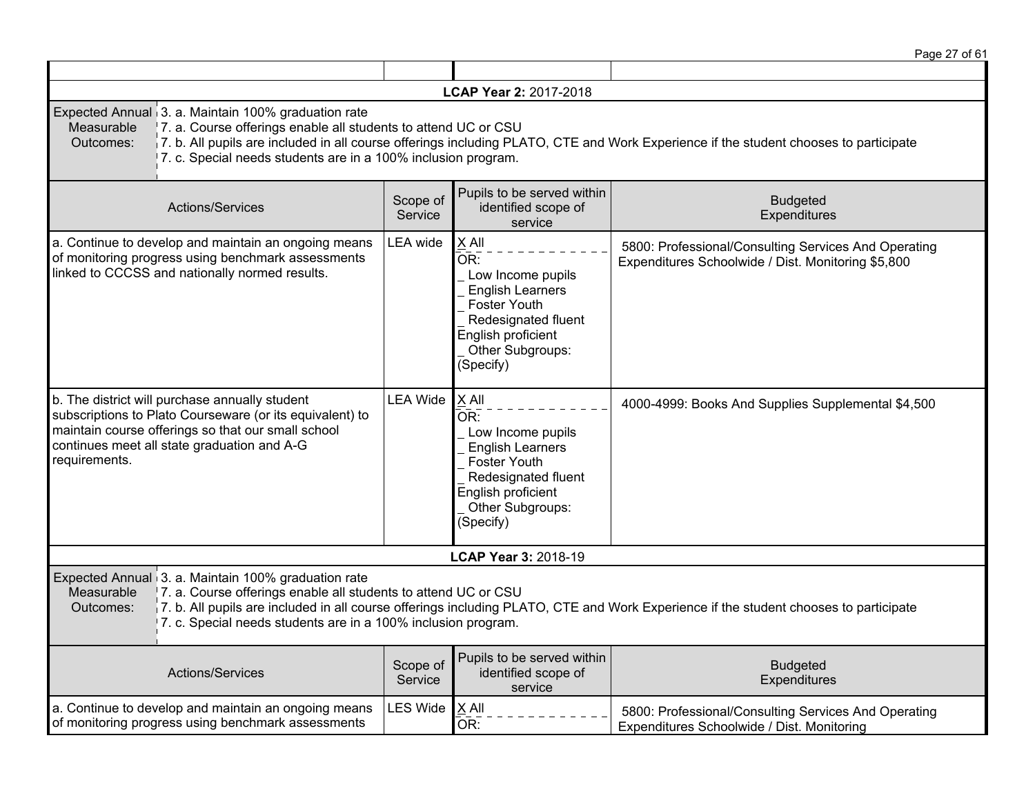|                                                                                                                                                                                                                                                                                                                                                           |                     |                                                                                                                                                                   | Page 27 of 61                                                                                                                        |  |
|-----------------------------------------------------------------------------------------------------------------------------------------------------------------------------------------------------------------------------------------------------------------------------------------------------------------------------------------------------------|---------------------|-------------------------------------------------------------------------------------------------------------------------------------------------------------------|--------------------------------------------------------------------------------------------------------------------------------------|--|
|                                                                                                                                                                                                                                                                                                                                                           |                     |                                                                                                                                                                   |                                                                                                                                      |  |
|                                                                                                                                                                                                                                                                                                                                                           |                     | LCAP Year 2: 2017-2018                                                                                                                                            |                                                                                                                                      |  |
| Expected Annual 3. a. Maintain 100% graduation rate<br>Measurable<br>7. a. Course offerings enable all students to attend UC or CSU<br>Outcomes:<br>7. c. Special needs students are in a 100% inclusion program.                                                                                                                                         |                     |                                                                                                                                                                   | 7. b. All pupils are included in all course offerings including PLATO, CTE and Work Experience if the student chooses to participate |  |
| Actions/Services                                                                                                                                                                                                                                                                                                                                          | Scope of<br>Service | Pupils to be served within<br>identified scope of<br>service                                                                                                      | <b>Budgeted</b><br>Expenditures                                                                                                      |  |
| a. Continue to develop and maintain an ongoing means<br>of monitoring progress using benchmark assessments<br>linked to CCCSS and nationally normed results.                                                                                                                                                                                              | LEA wide            | X All<br>OR:<br>Low Income pupils<br><b>English Learners</b><br><b>Foster Youth</b><br>Redesignated fluent<br>English proficient<br>Other Subgroups:<br>(Specify) | 5800: Professional/Consulting Services And Operating<br>Expenditures Schoolwide / Dist. Monitoring \$5,800                           |  |
| b. The district will purchase annually student<br>subscriptions to Plato Courseware (or its equivalent) to<br>maintain course offerings so that our small school<br>continues meet all state graduation and A-G<br>requirements.                                                                                                                          | <b>LEA Wide</b>     | X All<br>OR:<br>Low Income pupils<br><b>English Learners</b><br><b>Foster Youth</b><br>Redesignated fluent<br>English proficient<br>Other Subgroups:<br>(Specify) | 4000-4999: Books And Supplies Supplemental \$4,500                                                                                   |  |
|                                                                                                                                                                                                                                                                                                                                                           |                     | LCAP Year 3: 2018-19                                                                                                                                              |                                                                                                                                      |  |
| Expected Annual 3. a. Maintain 100% graduation rate<br>7. a. Course offerings enable all students to attend UC or CSU<br>Measurable<br>7. b. All pupils are included in all course offerings including PLATO, CTE and Work Experience if the student chooses to participate<br>Outcomes:<br>7. c. Special needs students are in a 100% inclusion program. |                     |                                                                                                                                                                   |                                                                                                                                      |  |
| Actions/Services                                                                                                                                                                                                                                                                                                                                          | Scope of<br>Service | Pupils to be served within<br>identified scope of<br>service                                                                                                      | <b>Budgeted</b><br>Expenditures                                                                                                      |  |
| a. Continue to develop and maintain an ongoing means<br>of monitoring progress using benchmark assessments                                                                                                                                                                                                                                                | <b>LES Wide</b>     | $X$ All<br>OR:                                                                                                                                                    | 5800: Professional/Consulting Services And Operating<br>Expenditures Schoolwide / Dist. Monitoring                                   |  |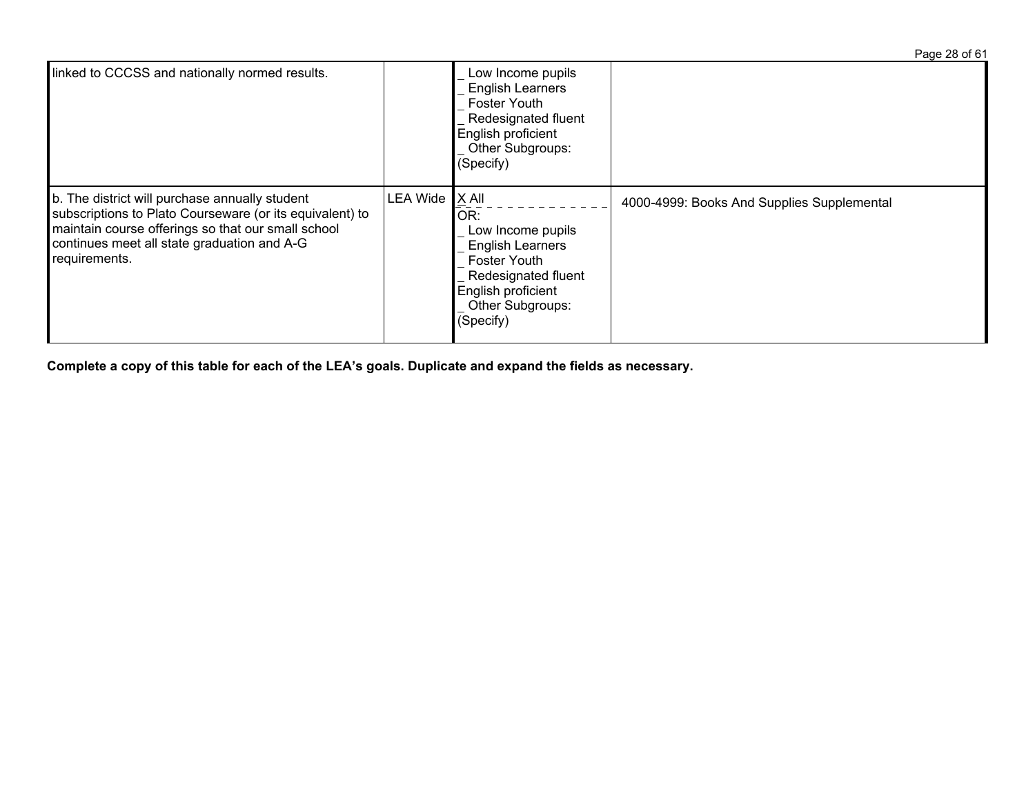|                                                                                                                                                                                                                                  |          |                                                                                                                                                                     | Page 28 of 61                              |
|----------------------------------------------------------------------------------------------------------------------------------------------------------------------------------------------------------------------------------|----------|---------------------------------------------------------------------------------------------------------------------------------------------------------------------|--------------------------------------------|
| linked to CCCSS and nationally normed results.                                                                                                                                                                                   |          | Low Income pupils<br><b>English Learners</b><br><b>Foster Youth</b><br>Redesignated fluent<br>English proficient<br>Other Subgroups:<br>(Specify)                   |                                            |
| b. The district will purchase annually student<br>subscriptions to Plato Courseware (or its equivalent) to<br>maintain course offerings so that our small school<br>continues meet all state graduation and A-G<br>requirements. | LEA Wide | $X$ All<br>OR:<br>Low Income pupils<br><b>English Learners</b><br><b>Foster Youth</b><br>Redesignated fluent<br>English proficient<br>Other Subgroups:<br>(Specify) | 4000-4999: Books And Supplies Supplemental |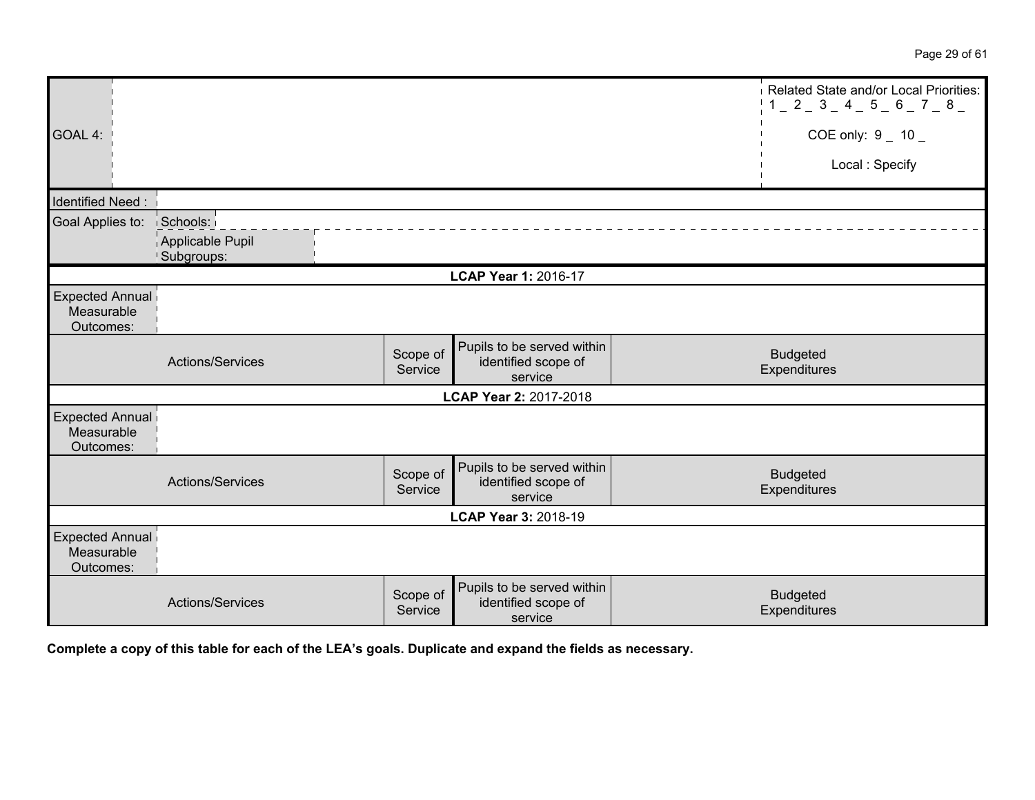|                                                   |                                |                     |                                                              | Related State and/or Local Priorities:<br>$1 - 2 - 3 - 4 - 5 - 6 - 7 - 8 -$ |
|---------------------------------------------------|--------------------------------|---------------------|--------------------------------------------------------------|-----------------------------------------------------------------------------|
| GOAL 4:                                           |                                |                     |                                                              | COE only: $9 - 10 -$                                                        |
|                                                   |                                |                     |                                                              | Local: Specify                                                              |
| Identified Need:                                  |                                |                     |                                                              |                                                                             |
| Goal Applies to:                                  | Schools:                       |                     |                                                              |                                                                             |
|                                                   | Applicable Pupil<br>Subgroups: |                     |                                                              |                                                                             |
|                                                   |                                |                     | LCAP Year 1: 2016-17                                         |                                                                             |
| <b>Expected Annual</b><br>Measurable<br>Outcomes: |                                |                     |                                                              |                                                                             |
|                                                   | Actions/Services               | Scope of<br>Service | Pupils to be served within<br>identified scope of<br>service | <b>Budgeted</b><br>Expenditures                                             |
|                                                   |                                |                     | LCAP Year 2: 2017-2018                                       |                                                                             |
| <b>Expected Annual</b><br>Measurable<br>Outcomes: |                                |                     |                                                              |                                                                             |
|                                                   | Actions/Services               | Scope of<br>Service | Pupils to be served within<br>identified scope of<br>service | <b>Budgeted</b><br>Expenditures                                             |
|                                                   |                                |                     | LCAP Year 3: 2018-19                                         |                                                                             |
| Expected Annual<br>Measurable<br>Outcomes:        |                                |                     |                                                              |                                                                             |
|                                                   | Actions/Services               | Scope of<br>Service | Pupils to be served within<br>identified scope of<br>service | <b>Budgeted</b><br>Expenditures                                             |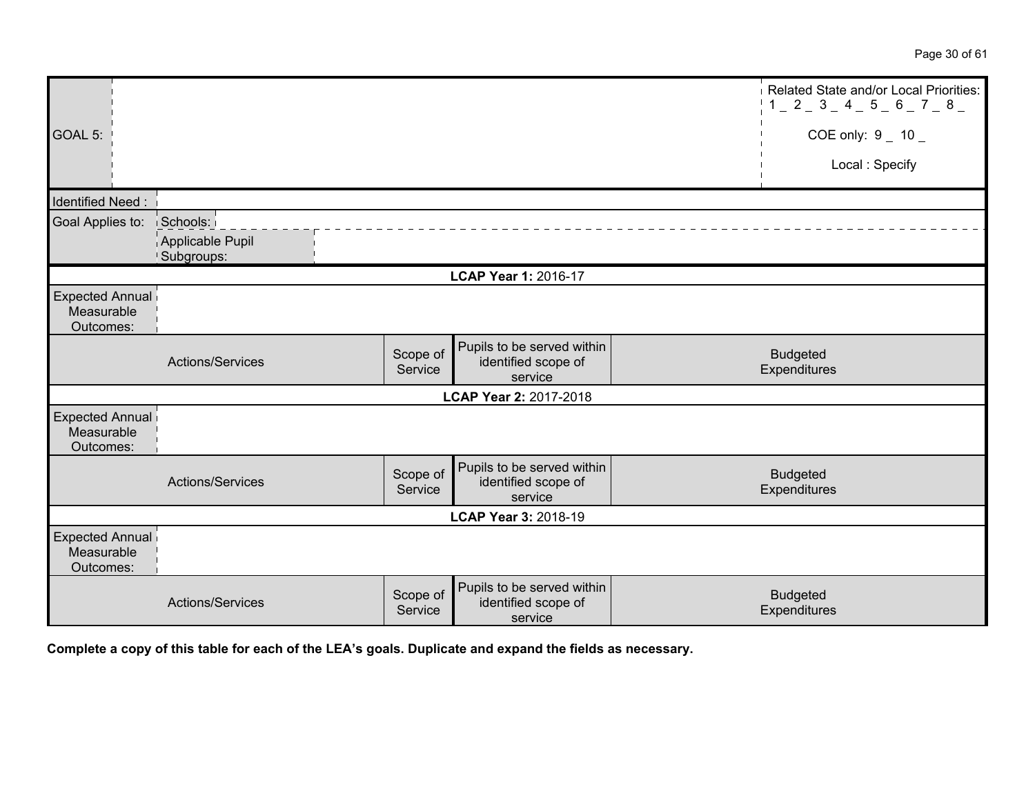|                                                   |                                |                     |                                                              | Related State and/or Local Priorities:<br>$1 - 2 - 3 - 4 - 5 - 6 - 7 - 8 -$ |
|---------------------------------------------------|--------------------------------|---------------------|--------------------------------------------------------------|-----------------------------------------------------------------------------|
| GOAL 5:                                           |                                |                     |                                                              | COE only: $9 - 10 -$                                                        |
|                                                   |                                |                     |                                                              | Local: Specify                                                              |
| Identified Need:                                  |                                |                     |                                                              |                                                                             |
| Goal Applies to:                                  | Schools:                       |                     |                                                              |                                                                             |
|                                                   | Applicable Pupil<br>Subgroups: |                     |                                                              |                                                                             |
|                                                   |                                |                     | LCAP Year 1: 2016-17                                         |                                                                             |
| <b>Expected Annual</b><br>Measurable<br>Outcomes: |                                |                     |                                                              |                                                                             |
|                                                   | Actions/Services               | Scope of<br>Service | Pupils to be served within<br>identified scope of<br>service | <b>Budgeted</b><br>Expenditures                                             |
|                                                   |                                |                     | LCAP Year 2: 2017-2018                                       |                                                                             |
| <b>Expected Annual</b><br>Measurable<br>Outcomes: |                                |                     |                                                              |                                                                             |
|                                                   | Actions/Services               | Scope of<br>Service | Pupils to be served within<br>identified scope of<br>service | <b>Budgeted</b><br>Expenditures                                             |
|                                                   |                                |                     | LCAP Year 3: 2018-19                                         |                                                                             |
| Expected Annual<br>Measurable<br>Outcomes:        |                                |                     |                                                              |                                                                             |
|                                                   | Actions/Services               | Scope of<br>Service | Pupils to be served within<br>identified scope of<br>service | <b>Budgeted</b><br>Expenditures                                             |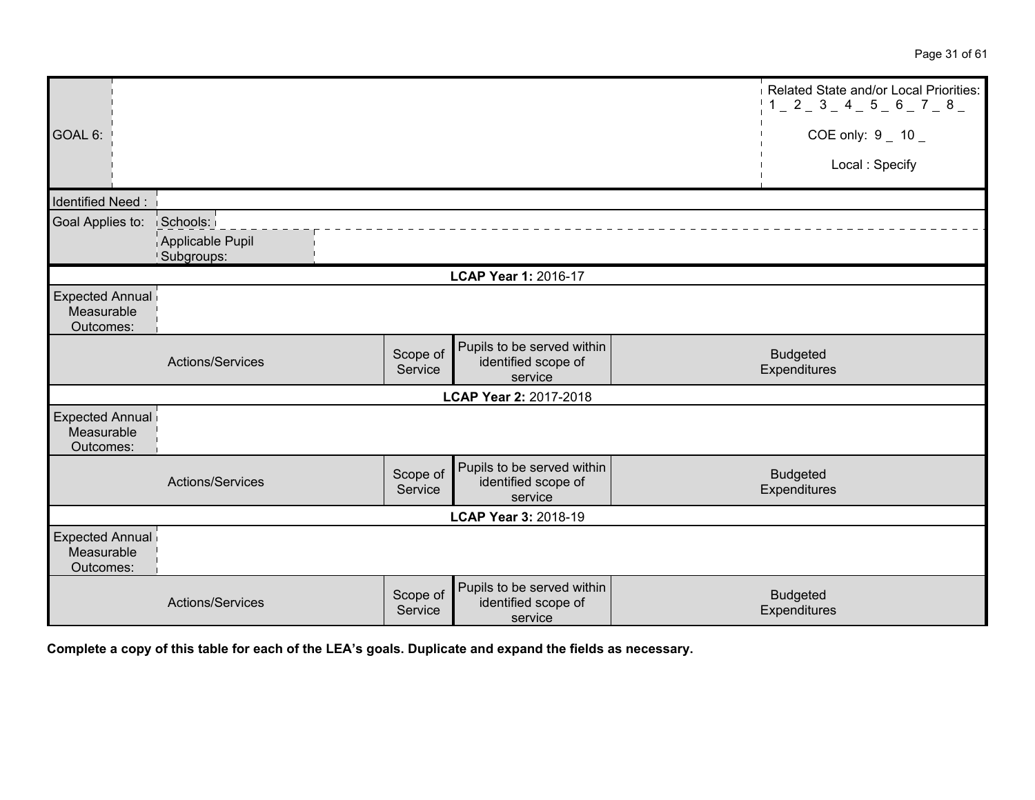|                                                   |                                |                     |                                                              | Related State and/or Local Priorities:<br>$1 - 2 - 3 - 4 - 5 - 6 - 7 - 8 -$ |
|---------------------------------------------------|--------------------------------|---------------------|--------------------------------------------------------------|-----------------------------------------------------------------------------|
| GOAL 6:                                           |                                |                     |                                                              | COE only: $9 - 10 -$                                                        |
|                                                   |                                |                     |                                                              | Local: Specify                                                              |
| Identified Need:                                  |                                |                     |                                                              |                                                                             |
| Goal Applies to:                                  | Schools:                       |                     |                                                              |                                                                             |
|                                                   | Applicable Pupil<br>Subgroups: |                     |                                                              |                                                                             |
|                                                   |                                |                     | LCAP Year 1: 2016-17                                         |                                                                             |
| <b>Expected Annual</b><br>Measurable<br>Outcomes: |                                |                     |                                                              |                                                                             |
|                                                   | Actions/Services               | Scope of<br>Service | Pupils to be served within<br>identified scope of<br>service | <b>Budgeted</b><br>Expenditures                                             |
|                                                   |                                |                     | LCAP Year 2: 2017-2018                                       |                                                                             |
| <b>Expected Annual</b><br>Measurable<br>Outcomes: |                                |                     |                                                              |                                                                             |
|                                                   | Actions/Services               | Scope of<br>Service | Pupils to be served within<br>identified scope of<br>service | <b>Budgeted</b><br>Expenditures                                             |
|                                                   |                                |                     | LCAP Year 3: 2018-19                                         |                                                                             |
| Expected Annual<br>Measurable<br>Outcomes:        |                                |                     |                                                              |                                                                             |
|                                                   | Actions/Services               | Scope of<br>Service | Pupils to be served within<br>identified scope of<br>service | <b>Budgeted</b><br>Expenditures                                             |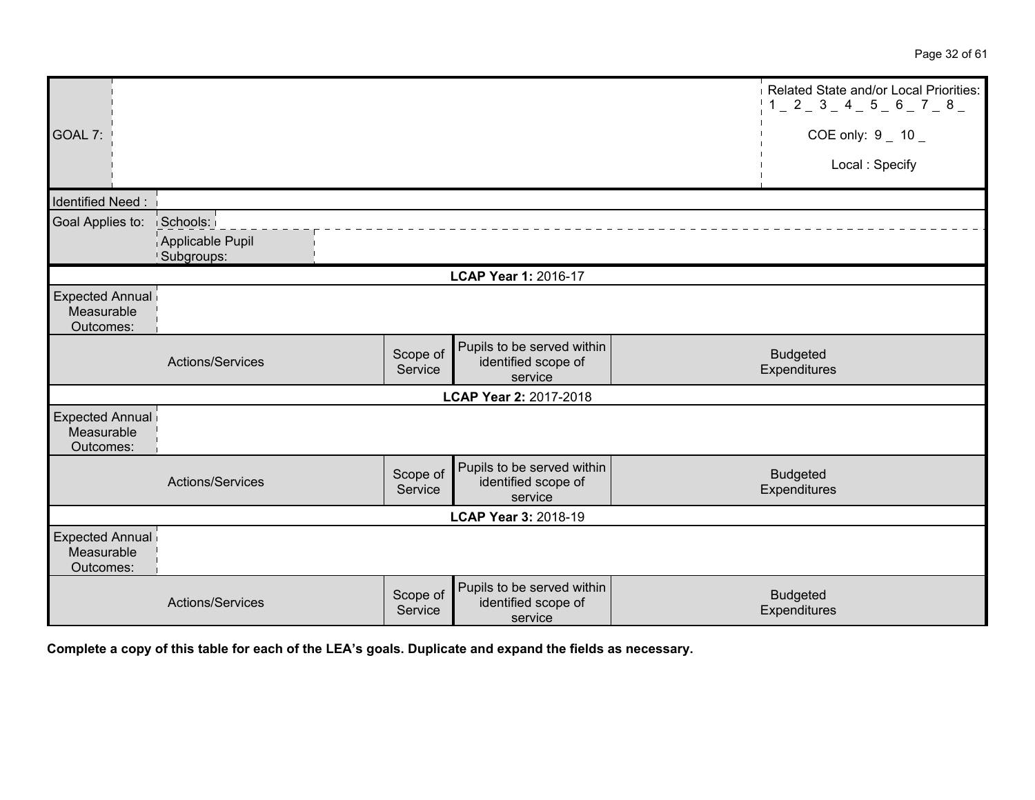|                                                   |                                |                     |                                                              | Related State and/or Local Priorities:<br>$1 - 2 - 3 - 4 - 5 - 6 - 7 - 8 -$ |
|---------------------------------------------------|--------------------------------|---------------------|--------------------------------------------------------------|-----------------------------------------------------------------------------|
| GOAL 7:                                           |                                |                     |                                                              | COE only: $9 - 10 -$                                                        |
|                                                   |                                |                     |                                                              | Local: Specify                                                              |
| <b>Identified Need:</b>                           |                                |                     |                                                              |                                                                             |
| Goal Applies to:                                  | Schools:                       |                     |                                                              |                                                                             |
|                                                   | Applicable Pupil<br>Subgroups: |                     |                                                              |                                                                             |
|                                                   |                                |                     | LCAP Year 1: 2016-17                                         |                                                                             |
| <b>Expected Annual</b><br>Measurable<br>Outcomes: |                                |                     |                                                              |                                                                             |
|                                                   | Actions/Services               | Scope of<br>Service | Pupils to be served within<br>identified scope of<br>service | <b>Budgeted</b><br>Expenditures                                             |
|                                                   |                                |                     | LCAP Year 2: 2017-2018                                       |                                                                             |
| <b>Expected Annual</b><br>Measurable<br>Outcomes: |                                |                     |                                                              |                                                                             |
|                                                   | Actions/Services               | Scope of<br>Service | Pupils to be served within<br>identified scope of<br>service | <b>Budgeted</b><br>Expenditures                                             |
|                                                   |                                |                     | LCAP Year 3: 2018-19                                         |                                                                             |
| <b>Expected Annual</b><br>Measurable<br>Outcomes: |                                |                     |                                                              |                                                                             |
|                                                   | Actions/Services               | Scope of<br>Service | Pupils to be served within<br>identified scope of<br>service | <b>Budgeted</b><br>Expenditures                                             |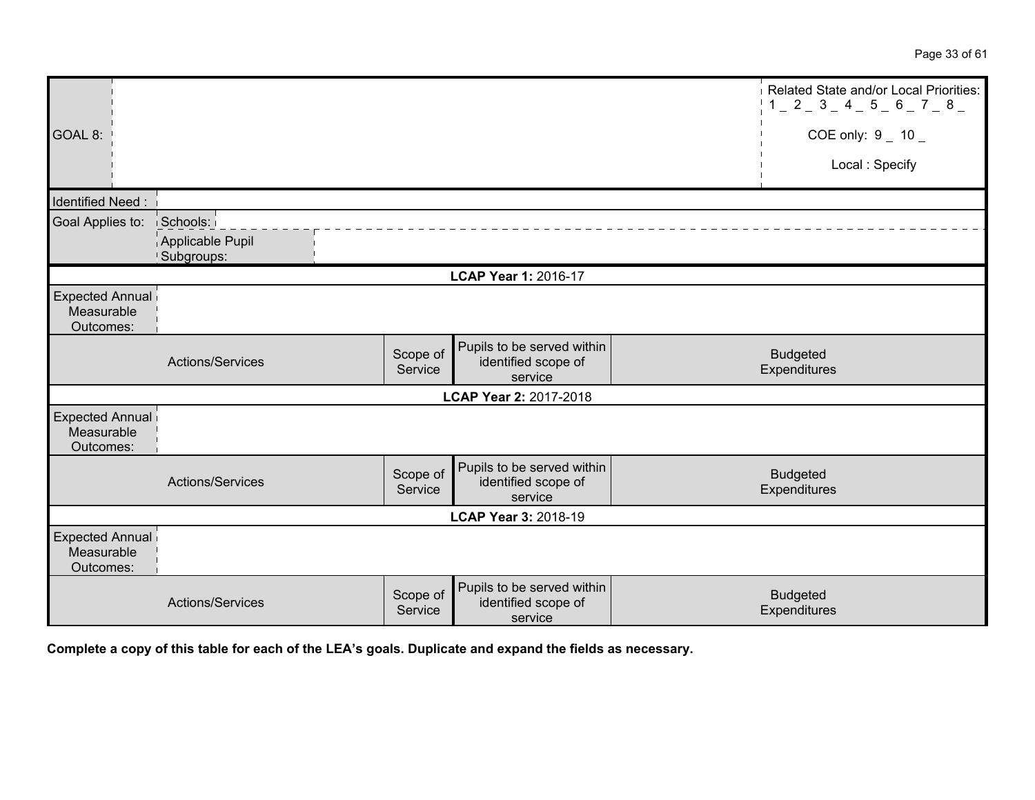|                                                   |                              |                     |                                                              | Related State and/or Local Priorities:<br>$1_{-}$ 2 $_{-}$ 3 $_{-}$ 4 $_{-}$ 5 $_{-}$ 6 $_{-}$ 7 $_{-}$ 8 $_{-}$ |
|---------------------------------------------------|------------------------------|---------------------|--------------------------------------------------------------|------------------------------------------------------------------------------------------------------------------|
| GOAL 8:                                           |                              |                     |                                                              | COE only: $9 - 10 -$                                                                                             |
|                                                   |                              |                     |                                                              | Local: Specify                                                                                                   |
| Identified Need:                                  |                              |                     |                                                              |                                                                                                                  |
| Goal Applies to:                                  | Schools:<br>Applicable Pupil |                     |                                                              |                                                                                                                  |
|                                                   | Subgroups:                   |                     |                                                              |                                                                                                                  |
|                                                   |                              |                     | LCAP Year 1: 2016-17                                         |                                                                                                                  |
| <b>Expected Annual</b><br>Measurable<br>Outcomes: |                              |                     |                                                              |                                                                                                                  |
|                                                   | Actions/Services             | Scope of<br>Service | Pupils to be served within<br>identified scope of<br>service | <b>Budgeted</b><br>Expenditures                                                                                  |
|                                                   |                              |                     | LCAP Year 2: 2017-2018                                       |                                                                                                                  |
| <b>Expected Annual</b><br>Measurable<br>Outcomes: |                              |                     |                                                              |                                                                                                                  |
|                                                   | Actions/Services             | Scope of<br>Service | Pupils to be served within<br>identified scope of<br>service | <b>Budgeted</b><br>Expenditures                                                                                  |
|                                                   |                              |                     | LCAP Year 3: 2018-19                                         |                                                                                                                  |
| <b>Expected Annual</b><br>Measurable<br>Outcomes: |                              |                     |                                                              |                                                                                                                  |
|                                                   | Actions/Services             | Scope of<br>Service | Pupils to be served within<br>identified scope of<br>service | <b>Budgeted</b><br>Expenditures                                                                                  |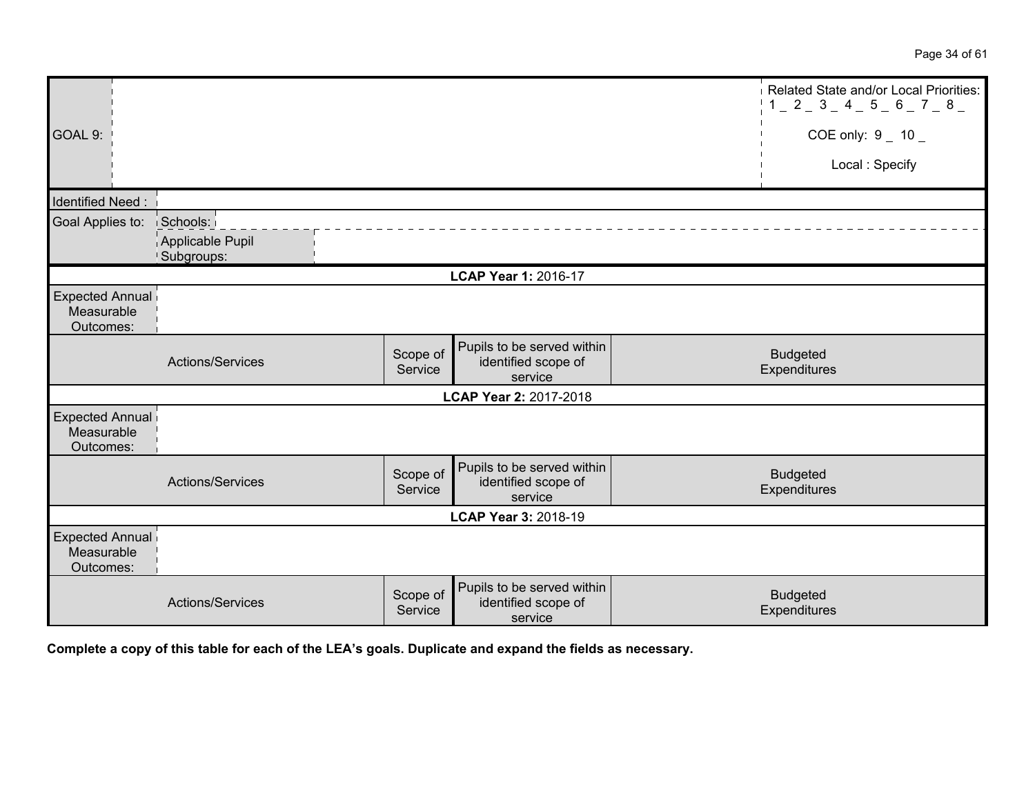|                                                   |                                |                     |                                                              | Related State and/or Local Priorities:<br>$1 - 2 - 3 - 4 - 5 - 6 - 7 - 8 -$ |
|---------------------------------------------------|--------------------------------|---------------------|--------------------------------------------------------------|-----------------------------------------------------------------------------|
| GOAL 9:                                           |                                |                     |                                                              | COE only: $9 - 10 -$                                                        |
|                                                   |                                |                     |                                                              | Local: Specify                                                              |
| Identified Need:                                  |                                |                     |                                                              |                                                                             |
| Goal Applies to:                                  | Schools:                       |                     |                                                              |                                                                             |
|                                                   | Applicable Pupil<br>Subgroups: |                     |                                                              |                                                                             |
|                                                   |                                |                     | LCAP Year 1: 2016-17                                         |                                                                             |
| <b>Expected Annual</b><br>Measurable<br>Outcomes: |                                |                     |                                                              |                                                                             |
|                                                   | Actions/Services               | Scope of<br>Service | Pupils to be served within<br>identified scope of<br>service | <b>Budgeted</b><br>Expenditures                                             |
|                                                   |                                |                     | LCAP Year 2: 2017-2018                                       |                                                                             |
| <b>Expected Annual</b><br>Measurable<br>Outcomes: |                                |                     |                                                              |                                                                             |
|                                                   | Actions/Services               | Scope of<br>Service | Pupils to be served within<br>identified scope of<br>service | <b>Budgeted</b><br>Expenditures                                             |
|                                                   |                                |                     | LCAP Year 3: 2018-19                                         |                                                                             |
| Expected Annual<br>Measurable<br>Outcomes:        |                                |                     |                                                              |                                                                             |
|                                                   | Actions/Services               | Scope of<br>Service | Pupils to be served within<br>identified scope of<br>service | <b>Budgeted</b><br>Expenditures                                             |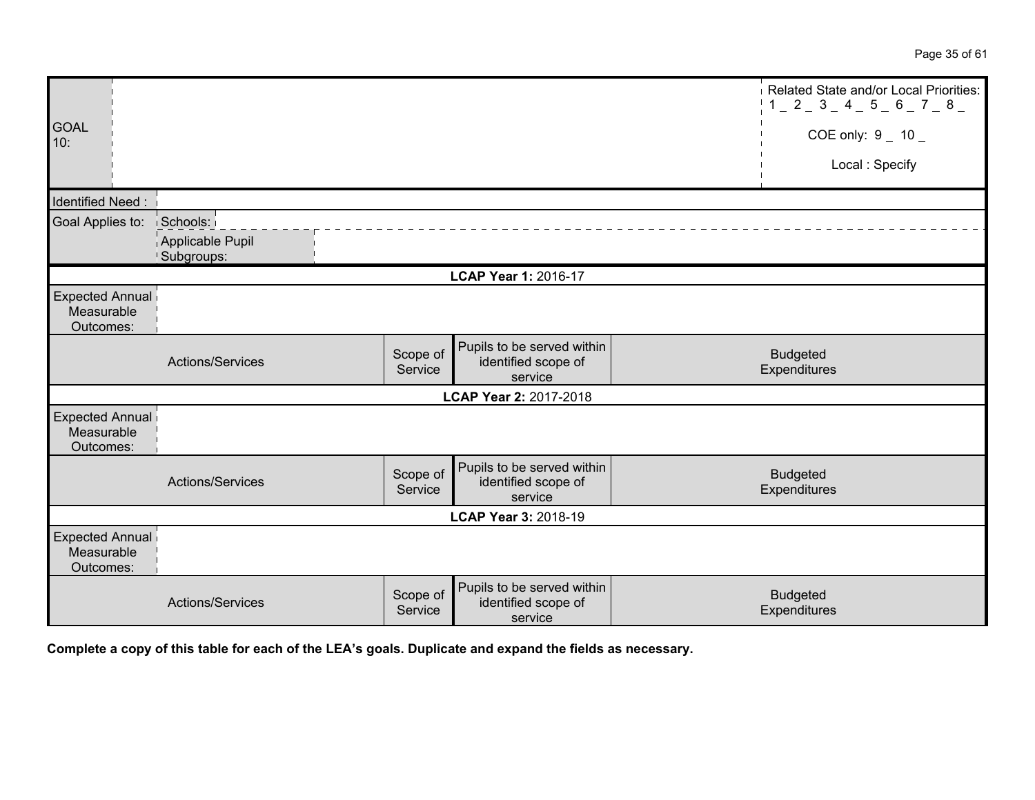|                                                   |                                |                     |                                                              | Related State and/or Local Priorities:<br>$1 - 2 - 3 - 4 - 5 - 6 - 7 - 8$ |
|---------------------------------------------------|--------------------------------|---------------------|--------------------------------------------------------------|---------------------------------------------------------------------------|
| <b>GOAL</b><br>10:                                |                                |                     |                                                              | COE only: $9 - 10$                                                        |
|                                                   |                                |                     |                                                              | Local: Specify                                                            |
| Identified Need:                                  |                                |                     |                                                              |                                                                           |
| Goal Applies to:                                  | Schools:                       |                     |                                                              |                                                                           |
|                                                   | Applicable Pupil<br>Subgroups: |                     |                                                              |                                                                           |
|                                                   |                                |                     | LCAP Year 1: 2016-17                                         |                                                                           |
| Expected Annual<br>Measurable<br>Outcomes:        |                                |                     |                                                              |                                                                           |
|                                                   | Actions/Services               | Scope of<br>Service | Pupils to be served within<br>identified scope of<br>service | <b>Budgeted</b><br>Expenditures                                           |
|                                                   |                                |                     | LCAP Year 2: 2017-2018                                       |                                                                           |
| Expected Annual<br>Measurable<br>Outcomes:        |                                |                     |                                                              |                                                                           |
|                                                   | Actions/Services               | Scope of<br>Service | Pupils to be served within<br>identified scope of<br>service | <b>Budgeted</b><br>Expenditures                                           |
|                                                   |                                |                     | LCAP Year 3: 2018-19                                         |                                                                           |
| <b>Expected Annual</b><br>Measurable<br>Outcomes: |                                |                     |                                                              |                                                                           |
|                                                   | Actions/Services               | Scope of<br>Service | Pupils to be served within<br>identified scope of<br>service | <b>Budgeted</b><br>Expenditures                                           |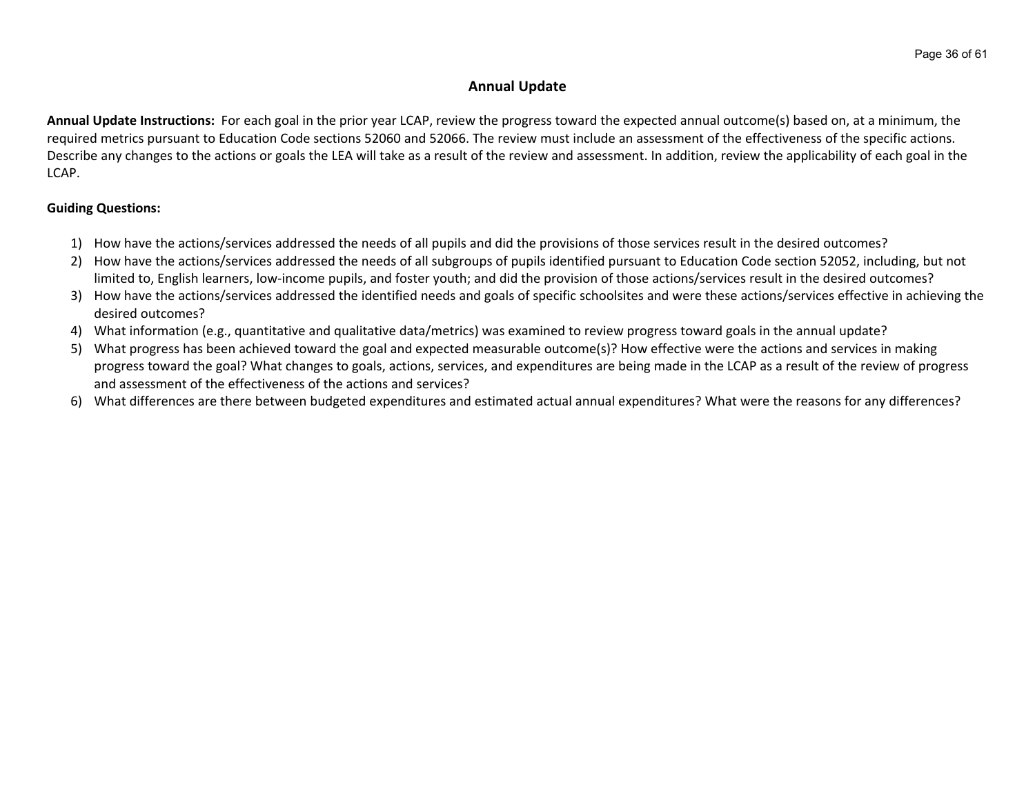## **Annual Update**

**Annual Update Instructions:** For each goal in the prior year LCAP, review the progress toward the expected annual outcome(s) based on, at a minimum, the required metrics pursuant to Education Code sections 52060 and 52066. The review must include an assessment of the effectiveness of the specific actions. Describe any changes to the actions or goals the LEA will take as a result of the review and assessment. In addition, review the applicability of each goal in the LCAP.

## **Guiding Questions:**

- 1) How have the actions/services addressed the needs of all pupils and did the provisions of those services result in the desired outcomes?
- 2) How have the actions/services addressed the needs of all subgroups of pupils identified pursuant to Education Code section 52052, including, but not limited to, English learners, low-income pupils, and foster youth; and did the provision of those actions/services result in the desired outcomes?
- 3) How have the actions/services addressed the identified needs and goals of specific schoolsites and were these actions/services effective in achieving the desired outcomes?
- 4) What information (e.g., quantitative and qualitative data/metrics) was examined to review progress toward goals in the annual update?
- 5) What progress has been achieved toward the goal and expected measurable outcome(s)? How effective were the actions and services in making progress toward the goal? What changes to goals, actions, services, and expenditures are being made in the LCAP as a result of the review of progress and assessment of the effectiveness of the actions and services?
- 6) What differences are there between budgeted expenditures and estimated actual annual expenditures? What were the reasons for any differences?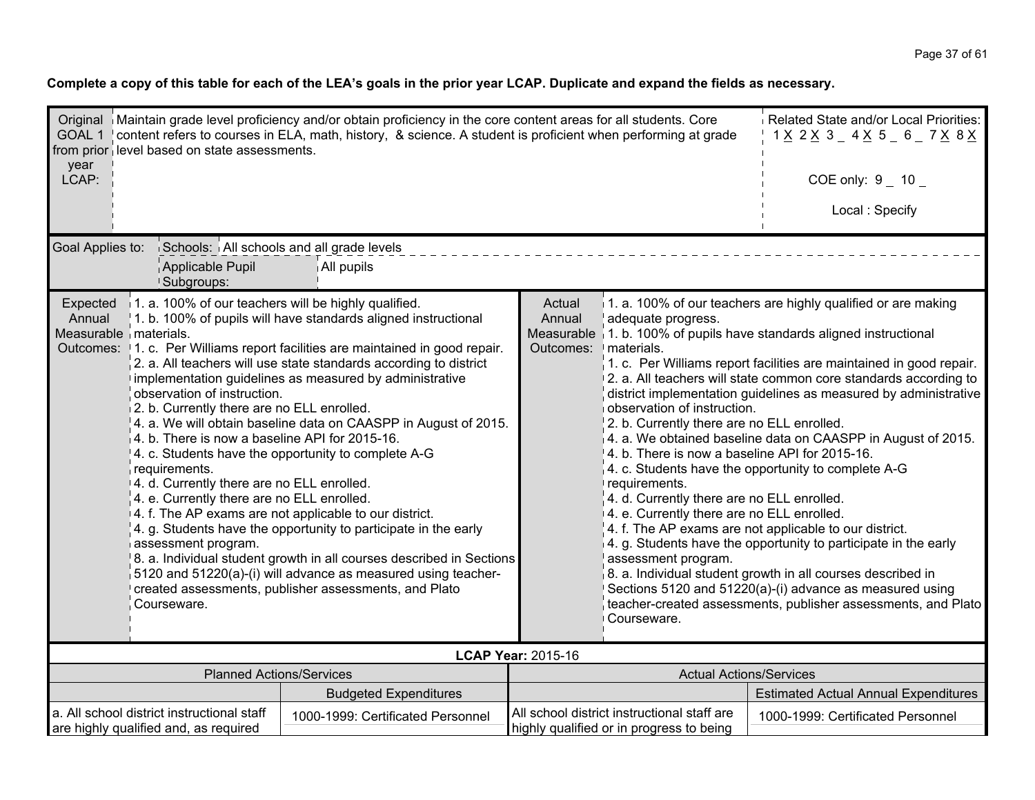| year<br>LCAP:                                                                                                                                                                                                                                                                                                                                                                                                                                                                                                                                                                                                                                                                                                                                                                                                                                                                                                                                                                                                                                                                                                                                                 | Original   Maintain grade level proficiency and/or obtain proficiency in the core content areas for all students. Core<br>GOAL 1   content refers to courses in ELA, math, history, & science. A student is proficient when performing at grade<br>from prior level based on state assessments. | Related State and/or Local Priorities:<br>1 <u>X</u> 2 <u>X</u> 3 _ 4 <u>X</u> 5 _ 6 _ 7 <u>X</u> 8 <u>X</u><br>COE only: $9 - 10 -$ |                                                                                                                                                                                                                                                                                                                                                                                                                                                                                                                                                                                                                                                                                                                                                                                                                                                                                                                                                                                                                                                                                                                                                                                  |                                                                                         |                                             |  |
|---------------------------------------------------------------------------------------------------------------------------------------------------------------------------------------------------------------------------------------------------------------------------------------------------------------------------------------------------------------------------------------------------------------------------------------------------------------------------------------------------------------------------------------------------------------------------------------------------------------------------------------------------------------------------------------------------------------------------------------------------------------------------------------------------------------------------------------------------------------------------------------------------------------------------------------------------------------------------------------------------------------------------------------------------------------------------------------------------------------------------------------------------------------|-------------------------------------------------------------------------------------------------------------------------------------------------------------------------------------------------------------------------------------------------------------------------------------------------|--------------------------------------------------------------------------------------------------------------------------------------|----------------------------------------------------------------------------------------------------------------------------------------------------------------------------------------------------------------------------------------------------------------------------------------------------------------------------------------------------------------------------------------------------------------------------------------------------------------------------------------------------------------------------------------------------------------------------------------------------------------------------------------------------------------------------------------------------------------------------------------------------------------------------------------------------------------------------------------------------------------------------------------------------------------------------------------------------------------------------------------------------------------------------------------------------------------------------------------------------------------------------------------------------------------------------------|-----------------------------------------------------------------------------------------|---------------------------------------------|--|
|                                                                                                                                                                                                                                                                                                                                                                                                                                                                                                                                                                                                                                                                                                                                                                                                                                                                                                                                                                                                                                                                                                                                                               |                                                                                                                                                                                                                                                                                                 |                                                                                                                                      |                                                                                                                                                                                                                                                                                                                                                                                                                                                                                                                                                                                                                                                                                                                                                                                                                                                                                                                                                                                                                                                                                                                                                                                  |                                                                                         | Local: Specify                              |  |
|                                                                                                                                                                                                                                                                                                                                                                                                                                                                                                                                                                                                                                                                                                                                                                                                                                                                                                                                                                                                                                                                                                                                                               | Goal Applies to:<br>Schools: All schools and all grade levels<br>Applicable Pupil<br>All pupils                                                                                                                                                                                                 |                                                                                                                                      |                                                                                                                                                                                                                                                                                                                                                                                                                                                                                                                                                                                                                                                                                                                                                                                                                                                                                                                                                                                                                                                                                                                                                                                  |                                                                                         |                                             |  |
| <sup>1</sup> Subgroups:<br>1. a. 100% of our teachers will be highly qualified.<br>Expected<br>1. b. 100% of pupils will have standards aligned instructional<br>Annual<br>Measurable materials.<br>Outcomes: 1. c. Per Williams report facilities are maintained in good repair.<br>2. a. All teachers will use state standards according to district<br>implementation guidelines as measured by administrative<br>observation of instruction.<br>2. b. Currently there are no ELL enrolled.<br>4. a. We will obtain baseline data on CAASPP in August of 2015.<br>4. b. There is now a baseline API for 2015-16.<br>4. c. Students have the opportunity to complete A-G<br>requirements.<br>14. d. Currently there are no ELL enrolled.<br>4. e. Currently there are no ELL enrolled.<br>4. f. The AP exams are not applicable to our district.<br>4. g. Students have the opportunity to participate in the early<br>assessment program.<br>8. a. Individual student growth in all courses described in Sections<br>5120 and 51220(a)-(i) will advance as measured using teacher-<br>created assessments, publisher assessments, and Plato<br>Courseware. |                                                                                                                                                                                                                                                                                                 |                                                                                                                                      | 1. a. 100% of our teachers are highly qualified or are making<br>Actual<br>Annual<br>adequate progress.<br>Measurable $\frac{1}{2}$ 1. b. 100% of pupils have standards aligned instructional<br>Outcomes: I materials.<br>1. c. Per Williams report facilities are maintained in good repair.<br>2. a. All teachers will state common core standards according to<br>district implementation guidelines as measured by administrative<br>observation of instruction.<br>2. b. Currently there are no ELL enrolled.<br>$\vert$ 4. a. We obtained baseline data on CAASPP in August of 2015.<br>4. b. There is now a baseline API for 2015-16.<br>4. c. Students have the opportunity to complete A-G<br>requirements.<br>4. d. Currently there are no ELL enrolled.<br>4. e. Currently there are no ELL enrolled.<br>4. f. The AP exams are not applicable to our district.<br>4. g. Students have the opportunity to participate in the early<br>assessment program.<br>8. a. Individual student growth in all courses described in<br>Sections 5120 and 51220(a)-(i) advance as measured using<br>teacher-created assessments, publisher assessments, and Plato<br>Courseware. |                                                                                         |                                             |  |
|                                                                                                                                                                                                                                                                                                                                                                                                                                                                                                                                                                                                                                                                                                                                                                                                                                                                                                                                                                                                                                                                                                                                                               |                                                                                                                                                                                                                                                                                                 |                                                                                                                                      | <b>LCAP Year: 2015-16</b>                                                                                                                                                                                                                                                                                                                                                                                                                                                                                                                                                                                                                                                                                                                                                                                                                                                                                                                                                                                                                                                                                                                                                        |                                                                                         |                                             |  |
|                                                                                                                                                                                                                                                                                                                                                                                                                                                                                                                                                                                                                                                                                                                                                                                                                                                                                                                                                                                                                                                                                                                                                               | <b>Planned Actions/Services</b>                                                                                                                                                                                                                                                                 | <b>Budgeted Expenditures</b>                                                                                                         |                                                                                                                                                                                                                                                                                                                                                                                                                                                                                                                                                                                                                                                                                                                                                                                                                                                                                                                                                                                                                                                                                                                                                                                  | <b>Actual Actions/Services</b>                                                          | <b>Estimated Actual Annual Expenditures</b> |  |
|                                                                                                                                                                                                                                                                                                                                                                                                                                                                                                                                                                                                                                                                                                                                                                                                                                                                                                                                                                                                                                                                                                                                                               | a. All school district instructional staff<br>are highly qualified and, as required                                                                                                                                                                                                             | 1000-1999: Certificated Personnel                                                                                                    |                                                                                                                                                                                                                                                                                                                                                                                                                                                                                                                                                                                                                                                                                                                                                                                                                                                                                                                                                                                                                                                                                                                                                                                  | All school district instructional staff are<br>highly qualified or in progress to being | 1000-1999: Certificated Personnel           |  |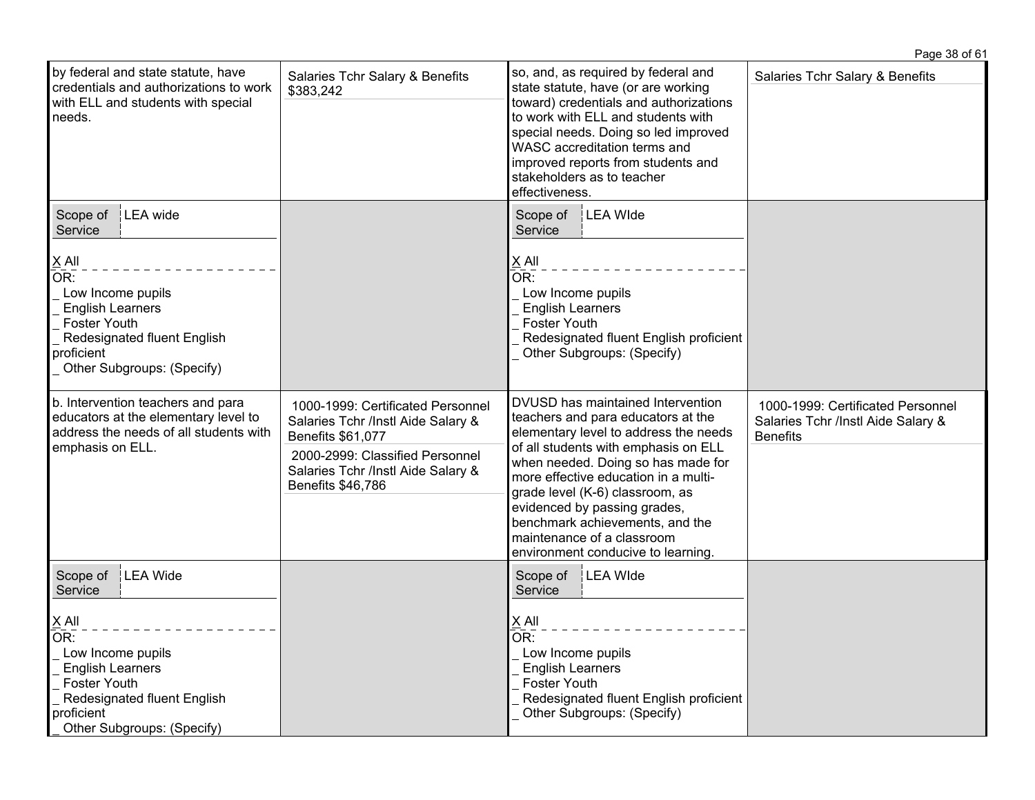|                                                                                                                                                                                                            |                                                                                                                                                                                            |                                                                                                                                                                                                                                                                                                                                                                                                                  | Page 38 of 61                                                                              |
|------------------------------------------------------------------------------------------------------------------------------------------------------------------------------------------------------------|--------------------------------------------------------------------------------------------------------------------------------------------------------------------------------------------|------------------------------------------------------------------------------------------------------------------------------------------------------------------------------------------------------------------------------------------------------------------------------------------------------------------------------------------------------------------------------------------------------------------|--------------------------------------------------------------------------------------------|
| by federal and state statute, have<br>credentials and authorizations to work<br>with ELL and students with special<br>needs.                                                                               | Salaries Tchr Salary & Benefits<br>\$383,242                                                                                                                                               | so, and, as required by federal and<br>state statute, have (or are working<br>toward) credentials and authorizations<br>to work with ELL and students with<br>special needs. Doing so led improved<br>WASC accreditation terms and<br>improved reports from students and<br>stakeholders as to teacher<br>effectiveness.                                                                                         | Salaries Tchr Salary & Benefits                                                            |
| Scope of   LEA wide<br>Service                                                                                                                                                                             |                                                                                                                                                                                            | LEA Wide<br>Scope of<br>Service                                                                                                                                                                                                                                                                                                                                                                                  |                                                                                            |
| $X$ All<br>OR:<br>Low Income pupils<br><b>English Learners</b><br><b>Foster Youth</b><br>Redesignated fluent English<br>proficient<br>Other Subgroups: (Specify)                                           |                                                                                                                                                                                            | X All<br>$\overline{\mathsf{OR}}$ :<br>Low Income pupils<br><b>English Learners</b><br><b>Foster Youth</b><br>Redesignated fluent English proficient<br>Other Subgroups: (Specify)                                                                                                                                                                                                                               |                                                                                            |
| b. Intervention teachers and para<br>educators at the elementary level to<br>address the needs of all students with<br>emphasis on ELL.                                                                    | 1000-1999: Certificated Personnel<br>Salaries Tchr /Instl Aide Salary &<br>Benefits \$61,077<br>2000-2999: Classified Personnel<br>Salaries Tchr /Instl Aide Salary &<br>Benefits \$46,786 | DVUSD has maintained Intervention<br>teachers and para educators at the<br>elementary level to address the needs<br>of all students with emphasis on ELL<br>when needed. Doing so has made for<br>more effective education in a multi-<br>grade level (K-6) classroom, as<br>evidenced by passing grades,<br>benchmark achievements, and the<br>maintenance of a classroom<br>environment conducive to learning. | 1000-1999: Certificated Personnel<br>Salaries Tchr /Instl Aide Salary &<br><b>Benefits</b> |
| Scope of<br><b>LEA Wide</b><br>Service<br>$X$ All<br>OR:<br>Low Income pupils<br><b>English Learners</b><br><b>Foster Youth</b><br>Redesignated fluent English<br>proficient<br>Other Subgroups: (Specify) |                                                                                                                                                                                            | Scope of<br><b>LEA Wide</b><br>Service<br>$X$ All<br>OR:<br>Low Income pupils<br><b>English Learners</b><br><b>Foster Youth</b><br>Redesignated fluent English proficient<br>Other Subgroups: (Specify)                                                                                                                                                                                                          |                                                                                            |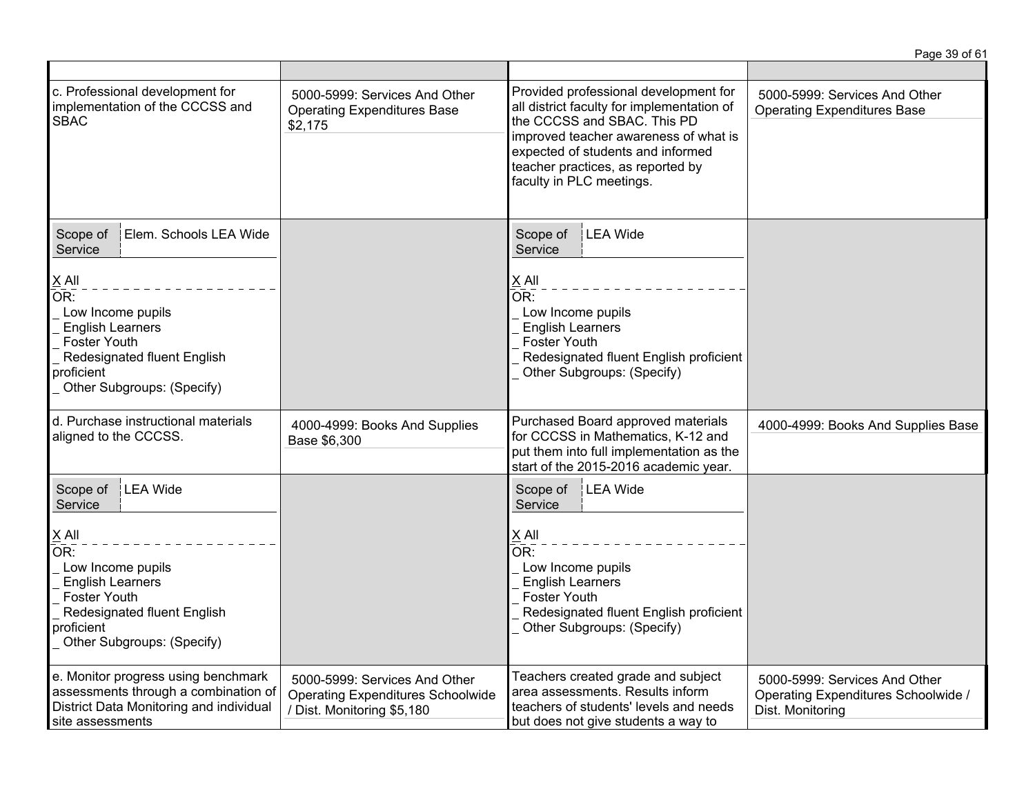|                                                                                                                                                                              |                                                                                                         |                                                                                                                                                                                                                                                                   | Page 39 of 61                                                                            |
|------------------------------------------------------------------------------------------------------------------------------------------------------------------------------|---------------------------------------------------------------------------------------------------------|-------------------------------------------------------------------------------------------------------------------------------------------------------------------------------------------------------------------------------------------------------------------|------------------------------------------------------------------------------------------|
|                                                                                                                                                                              |                                                                                                         |                                                                                                                                                                                                                                                                   |                                                                                          |
| c. Professional development for<br>implementation of the CCCSS and<br><b>SBAC</b>                                                                                            | 5000-5999: Services And Other<br><b>Operating Expenditures Base</b><br>\$2,175                          | Provided professional development for<br>all district faculty for implementation of<br>the CCCSS and SBAC. This PD<br>improved teacher awareness of what is<br>expected of students and informed<br>teacher practices, as reported by<br>faculty in PLC meetings. | 5000-5999: Services And Other<br><b>Operating Expenditures Base</b>                      |
| Scope of<br>Elem. Schools LEA Wide<br>Service                                                                                                                                |                                                                                                         | Scope of<br>LEA Wide<br>Service                                                                                                                                                                                                                                   |                                                                                          |
| $\underline{X}$ All<br>OR:<br>Low Income pupils<br><b>English Learners</b><br><b>Foster Youth</b><br>Redesignated fluent English<br>proficient<br>Other Subgroups: (Specify) |                                                                                                         | $X$ All<br>OR:<br>Low Income pupils<br><b>English Learners</b><br><b>Foster Youth</b><br>Redesignated fluent English proficient<br>Other Subgroups: (Specify)                                                                                                     |                                                                                          |
| d. Purchase instructional materials<br>aligned to the CCCSS.                                                                                                                 | 4000-4999: Books And Supplies<br>Base \$6,300                                                           | Purchased Board approved materials<br>for CCCSS in Mathematics, K-12 and<br>put them into full implementation as the<br>start of the 2015-2016 academic year.                                                                                                     | 4000-4999: Books And Supplies Base                                                       |
| LEA Wide<br>Scope of<br>Service                                                                                                                                              |                                                                                                         | <b>LEA Wide</b><br>Scope of<br>Service                                                                                                                                                                                                                            |                                                                                          |
| $X$ All<br>OR:<br>Low Income pupils<br><b>English Learners</b><br><b>Foster Youth</b><br>Redesignated fluent English<br>proficient<br>Other Subgroups: (Specify)             |                                                                                                         | X All<br>OR:<br>Low Income pupils<br><b>English Learners</b><br><b>Foster Youth</b><br>Redesignated fluent English proficient<br>Other Subgroups: (Specify)                                                                                                       |                                                                                          |
| e. Monitor progress using benchmark<br>assessments through a combination of<br>District Data Monitoring and individual<br>site assessments                                   | 5000-5999: Services And Other<br><b>Operating Expenditures Schoolwide</b><br>/ Dist. Monitoring \$5,180 | Teachers created grade and subject<br>area assessments. Results inform<br>teachers of students' levels and needs<br>but does not give students a way to                                                                                                           | 5000-5999: Services And Other<br>Operating Expenditures Schoolwide /<br>Dist. Monitoring |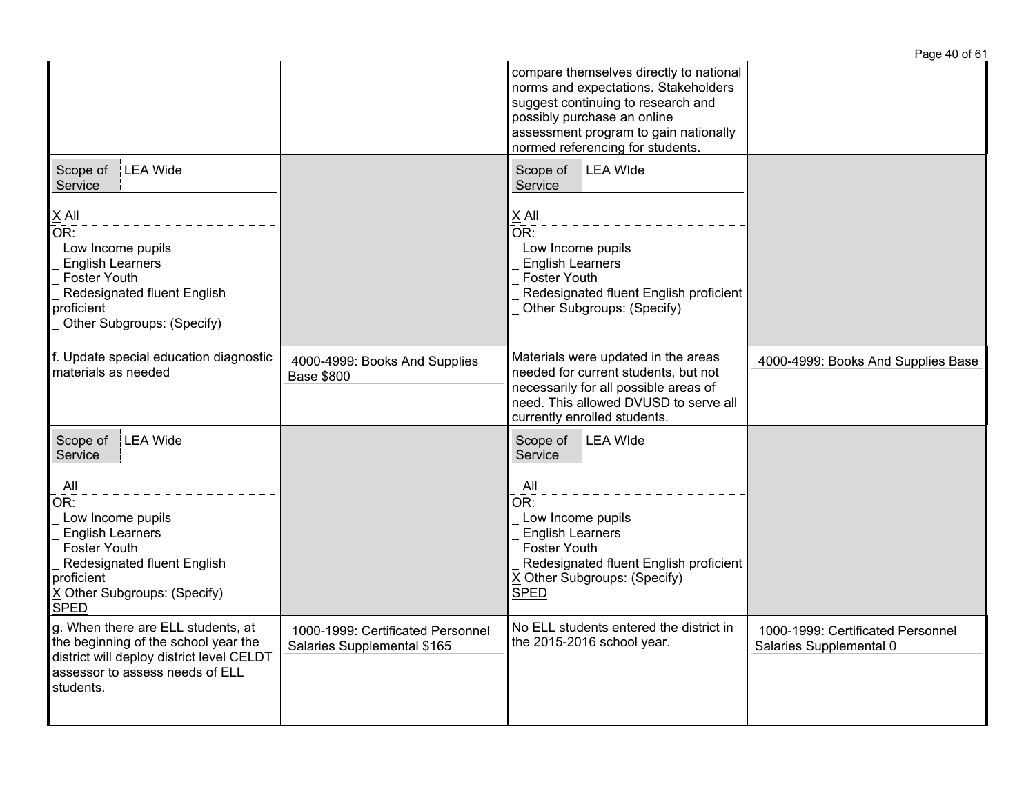|                                                                                                                                                                                                           |                                                                  |                                                                                                                                                                                                                                   | Page 40 of 61                                                |
|-----------------------------------------------------------------------------------------------------------------------------------------------------------------------------------------------------------|------------------------------------------------------------------|-----------------------------------------------------------------------------------------------------------------------------------------------------------------------------------------------------------------------------------|--------------------------------------------------------------|
|                                                                                                                                                                                                           |                                                                  | compare themselves directly to national<br>norms and expectations. Stakeholders<br>suggest continuing to research and<br>possibly purchase an online<br>assessment program to gain nationally<br>normed referencing for students. |                                                              |
| LEA Wide<br>Scope of<br>Service<br>$\times$ All<br>OR:<br>Low Income pupils<br><b>English Learners</b><br><b>Foster Youth</b><br>Redesignated fluent English<br>proficient<br>Other Subgroups: (Specify)  |                                                                  | Scope of   LEA Wide<br>Service<br>$X$ All<br>OR:<br>Low Income pupils<br><b>English Learners</b><br><b>Foster Youth</b><br>Redesignated fluent English proficient<br>Other Subgroups: (Specify)                                   |                                                              |
| f. Update special education diagnostic<br>materials as needed                                                                                                                                             | 4000-4999: Books And Supplies<br><b>Base \$800</b>               | Materials were updated in the areas<br>needed for current students, but not<br>necessarily for all possible areas of<br>need. This allowed DVUSD to serve all<br>currently enrolled students.                                     | 4000-4999: Books And Supplies Base                           |
| LEA Wide<br>Scope of<br>Service<br>All<br>OR:<br>Low Income pupils<br><b>English Learners</b><br>Foster Youth<br>Redesignated fluent English<br>proficient<br>X Other Subgroups: (Specify)<br><b>SPED</b> |                                                                  | Scope of   LEA Wide<br>Service<br>All<br>OR:<br>Low Income pupils<br><b>English Learners</b><br><b>Foster Youth</b><br>Redesignated fluent English proficient<br>X Other Subgroups: (Specify)<br><b>SPED</b>                      |                                                              |
| g. When there are ELL students, at<br>the beginning of the school year the<br>district will deploy district level CELDT<br>assessor to assess needs of ELL<br>students.                                   | 1000-1999: Certificated Personnel<br>Salaries Supplemental \$165 | No ELL students entered the district in<br>the 2015-2016 school year.                                                                                                                                                             | 1000-1999: Certificated Personnel<br>Salaries Supplemental 0 |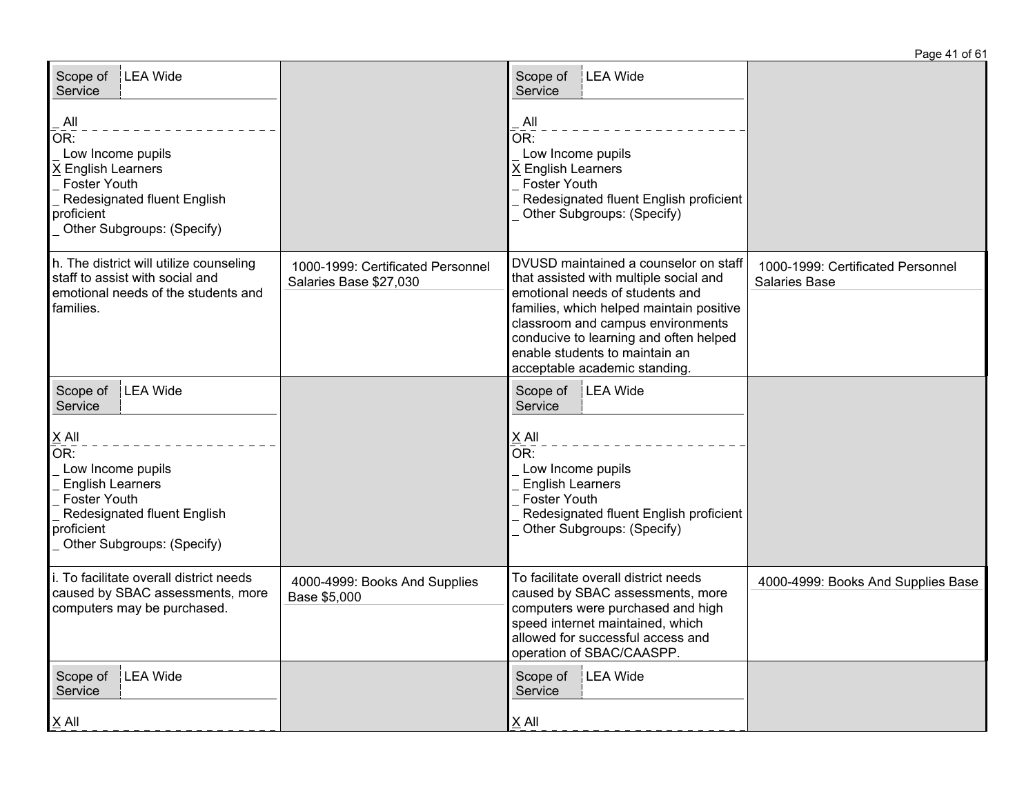| Scope of   LEA Wide<br>Service<br>All<br>OR:<br>Low Income pupils<br>X English Learners<br><b>Foster Youth</b><br>Redesignated fluent English<br>proficient<br>Other Subgroups: (Specify)         |                                                             | LEA Wide<br>Scope of<br>Service<br>All<br>$\bar{\mathsf{OR}}$ :<br>Low Income pupils<br>X English Learners<br><b>Foster Youth</b><br>Redesignated fluent English proficient<br>Other Subgroups: (Specify)                                                                                                        |                                                           |
|---------------------------------------------------------------------------------------------------------------------------------------------------------------------------------------------------|-------------------------------------------------------------|------------------------------------------------------------------------------------------------------------------------------------------------------------------------------------------------------------------------------------------------------------------------------------------------------------------|-----------------------------------------------------------|
| h. The district will utilize counseling<br>staff to assist with social and<br>emotional needs of the students and<br>families.                                                                    | 1000-1999: Certificated Personnel<br>Salaries Base \$27,030 | DVUSD maintained a counselor on staff<br>that assisted with multiple social and<br>emotional needs of students and<br>families, which helped maintain positive<br>classroom and campus environments<br>conducive to learning and often helped<br>enable students to maintain an<br>acceptable academic standing. | 1000-1999: Certificated Personnel<br><b>Salaries Base</b> |
| LEA Wide<br>Scope of<br>Service<br>$\times$ All<br>OR:<br>Low Income pupils<br><b>English Learners</b><br>Foster Youth<br>Redesignated fluent English<br>proficient<br>Other Subgroups: (Specify) |                                                             | <b>LEA</b> Wide<br>Scope of<br>Service<br>$X$ All<br>$\overline{\mathsf{OR}}$ :<br>Low Income pupils<br><b>English Learners</b><br>Foster Youth<br>Redesignated fluent English proficient<br>Other Subgroups: (Specify)                                                                                          |                                                           |
| i. To facilitate overall district needs<br>caused by SBAC assessments, more<br>computers may be purchased.                                                                                        | 4000-4999: Books And Supplies<br>Base \$5,000               | To facilitate overall district needs<br>caused by SBAC assessments, more<br>computers were purchased and high<br>speed internet maintained, which<br>allowed for successful access and<br>operation of SBAC/CAASPP.                                                                                              | 4000-4999: Books And Supplies Base                        |
| Scope of<br><b>LEA</b> Wide<br>Service<br>$X$ All                                                                                                                                                 |                                                             | Scope of<br><b>LEA</b> Wide<br>Service<br>$X$ All                                                                                                                                                                                                                                                                |                                                           |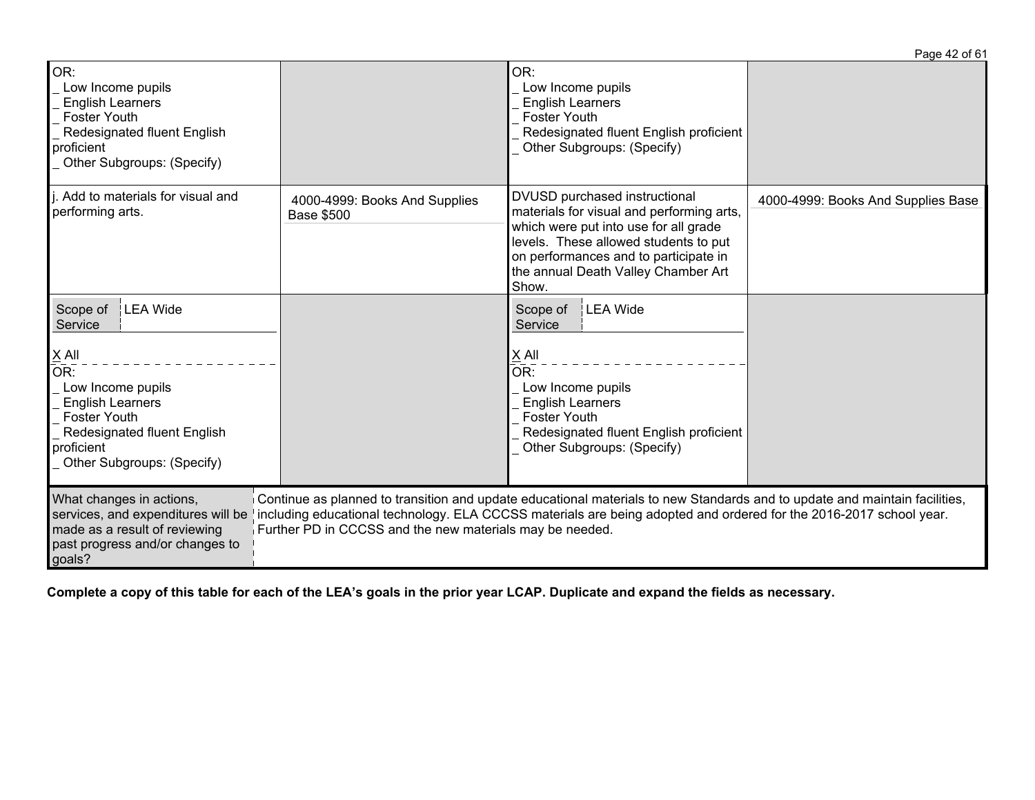|                                                                                                                                                                                                   |                                                          |                                                                                                                                                                                                                                                       | Page 42 of 61                      |
|---------------------------------------------------------------------------------------------------------------------------------------------------------------------------------------------------|----------------------------------------------------------|-------------------------------------------------------------------------------------------------------------------------------------------------------------------------------------------------------------------------------------------------------|------------------------------------|
| OR:<br>Low Income pupils<br><b>English Learners</b><br><b>Foster Youth</b><br>Redesignated fluent English<br>proficient<br>Other Subgroups: (Specify)                                             |                                                          | OR:<br>Low Income pupils<br><b>English Learners</b><br><b>Foster Youth</b><br>Redesignated fluent English proficient<br>Other Subgroups: (Specify)                                                                                                    |                                    |
| j. Add to materials for visual and<br>performing arts.                                                                                                                                            | 4000-4999: Books And Supplies<br><b>Base \$500</b>       | DVUSD purchased instructional<br>materials for visual and performing arts,<br>which were put into use for all grade<br>levels. These allowed students to put<br>on performances and to participate in<br>the annual Death Valley Chamber Art<br>Show. | 4000-4999: Books And Supplies Base |
| LEA Wide<br>Scope of<br>Service<br>X All<br>OR:<br>Low Income pupils<br><b>English Learners</b><br><b>Foster Youth</b><br>Redesignated fluent English<br>proficient<br>Other Subgroups: (Specify) |                                                          | LEA Wide<br>Scope of<br>Service<br>X All<br>OR:<br>Low Income pupils<br><b>English Learners</b><br><b>Foster Youth</b><br>Redesignated fluent English proficient<br>Other Subgroups: (Specify)                                                        |                                    |
| What changes in actions,<br>services, and expenditures will be<br>made as a result of reviewing<br>past progress and/or changes to<br>goals?                                                      | Further PD in CCCSS and the new materials may be needed. | Continue as planned to transition and update educational materials to new Standards and to update and maintain facilities,<br>ncluding educational technology. ELA CCCSS materials are being adopted and ordered for the 2016-2017 school year.       |                                    |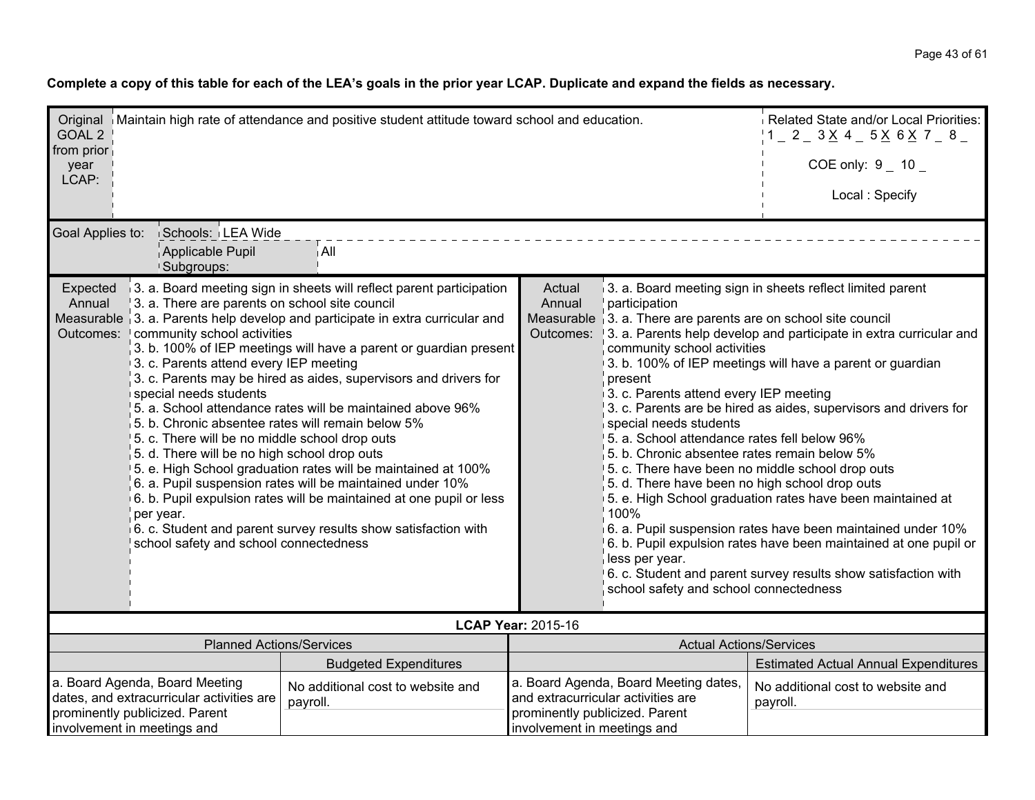| GOAL <sub>2</sub>                                                                                                                                                                                                                                                                                                                                                                                                                                                                                                                                                                                                                                                                                                                                                                                                                                                                                                                                                                                                                                                            | Related State and/or Local Priorities:<br>Original   Maintain high rate of attendance and positive student attitude toward school and education.<br>$1 = 2 = 3 \times 4 = 5 \times 6 \times 7 = 8 =$ |                                                                                                                                                                                                                                                                                                                                                                                                                                                                                                                                                                                                                                                                                                                                                                                                                                                                                                                                                                                                                                                |                                |                                                                             |                                               |  |
|------------------------------------------------------------------------------------------------------------------------------------------------------------------------------------------------------------------------------------------------------------------------------------------------------------------------------------------------------------------------------------------------------------------------------------------------------------------------------------------------------------------------------------------------------------------------------------------------------------------------------------------------------------------------------------------------------------------------------------------------------------------------------------------------------------------------------------------------------------------------------------------------------------------------------------------------------------------------------------------------------------------------------------------------------------------------------|------------------------------------------------------------------------------------------------------------------------------------------------------------------------------------------------------|------------------------------------------------------------------------------------------------------------------------------------------------------------------------------------------------------------------------------------------------------------------------------------------------------------------------------------------------------------------------------------------------------------------------------------------------------------------------------------------------------------------------------------------------------------------------------------------------------------------------------------------------------------------------------------------------------------------------------------------------------------------------------------------------------------------------------------------------------------------------------------------------------------------------------------------------------------------------------------------------------------------------------------------------|--------------------------------|-----------------------------------------------------------------------------|-----------------------------------------------|--|
| from prior<br>year                                                                                                                                                                                                                                                                                                                                                                                                                                                                                                                                                                                                                                                                                                                                                                                                                                                                                                                                                                                                                                                           |                                                                                                                                                                                                      |                                                                                                                                                                                                                                                                                                                                                                                                                                                                                                                                                                                                                                                                                                                                                                                                                                                                                                                                                                                                                                                |                                |                                                                             | COE only: $9 - 10$                            |  |
| LCAP:                                                                                                                                                                                                                                                                                                                                                                                                                                                                                                                                                                                                                                                                                                                                                                                                                                                                                                                                                                                                                                                                        |                                                                                                                                                                                                      |                                                                                                                                                                                                                                                                                                                                                                                                                                                                                                                                                                                                                                                                                                                                                                                                                                                                                                                                                                                                                                                |                                |                                                                             | Local: Specify                                |  |
|                                                                                                                                                                                                                                                                                                                                                                                                                                                                                                                                                                                                                                                                                                                                                                                                                                                                                                                                                                                                                                                                              | Goal Applies to:<br>Schools: LEA Wide<br>Applicable Pupil<br>∣ All                                                                                                                                   |                                                                                                                                                                                                                                                                                                                                                                                                                                                                                                                                                                                                                                                                                                                                                                                                                                                                                                                                                                                                                                                |                                |                                                                             |                                               |  |
| <sup>1</sup> Subgroups:<br>3. a. Board meeting sign in sheets will reflect parent participation<br>Expected<br>Annual<br>3. a. There are parents on school site council<br>Measurable 3. a. Parents help develop and participate in extra curricular and<br>community school activities<br>Outcomes:<br>3. b. 100% of IEP meetings will have a parent or guardian present<br>3. c. Parents attend every IEP meeting<br>3. c. Parents may be hired as aides, supervisors and drivers for<br>special needs students<br>5. a. School attendance rates will be maintained above 96%<br>$\vert$ 5. b. Chronic absentee rates will remain below 5%<br>5. c. There will be no middle school drop outs<br>5. d. There will be no high school drop outs<br>5. e. High School graduation rates will be maintained at 100%<br>6. a. Pupil suspension rates will be maintained under 10%<br>6. b. Pupil expulsion rates will be maintained at one pupil or less<br>per year.<br>6. c. Student and parent survey results show satisfaction with<br>school safety and school connectedness |                                                                                                                                                                                                      | Actual<br>3. a. Board meeting sign in sheets reflect limited parent<br>Annual<br>participation<br>Measurable 3. a. There are parents are on school site council<br>Outcomes:<br>3. a. Parents help develop and participate in extra curricular and<br>community school activities<br>3. b. 100% of IEP meetings will have a parent or guardian<br>present<br>3. c. Parents attend every IEP meeting<br>3. c. Parents are be hired as aides, supervisors and drivers for<br>special needs students<br>5. a. School attendance rates fell below 96%<br>5. b. Chronic absentee rates remain below 5%<br>5. c. There have been no middle school drop outs<br>5. d. There have been no high school drop outs<br>5. e. High School graduation rates have been maintained at<br>100%<br>6. a. Pupil suspension rates have been maintained under 10%<br>6. b. Pupil expulsion rates have been maintained at one pupil or<br>less per year.<br>6. c. Student and parent survey results show satisfaction with<br>school safety and school connectedness |                                |                                                                             |                                               |  |
|                                                                                                                                                                                                                                                                                                                                                                                                                                                                                                                                                                                                                                                                                                                                                                                                                                                                                                                                                                                                                                                                              |                                                                                                                                                                                                      |                                                                                                                                                                                                                                                                                                                                                                                                                                                                                                                                                                                                                                                                                                                                                                                                                                                                                                                                                                                                                                                | <b>LCAP Year: 2015-16</b>      |                                                                             |                                               |  |
|                                                                                                                                                                                                                                                                                                                                                                                                                                                                                                                                                                                                                                                                                                                                                                                                                                                                                                                                                                                                                                                                              | <b>Planned Actions/Services</b>                                                                                                                                                                      |                                                                                                                                                                                                                                                                                                                                                                                                                                                                                                                                                                                                                                                                                                                                                                                                                                                                                                                                                                                                                                                |                                | <b>Actual Actions/Services</b>                                              |                                               |  |
|                                                                                                                                                                                                                                                                                                                                                                                                                                                                                                                                                                                                                                                                                                                                                                                                                                                                                                                                                                                                                                                                              |                                                                                                                                                                                                      | <b>Budgeted Expenditures</b>                                                                                                                                                                                                                                                                                                                                                                                                                                                                                                                                                                                                                                                                                                                                                                                                                                                                                                                                                                                                                   |                                |                                                                             | <b>Estimated Actual Annual Expenditures</b>   |  |
|                                                                                                                                                                                                                                                                                                                                                                                                                                                                                                                                                                                                                                                                                                                                                                                                                                                                                                                                                                                                                                                                              | a. Board Agenda, Board Meeting<br>dates, and extracurricular activities are                                                                                                                          | No additional cost to website and<br>payroll.                                                                                                                                                                                                                                                                                                                                                                                                                                                                                                                                                                                                                                                                                                                                                                                                                                                                                                                                                                                                  | prominently publicized. Parent | a. Board Agenda, Board Meeting dates,<br>and extracurricular activities are | No additional cost to website and<br>payroll. |  |
| prominently publicized. Parent<br>involvement in meetings and                                                                                                                                                                                                                                                                                                                                                                                                                                                                                                                                                                                                                                                                                                                                                                                                                                                                                                                                                                                                                |                                                                                                                                                                                                      |                                                                                                                                                                                                                                                                                                                                                                                                                                                                                                                                                                                                                                                                                                                                                                                                                                                                                                                                                                                                                                                | involvement in meetings and    |                                                                             |                                               |  |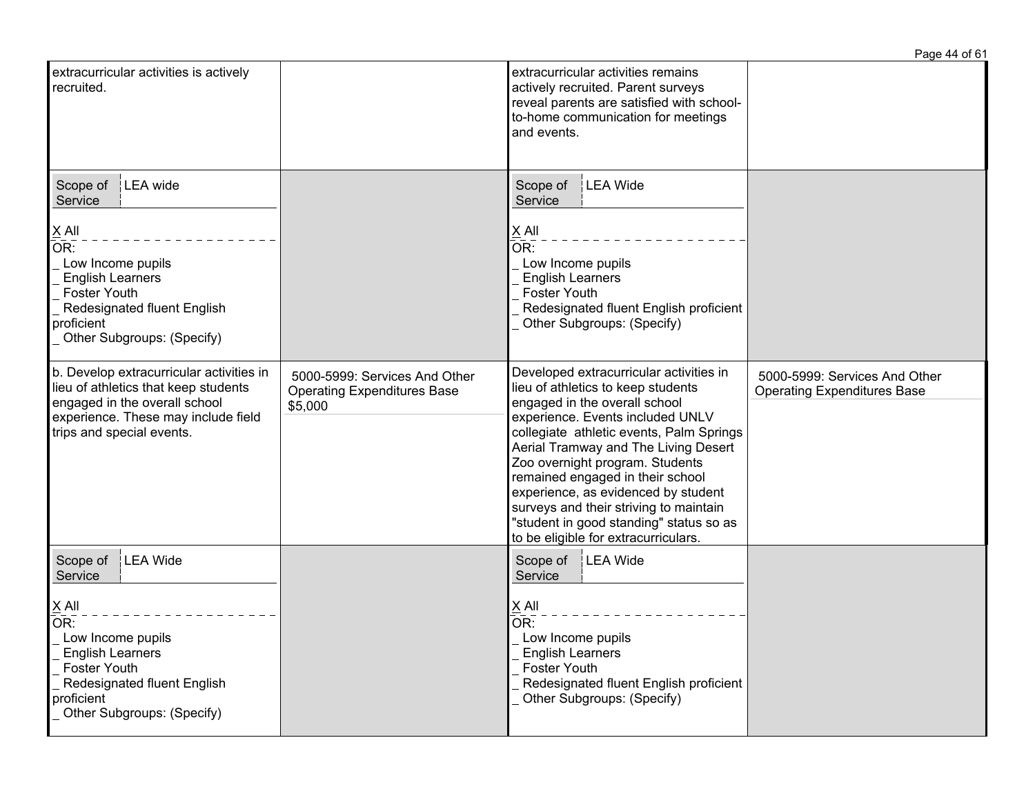|                                                                                                                                                                                                                            |                                                                                |                                                                                                                                                                                                                                                                                                                                                                                                                                                                                   | Page 44 of 61                                                       |
|----------------------------------------------------------------------------------------------------------------------------------------------------------------------------------------------------------------------------|--------------------------------------------------------------------------------|-----------------------------------------------------------------------------------------------------------------------------------------------------------------------------------------------------------------------------------------------------------------------------------------------------------------------------------------------------------------------------------------------------------------------------------------------------------------------------------|---------------------------------------------------------------------|
| extracurricular activities is actively<br>recruited.                                                                                                                                                                       |                                                                                | extracurricular activities remains<br>actively recruited. Parent surveys<br>reveal parents are satisfied with school-<br>to-home communication for meetings<br>and events.                                                                                                                                                                                                                                                                                                        |                                                                     |
| Scope of<br>LEA wide<br>Service<br>$X$ All<br>$\overline{\mathsf{OR}}$ :<br>Low Income pupils<br><b>English Learners</b><br><b>Foster Youth</b><br>Redesignated fluent English<br>proficient<br>Other Subgroups: (Specify) |                                                                                | LEA Wide<br>Scope of<br>Service<br>$X$ All<br>$\overline{\mathsf{OR}}$ :<br>Low Income pupils<br><b>English Learners</b><br><b>Foster Youth</b><br>Redesignated fluent English proficient<br>Other Subgroups: (Specify)                                                                                                                                                                                                                                                           |                                                                     |
| b. Develop extracurricular activities in<br>lieu of athletics that keep students<br>engaged in the overall school<br>experience. These may include field<br>trips and special events.                                      | 5000-5999: Services And Other<br><b>Operating Expenditures Base</b><br>\$5,000 | Developed extracurricular activities in<br>lieu of athletics to keep students<br>engaged in the overall school<br>experience. Events included UNLV<br>collegiate athletic events, Palm Springs<br>Aerial Tramway and The Living Desert<br>Zoo overnight program. Students<br>remained engaged in their school<br>experience, as evidenced by student<br>surveys and their striving to maintain<br>"student in good standing" status so as<br>to be eligible for extracurriculars. | 5000-5999: Services And Other<br><b>Operating Expenditures Base</b> |
| Scope of<br>LEA Wide<br>Service<br>$\times$ All<br>OR:<br>Low Income pupils<br><b>English Learners</b><br>Foster Youth<br>Redesignated fluent English<br>proficient<br>Other Subgroups: (Specify)                          |                                                                                | Scope of<br>LEA Wide<br>Service<br>$X$ All<br>OR:<br>Low Income pupils<br><b>English Learners</b><br><b>Foster Youth</b><br>Redesignated fluent English proficient<br>Other Subgroups: (Specify)                                                                                                                                                                                                                                                                                  |                                                                     |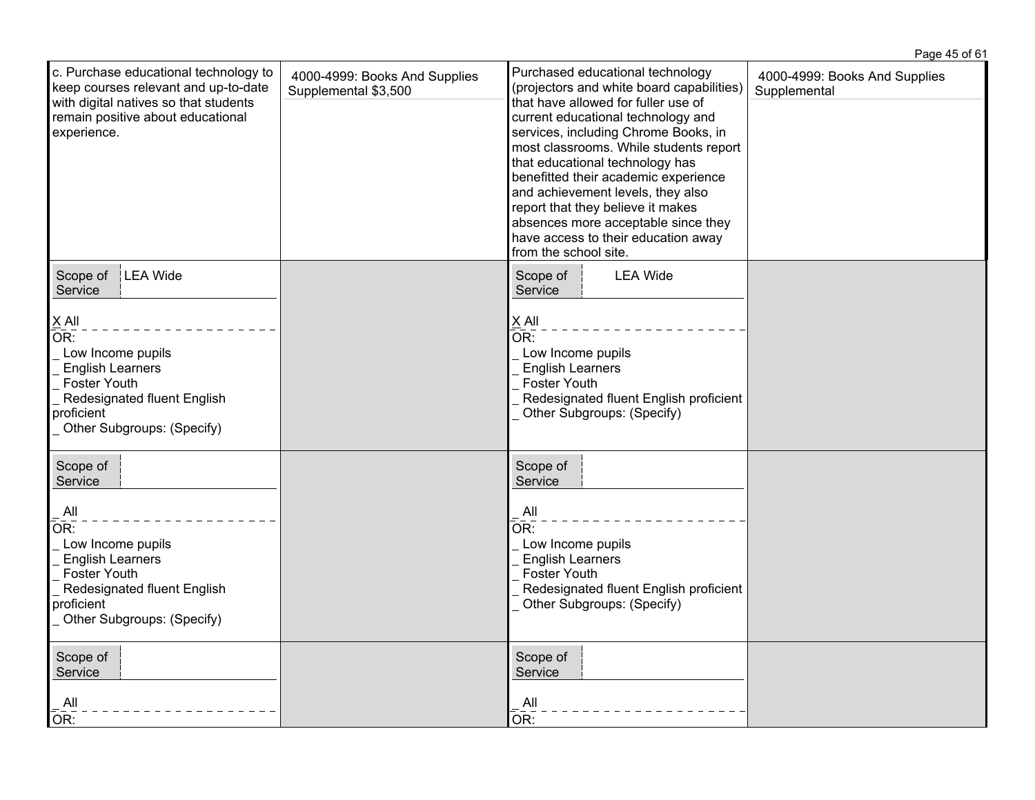|                                                                                                                                                                                       |                                                       |                                                                                                                                                                                                                                                                                                                                                                                                                                                                                                          | Page 45 of 61                                 |
|---------------------------------------------------------------------------------------------------------------------------------------------------------------------------------------|-------------------------------------------------------|----------------------------------------------------------------------------------------------------------------------------------------------------------------------------------------------------------------------------------------------------------------------------------------------------------------------------------------------------------------------------------------------------------------------------------------------------------------------------------------------------------|-----------------------------------------------|
| c. Purchase educational technology to<br>keep courses relevant and up-to-date<br>with digital natives so that students<br>remain positive about educational<br>experience.            | 4000-4999: Books And Supplies<br>Supplemental \$3,500 | Purchased educational technology<br>(projectors and white board capabilities)<br>that have allowed for fuller use of<br>current educational technology and<br>services, including Chrome Books, in<br>most classrooms. While students report<br>that educational technology has<br>benefitted their academic experience<br>and achievement levels, they also<br>report that they believe it makes<br>absences more acceptable since they<br>have access to their education away<br>from the school site. | 4000-4999: Books And Supplies<br>Supplemental |
| LEA Wide<br>Scope of<br>Service                                                                                                                                                       |                                                       | <b>LEA Wide</b><br>Scope of<br>Service                                                                                                                                                                                                                                                                                                                                                                                                                                                                   |                                               |
| $\times$ All<br>$\overline{\mathsf{OR}}$ :<br>Low Income pupils<br><b>English Learners</b><br>Foster Youth<br>Redesignated fluent English<br>proficient<br>Other Subgroups: (Specify) |                                                       | $\underline{X}$ All<br>$\overline{\mathsf{OR}}$ :<br>Low Income pupils<br><b>English Learners</b><br>Foster Youth<br>Redesignated fluent English proficient<br>Other Subgroups: (Specify)                                                                                                                                                                                                                                                                                                                |                                               |
| Scope of<br>Service                                                                                                                                                                   |                                                       | Scope of<br>Service                                                                                                                                                                                                                                                                                                                                                                                                                                                                                      |                                               |
| All<br>OR:<br>Low Income pupils<br><b>English Learners</b><br>Foster Youth<br>Redesignated fluent English<br>proficient<br>Other Subgroups: (Specify)                                 |                                                       | All<br>OR:<br>Low Income pupils<br><b>English Learners</b><br>Foster Youth<br>Redesignated fluent English proficient<br>Other Subgroups: (Specify)                                                                                                                                                                                                                                                                                                                                                       |                                               |
| Scope of<br>Service<br>All<br>OR:                                                                                                                                                     |                                                       | Scope of<br>Service<br>All<br>OR:                                                                                                                                                                                                                                                                                                                                                                                                                                                                        |                                               |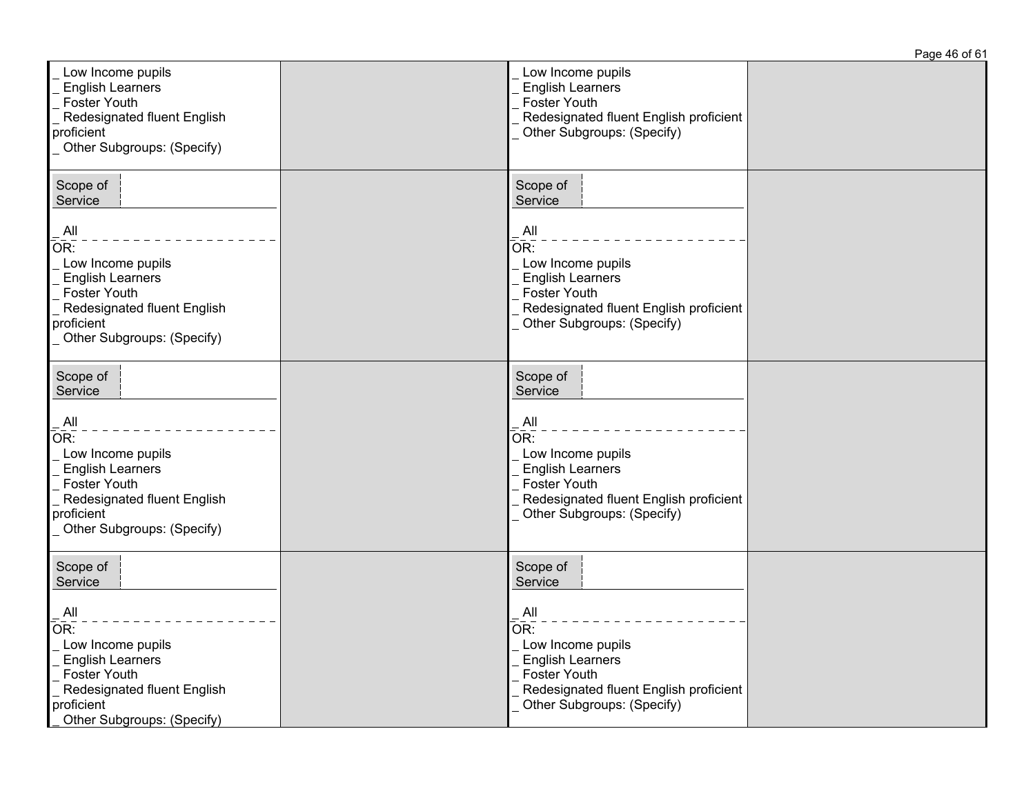|                                                                                                                                                                                     |                                                                                                                                                                                                  | Page 46 of 61 |
|-------------------------------------------------------------------------------------------------------------------------------------------------------------------------------------|--------------------------------------------------------------------------------------------------------------------------------------------------------------------------------------------------|---------------|
| Low Income pupils<br><b>English Learners</b><br><b>Foster Youth</b><br>Redesignated fluent English<br>proficient<br>Other Subgroups: (Specify)                                      | Low Income pupils<br><b>English Learners</b><br><b>Foster Youth</b><br>Redesignated fluent English proficient<br>Other Subgroups: (Specify)                                                      |               |
| Scope of<br>Service<br>All<br>OR:<br>Low Income pupils<br><b>English Learners</b><br><b>Foster Youth</b><br>Redesignated fluent English<br>proficient<br>Other Subgroups: (Specify) | Scope of<br>Service<br>All<br>$\overline{\mathsf{OR}}$ :<br>Low Income pupils<br><b>English Learners</b><br>Foster Youth<br>Redesignated fluent English proficient<br>Other Subgroups: (Specify) |               |
| Scope of<br>Service<br>All<br>OR:<br>Low Income pupils<br><b>English Learners</b><br>Foster Youth<br>Redesignated fluent English<br>proficient<br>Other Subgroups: (Specify)        | Scope of<br>Service<br>All<br>OR:<br>Low Income pupils<br><b>English Learners</b><br>Foster Youth<br>Redesignated fluent English proficient<br>Other Subgroups: (Specify)                        |               |
| Scope of<br>Service<br>All<br>OR:<br>Low Income pupils<br><b>English Learners</b><br><b>Foster Youth</b><br>Redesignated fluent English<br>proficient<br>Other Subgroups: (Specify) | Scope of<br>Service<br>All<br>$\overline{\mathsf{OR}}$ :<br>Low Income pupils<br><b>English Learners</b><br>Foster Youth<br>Redesignated fluent English proficient<br>Other Subgroups: (Specify) |               |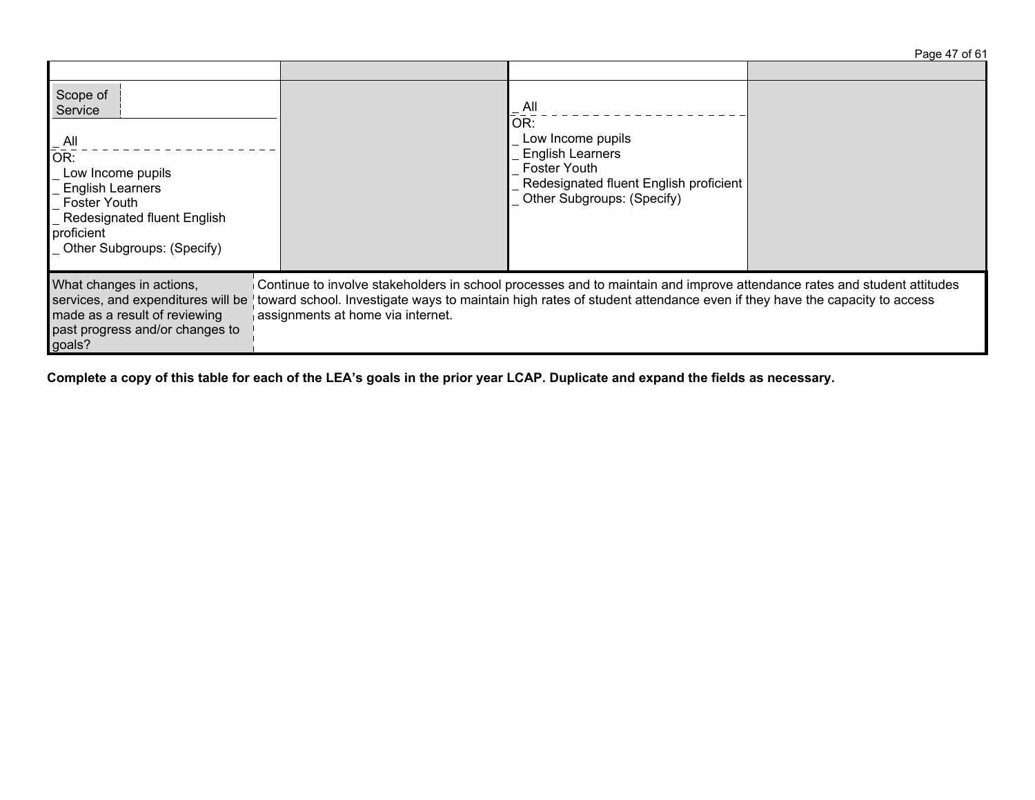| Page 47 of 61 |  |  |
|---------------|--|--|
|               |  |  |

| Scope of<br>Service<br>All<br>OR:<br>Low Income pupils<br><b>English Learners</b><br><b>Foster Youth</b><br>Redesignated fluent English<br>proficient<br>Other Subgroups: (Specify) |                                                                                                                                                                                                                                                                                       | $-$ All<br>OR:<br>Low Income pupils<br><b>English Learners</b><br><b>Foster Youth</b><br>Redesignated fluent English proficient<br>Other Subgroups: (Specify) |  |
|-------------------------------------------------------------------------------------------------------------------------------------------------------------------------------------|---------------------------------------------------------------------------------------------------------------------------------------------------------------------------------------------------------------------------------------------------------------------------------------|---------------------------------------------------------------------------------------------------------------------------------------------------------------|--|
| What changes in actions,<br>services, and expenditures will be<br>made as a result of reviewing<br>past progress and/or changes to<br>goals?                                        | Continue to involve stakeholders in school processes and to maintain and improve attendance rates and student attitudes<br>toward school. Investigate ways to maintain high rates of student attendance even if they have the capacity to access<br>assignments at home via internet. |                                                                                                                                                               |  |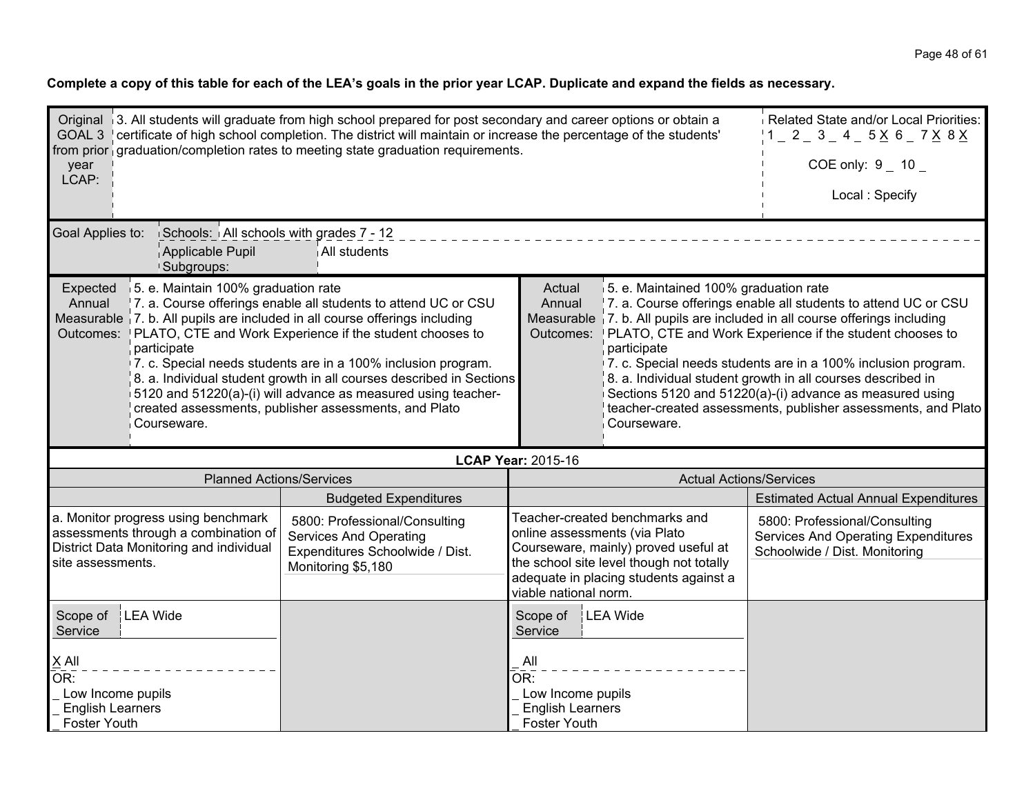| Original 3. All students will graduate from high school prepared for post secondary and career options or obtain a<br>GOAL 3 certificate of high school completion. The district will maintain or increase the percentage of the students'<br>from prior graduation/completion rates to meeting state graduation requirements.<br>year<br>LCAP:                                                                                                                                                                                                                                   | Related State and/or Local Priorities:<br>$1 - 2 - 3 - 4 - 5 \times 6 - 7 \times 8 \times$<br>COE only: $9 - 10 -$<br>Local: Specify                                                                                                                                                                                                                                                                                                                                                                           |                                                                                                                                                                                                                        |                                                                                                       |
|-----------------------------------------------------------------------------------------------------------------------------------------------------------------------------------------------------------------------------------------------------------------------------------------------------------------------------------------------------------------------------------------------------------------------------------------------------------------------------------------------------------------------------------------------------------------------------------|----------------------------------------------------------------------------------------------------------------------------------------------------------------------------------------------------------------------------------------------------------------------------------------------------------------------------------------------------------------------------------------------------------------------------------------------------------------------------------------------------------------|------------------------------------------------------------------------------------------------------------------------------------------------------------------------------------------------------------------------|-------------------------------------------------------------------------------------------------------|
| Goal Applies to:<br>Schools: All schools with grades 7 - 12<br>Applicable Pupil<br>Subgroups:                                                                                                                                                                                                                                                                                                                                                                                                                                                                                     | All students                                                                                                                                                                                                                                                                                                                                                                                                                                                                                                   |                                                                                                                                                                                                                        |                                                                                                       |
| 15. e. Maintain 100% graduation rate<br>Expected<br>7. a. Course offerings enable all students to attend UC or CSU<br>Annual<br>Measurable 7. b. All pupils are included in all course offerings including<br>Outcomes: PLATO, CTE and Work Experience if the student chooses to<br>participate<br>7. c. Special needs students are in a 100% inclusion program.<br>8. a. Individual student growth in all courses described in Sections<br>5120 and 51220(a)-(i) will advance as measured using teacher-<br>created assessments, publisher assessments, and Plato<br>Courseware. | 5. e. Maintained 100% graduation rate<br>7. a. Course offerings enable all students to attend UC or CSU<br>Measurable 7. b. All pupils are included in all course offerings including<br>PLATO, CTE and Work Experience if the student chooses to<br>7. c. Special needs students are in a 100% inclusion program.<br>8. a. Individual student growth in all courses described in<br>Sections 5120 and 51220(a)-(i) advance as measured using<br>teacher-created assessments, publisher assessments, and Plato |                                                                                                                                                                                                                        |                                                                                                       |
|                                                                                                                                                                                                                                                                                                                                                                                                                                                                                                                                                                                   |                                                                                                                                                                                                                                                                                                                                                                                                                                                                                                                | <b>LCAP Year: 2015-16</b>                                                                                                                                                                                              |                                                                                                       |
| <b>Planned Actions/Services</b>                                                                                                                                                                                                                                                                                                                                                                                                                                                                                                                                                   |                                                                                                                                                                                                                                                                                                                                                                                                                                                                                                                | <b>Actual Actions/Services</b>                                                                                                                                                                                         |                                                                                                       |
|                                                                                                                                                                                                                                                                                                                                                                                                                                                                                                                                                                                   | <b>Budgeted Expenditures</b>                                                                                                                                                                                                                                                                                                                                                                                                                                                                                   |                                                                                                                                                                                                                        | <b>Estimated Actual Annual Expenditures</b>                                                           |
| a. Monitor progress using benchmark<br>assessments through a combination of<br>District Data Monitoring and individual<br>site assessments.                                                                                                                                                                                                                                                                                                                                                                                                                                       | 5800: Professional/Consulting<br><b>Services And Operating</b><br>Expenditures Schoolwide / Dist.<br>Monitoring \$5,180                                                                                                                                                                                                                                                                                                                                                                                        | Teacher-created benchmarks and<br>online assessments (via Plato<br>Courseware, mainly) proved useful at<br>the school site level though not totally<br>adequate in placing students against a<br>viable national norm. | 5800: Professional/Consulting<br>Services And Operating Expenditures<br>Schoolwide / Dist. Monitoring |
| LEA Wide<br>Scope of<br>Service                                                                                                                                                                                                                                                                                                                                                                                                                                                                                                                                                   |                                                                                                                                                                                                                                                                                                                                                                                                                                                                                                                | LEA Wide<br>Scope of<br>Service                                                                                                                                                                                        |                                                                                                       |
| $X$ All<br>OR:<br>Low Income pupils<br><b>English Learners</b><br>Foster Youth                                                                                                                                                                                                                                                                                                                                                                                                                                                                                                    |                                                                                                                                                                                                                                                                                                                                                                                                                                                                                                                | All<br>OR:<br>Low Income pupils<br><b>English Learners</b><br><b>Foster Youth</b>                                                                                                                                      |                                                                                                       |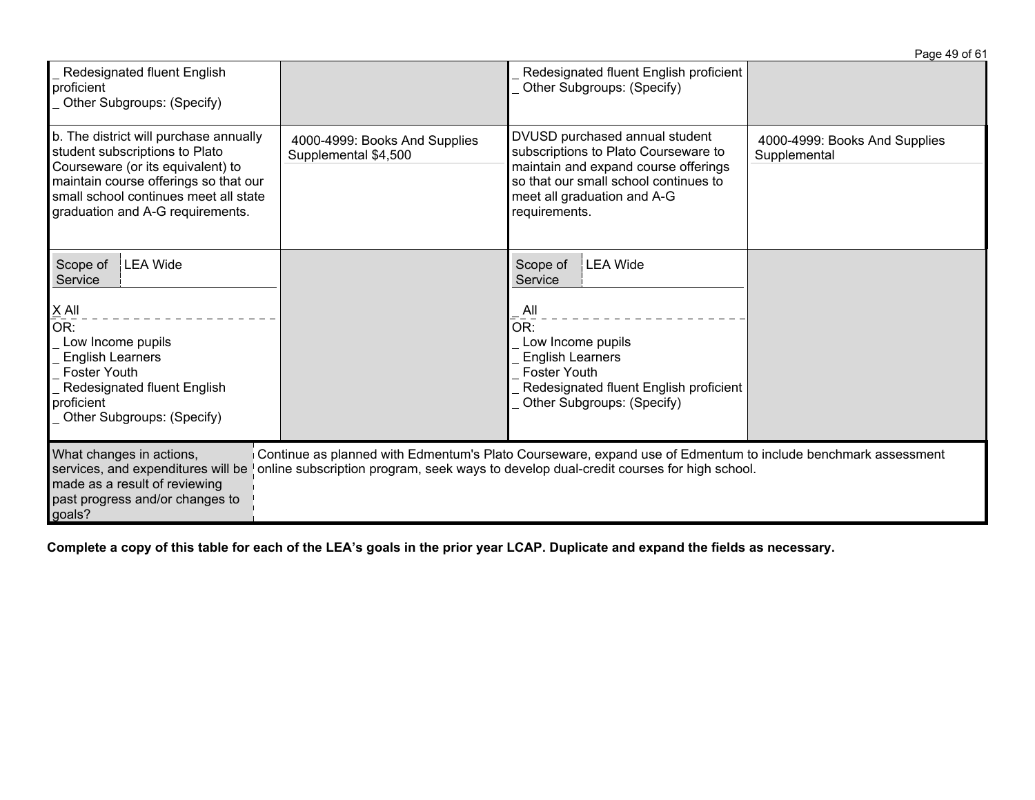|                                                                                                                                                                                                                                     |                                                       |                                                                                                                                                                                                         | Page 49 of 61                                 |
|-------------------------------------------------------------------------------------------------------------------------------------------------------------------------------------------------------------------------------------|-------------------------------------------------------|---------------------------------------------------------------------------------------------------------------------------------------------------------------------------------------------------------|-----------------------------------------------|
| <b>Redesignated fluent English</b><br>proficient<br>Other Subgroups: (Specify)                                                                                                                                                      |                                                       | Redesignated fluent English proficient<br>Other Subgroups: (Specify)                                                                                                                                    |                                               |
| b. The district will purchase annually<br>student subscriptions to Plato<br>Courseware (or its equivalent) to<br>maintain course offerings so that our<br>small school continues meet all state<br>graduation and A-G requirements. | 4000-4999: Books And Supplies<br>Supplemental \$4,500 | DVUSD purchased annual student<br>subscriptions to Plato Courseware to<br>maintain and expand course offerings<br>so that our small school continues to<br>meet all graduation and A-G<br>requirements. | 4000-4999: Books And Supplies<br>Supplemental |
| <b>LEA</b> Wide<br>Scope of<br>Service                                                                                                                                                                                              |                                                       | Scope of<br>LEA Wide<br>Service                                                                                                                                                                         |                                               |
| $X$ All<br>OR:<br>Low Income pupils<br><b>English Learners</b><br><b>Foster Youth</b><br>Redesignated fluent English<br>proficient<br>Other Subgroups: (Specify)                                                                    |                                                       | _All<br>OR:<br>Low Income pupils<br><b>English Learners</b><br><b>Foster Youth</b><br>Redesignated fluent English proficient<br>Other Subgroups: (Specify)                                              |                                               |
| What changes in actions,<br>services, and expenditures will be<br>made as a result of reviewing<br>past progress and/or changes to<br>goals?                                                                                        |                                                       | Continue as planned with Edmentum's Plato Courseware, expand use of Edmentum to include benchmark assessment<br>online subscription program, seek ways to develop dual-credit courses for high school.  |                                               |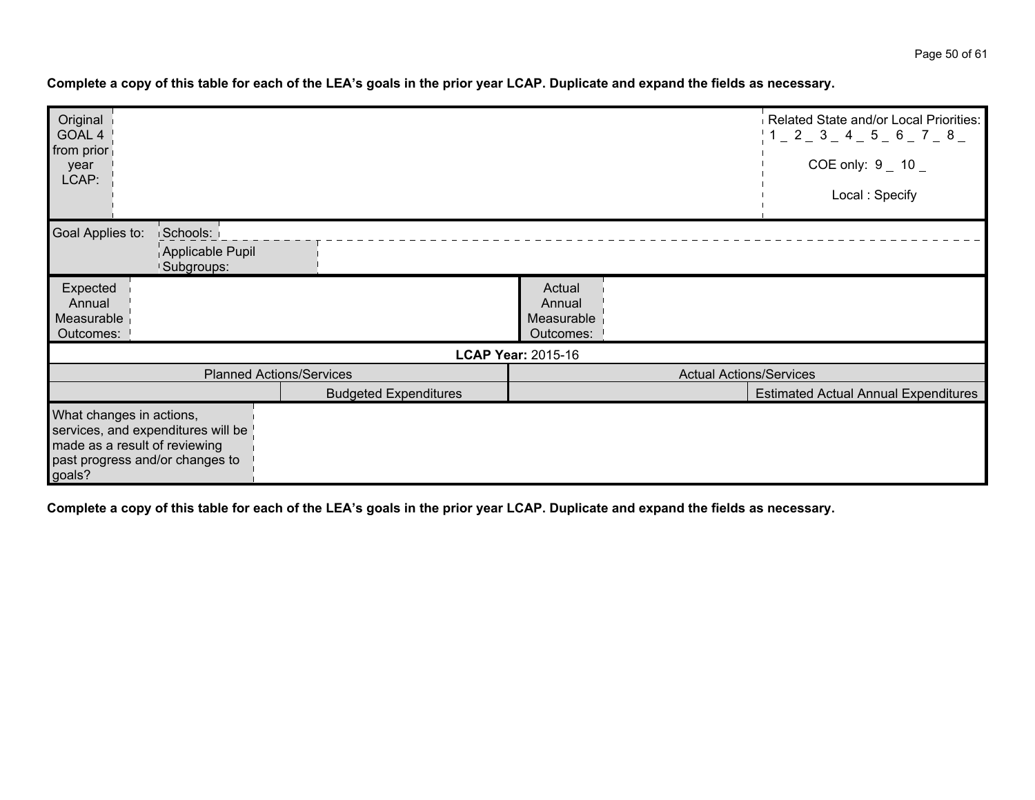| Original<br>GOAL 4<br>from prior<br>year<br>LCAP:                   |                                                                       |                                 |                                             | Related State and/or Local Priorities:<br>$1 - 2 - 3 - 4 - 5 - 6 - 7 - 8$<br>COE only: $9 - 10 -$<br>Local: Specify |
|---------------------------------------------------------------------|-----------------------------------------------------------------------|---------------------------------|---------------------------------------------|---------------------------------------------------------------------------------------------------------------------|
| Goal Applies to:                                                    | Schools:<br>Applicable Pupil<br>Subgroups:                            |                                 |                                             |                                                                                                                     |
| Expected<br>Annual<br>Measurable<br>Outcomes:                       |                                                                       |                                 | Actual<br>Annual<br>Measurable<br>Outcomes: |                                                                                                                     |
|                                                                     |                                                                       |                                 | <b>LCAP Year: 2015-16</b>                   |                                                                                                                     |
|                                                                     |                                                                       | <b>Planned Actions/Services</b> | <b>Actual Actions/Services</b>              |                                                                                                                     |
|                                                                     |                                                                       | <b>Budgeted Expenditures</b>    |                                             | <b>Estimated Actual Annual Expenditures</b>                                                                         |
| What changes in actions,<br>made as a result of reviewing<br>goals? | services, and expenditures will be<br>past progress and/or changes to |                                 |                                             |                                                                                                                     |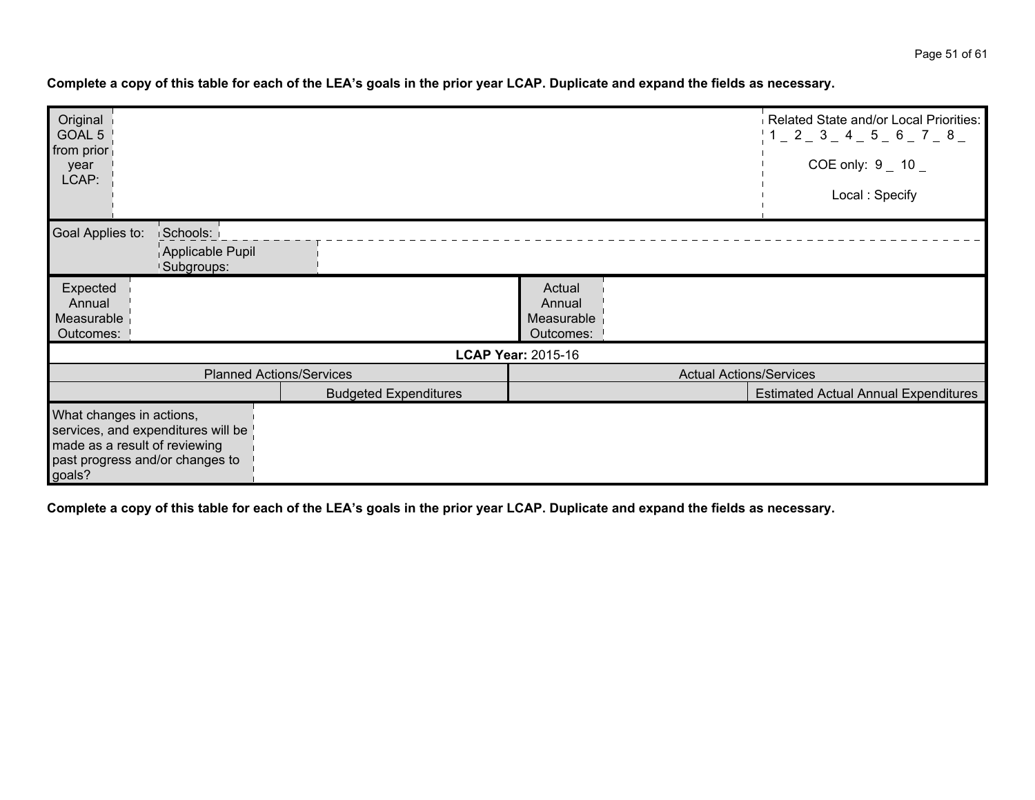| Original                 |                                    |                                 |                                | Related State and/or Local Priorities:      |
|--------------------------|------------------------------------|---------------------------------|--------------------------------|---------------------------------------------|
| GOAL 5<br>from prior     |                                    |                                 |                                | 1 1 2 3 4 5 6 7 8                           |
| year                     |                                    |                                 |                                | COE only: $9 - 10 -$                        |
| LCAP:                    |                                    |                                 |                                | Local: Specify                              |
|                          |                                    |                                 |                                |                                             |
| Goal Applies to:         | Schools:                           |                                 |                                |                                             |
|                          | Applicable Pupil                   |                                 |                                |                                             |
|                          | Subgroups:                         |                                 |                                |                                             |
| Expected                 |                                    |                                 | Actual                         |                                             |
| Annual                   |                                    |                                 | Annual                         |                                             |
| Measurable               |                                    |                                 | Measurable                     |                                             |
| Outcomes:                |                                    |                                 | Outcomes:                      |                                             |
|                          |                                    |                                 | <b>LCAP Year: 2015-16</b>      |                                             |
|                          |                                    | <b>Planned Actions/Services</b> | <b>Actual Actions/Services</b> |                                             |
|                          |                                    | <b>Budgeted Expenditures</b>    |                                | <b>Estimated Actual Annual Expenditures</b> |
| What changes in actions, |                                    |                                 |                                |                                             |
|                          | services, and expenditures will be |                                 |                                |                                             |
|                          | made as a result of reviewing      |                                 |                                |                                             |
|                          | past progress and/or changes to    |                                 |                                |                                             |
| goals?                   |                                    |                                 |                                |                                             |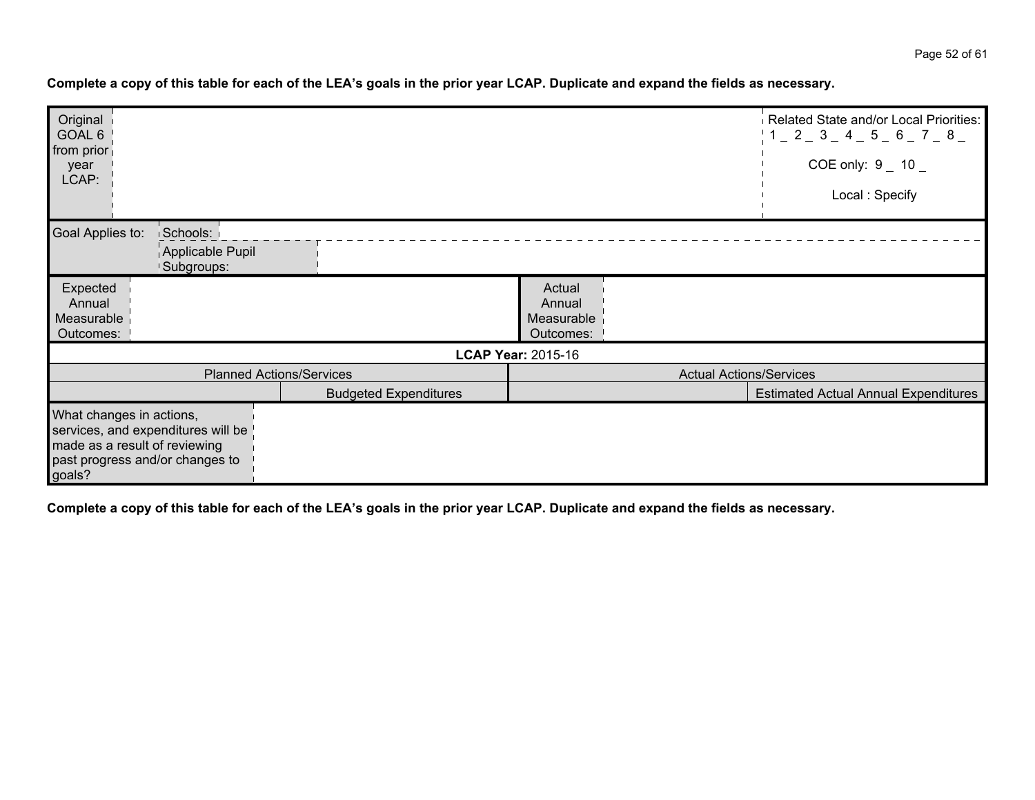|                              |                                 | Related State and/or Local Priorities:<br>$1 - 2 - 3 - 4 - 5 - 6 - 7 - 8$<br>COE only: $9 - 10 -$ |
|------------------------------|---------------------------------|---------------------------------------------------------------------------------------------------|
|                              |                                 | Local: Specify                                                                                    |
|                              |                                 |                                                                                                   |
|                              |                                 |                                                                                                   |
|                              |                                 |                                                                                                   |
|                              |                                 |                                                                                                   |
|                              | Actual                          |                                                                                                   |
|                              |                                 |                                                                                                   |
|                              |                                 |                                                                                                   |
|                              |                                 |                                                                                                   |
|                              |                                 |                                                                                                   |
|                              |                                 |                                                                                                   |
| <b>Budgeted Expenditures</b> |                                 | <b>Estimated Actual Annual Expenditures</b>                                                       |
|                              |                                 |                                                                                                   |
|                              |                                 |                                                                                                   |
|                              |                                 |                                                                                                   |
|                              |                                 |                                                                                                   |
|                              |                                 |                                                                                                   |
|                              | <b>Planned Actions/Services</b> | Annual<br>Measurable<br>Outcomes:<br><b>LCAP Year: 2015-16</b><br><b>Actual Actions/Services</b>  |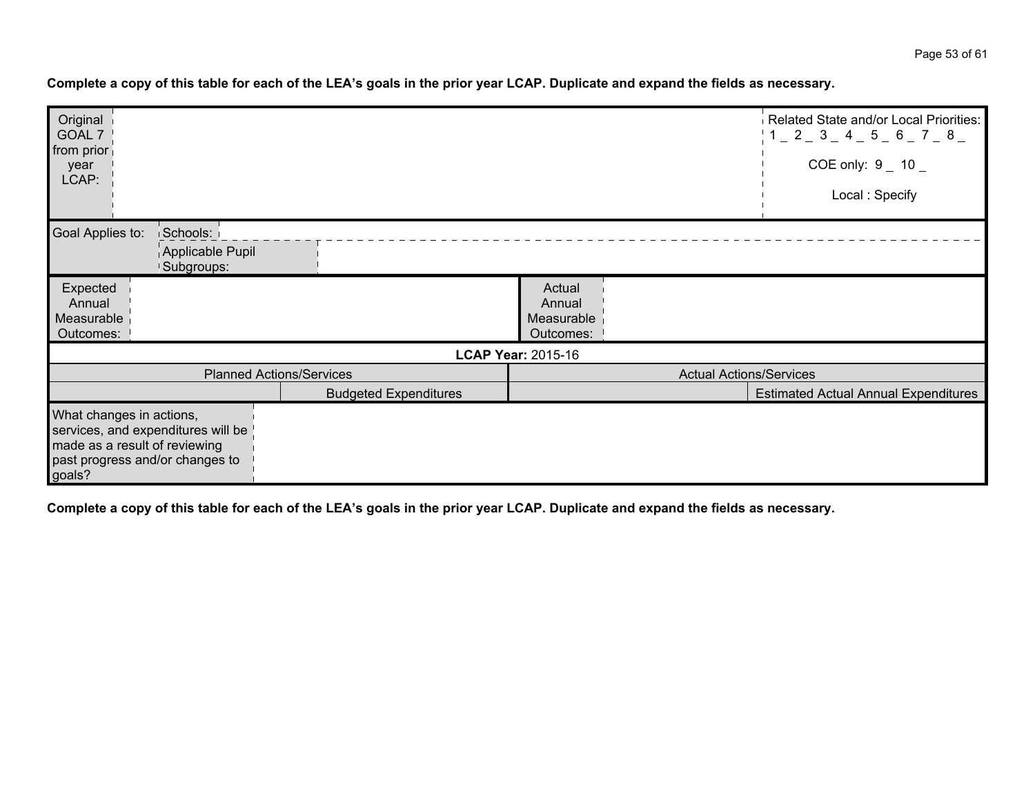| Original<br>GOAL 7       |                                    |                                 |                                | Related State and/or Local Priorities:<br>1 1 2 3 4 5 6 7 8 |
|--------------------------|------------------------------------|---------------------------------|--------------------------------|-------------------------------------------------------------|
| from prior               |                                    |                                 |                                |                                                             |
| year                     |                                    |                                 |                                | COE only: $9 - 10 -$                                        |
| LCAP:                    |                                    |                                 |                                | Local: Specify                                              |
|                          |                                    |                                 |                                |                                                             |
| Goal Applies to:         | Schools:                           |                                 |                                |                                                             |
|                          | Applicable Pupil                   |                                 |                                |                                                             |
|                          | Subgroups:                         |                                 |                                |                                                             |
| Expected                 |                                    |                                 | Actual                         |                                                             |
| Annual                   |                                    |                                 | Annual                         |                                                             |
| Measurable<br>Outcomes:  |                                    |                                 | Measurable<br>Outcomes:        |                                                             |
|                          |                                    |                                 |                                |                                                             |
|                          |                                    |                                 | <b>LCAP Year: 2015-16</b>      |                                                             |
|                          |                                    | <b>Planned Actions/Services</b> | <b>Actual Actions/Services</b> |                                                             |
|                          |                                    | <b>Budgeted Expenditures</b>    |                                | <b>Estimated Actual Annual Expenditures</b>                 |
| What changes in actions, |                                    |                                 |                                |                                                             |
|                          | services, and expenditures will be |                                 |                                |                                                             |
|                          | made as a result of reviewing      |                                 |                                |                                                             |
|                          | past progress and/or changes to    |                                 |                                |                                                             |
| goals?                   |                                    |                                 |                                |                                                             |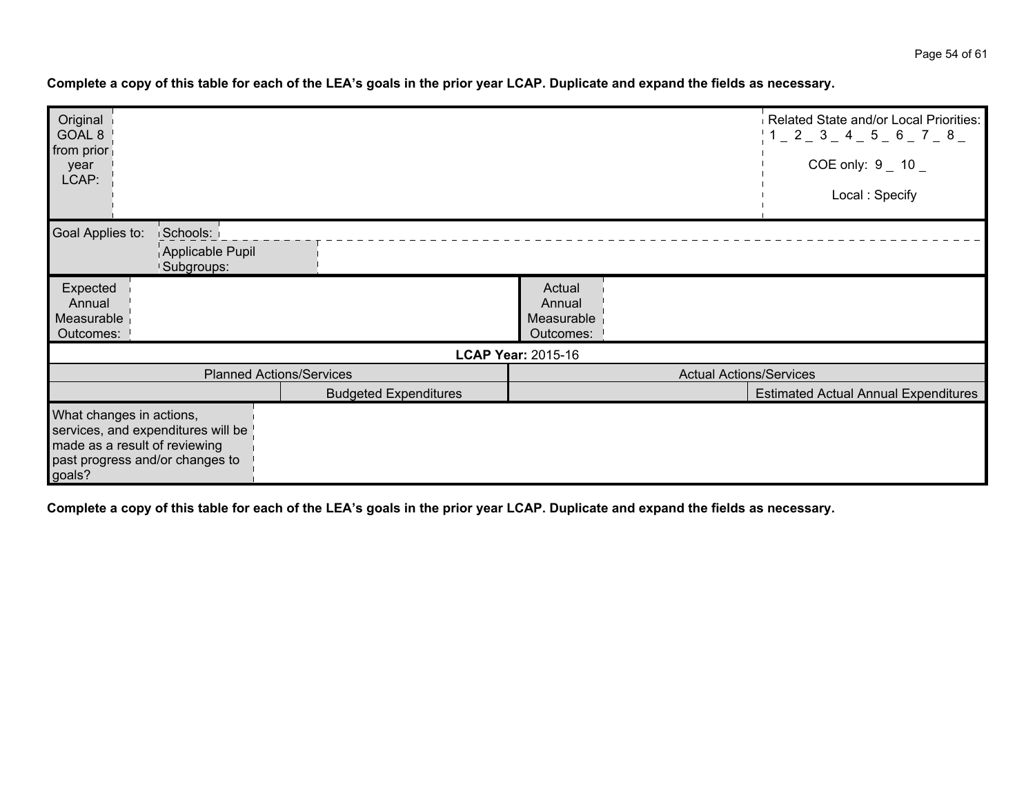| Original<br>GOAL 8<br>from prior<br>year<br>LCAP:                                                                                            |                                 |                                             | Related State and/or Local Priorities:<br>$1 - 2 - 3 - 4 - 5 - 6 - 7 - 8$<br>COE only: $9 - 10 -$<br>Local: Specify |
|----------------------------------------------------------------------------------------------------------------------------------------------|---------------------------------|---------------------------------------------|---------------------------------------------------------------------------------------------------------------------|
| Goal Applies to:<br>Schools:<br>Applicable Pupil<br>Subgroups:                                                                               |                                 |                                             |                                                                                                                     |
| Expected<br>Annual<br>Measurable<br>Outcomes:                                                                                                |                                 | Actual<br>Annual<br>Measurable<br>Outcomes: |                                                                                                                     |
|                                                                                                                                              |                                 | <b>LCAP Year: 2015-16</b>                   |                                                                                                                     |
|                                                                                                                                              | <b>Planned Actions/Services</b> | <b>Actual Actions/Services</b>              |                                                                                                                     |
|                                                                                                                                              | <b>Budgeted Expenditures</b>    |                                             | <b>Estimated Actual Annual Expenditures</b>                                                                         |
| What changes in actions,<br>services, and expenditures will be<br>made as a result of reviewing<br>past progress and/or changes to<br>goals? |                                 |                                             |                                                                                                                     |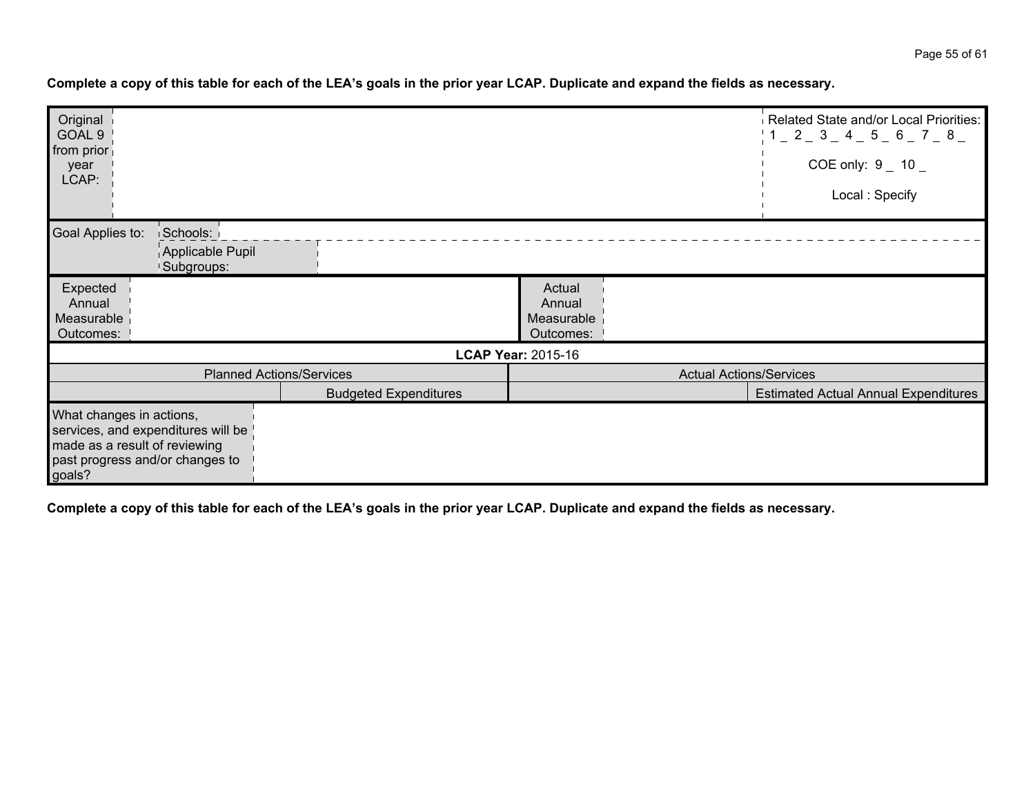| Original<br>GOAL 9<br>from prior<br>year<br>LCAP:                                                                                            |                                 |                                             | Related State and/or Local Priorities:<br>$\frac{1}{2}$ 1 $\_$ 2 $\_$ 3 $\_$ 4 $\_$ 5 $\_$ 6 $\_$ 7 $\_$ 8 $\_$<br>COE only: $9 - 10 -$<br>Local: Specify |
|----------------------------------------------------------------------------------------------------------------------------------------------|---------------------------------|---------------------------------------------|-----------------------------------------------------------------------------------------------------------------------------------------------------------|
| Goal Applies to:<br>Schools:<br>Applicable Pupil<br><b>Subgroups:</b>                                                                        |                                 |                                             |                                                                                                                                                           |
| Expected<br>Annual<br>Measurable<br>Outcomes:                                                                                                |                                 | Actual<br>Annual<br>Measurable<br>Outcomes: |                                                                                                                                                           |
|                                                                                                                                              |                                 | <b>LCAP Year: 2015-16</b>                   |                                                                                                                                                           |
|                                                                                                                                              | <b>Planned Actions/Services</b> | <b>Actual Actions/Services</b>              |                                                                                                                                                           |
|                                                                                                                                              | <b>Budgeted Expenditures</b>    |                                             | <b>Estimated Actual Annual Expenditures</b>                                                                                                               |
| What changes in actions,<br>services, and expenditures will be<br>made as a result of reviewing<br>past progress and/or changes to<br>goals? |                                 |                                             |                                                                                                                                                           |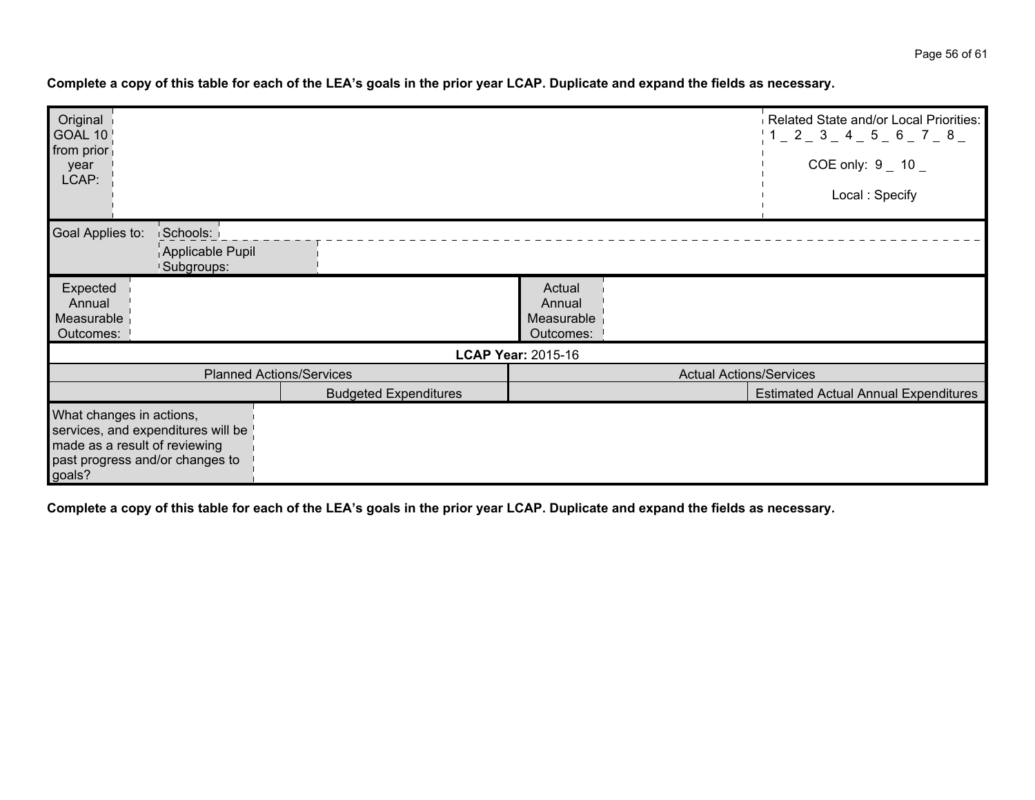| Original<br>GOAL 10<br>from prior<br>year<br>LCAP: |                                                                                                        |                                 |                                             | Related State and/or Local Priorities:<br>1 1 2 3 4 5 6 7 8<br>COE only: $9 - 10 -$<br>Local: Specify |
|----------------------------------------------------|--------------------------------------------------------------------------------------------------------|---------------------------------|---------------------------------------------|-------------------------------------------------------------------------------------------------------|
| Goal Applies to:                                   | Schools:<br>Applicable Pupil<br>Subgroups:                                                             |                                 |                                             |                                                                                                       |
| Expected<br>Annual<br>Measurable<br>Outcomes:      |                                                                                                        |                                 | Actual<br>Annual<br>Measurable<br>Outcomes: |                                                                                                       |
|                                                    |                                                                                                        |                                 | <b>LCAP Year: 2015-16</b>                   |                                                                                                       |
|                                                    |                                                                                                        | <b>Planned Actions/Services</b> | <b>Actual Actions/Services</b>              |                                                                                                       |
|                                                    |                                                                                                        | <b>Budgeted Expenditures</b>    |                                             | <b>Estimated Actual Annual Expenditures</b>                                                           |
| What changes in actions,<br>goals?                 | services, and expenditures will be<br>made as a result of reviewing<br>past progress and/or changes to |                                 |                                             |                                                                                                       |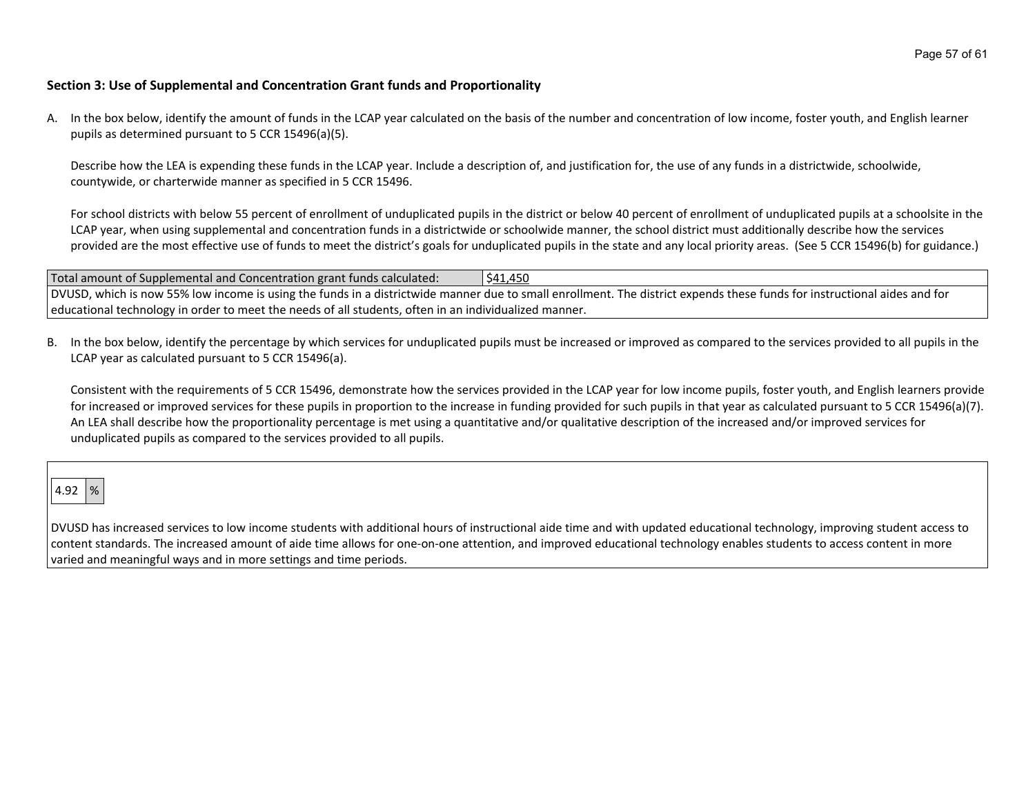#### **Section 3: Use of Supplemental and Concentration Grant funds and Proportionality**

A. In the box below, identify the amount of funds in the LCAP year calculated on the basis of the number and concentration of low income, foster youth, and English learner pupils as determined pursuant to 5 CCR 15496(a)(5).

Describe how the LEA is expending these funds in the LCAP year. Include a description of, and justification for, the use of any funds in a districtwide, schoolwide, countywide, or charterwide manner as specified in 5 CCR 15496.

For school districts with below 55 percent of enrollment of unduplicated pupils in the district or below 40 percent of enrollment of unduplicated pupils at a schoolsite in the LCAP year, when using supplemental and concentration funds in a districtwide or schoolwide manner, the school district must additionally describe how the services provided are the most effective use of funds to meet the district's goals for unduplicated pupils in the state and any local priority areas. (See 5 CCR 15496(b) for guidance.)

| Total amount of Supplemental and Concentration grant funds calculated:                                | \$41,450                                                                                                                                                                 |
|-------------------------------------------------------------------------------------------------------|--------------------------------------------------------------------------------------------------------------------------------------------------------------------------|
|                                                                                                       | DVUSD, which is now 55% low income is using the funds in a districtwide manner due to small enrollment. The district expends these funds for instructional aides and for |
| educational technology in order to meet the needs of all students, often in an individualized manner. |                                                                                                                                                                          |

B. In the box below, identify the percentage by which services for unduplicated pupils must be increased or improved as compared to the services provided to all pupils in the LCAP year as calculated pursuant to 5 CCR 15496(a).

Consistent with the requirements of 5 CCR 15496, demonstrate how the services provided in the LCAP year for low income pupils, foster youth, and English learners provide for increased or improved services for these pupils in proportion to the increase in funding provided for such pupils in that year as calculated pursuant to 5 CCR 15496(a)(7). An LEA shall describe how the proportionality percentage is met using a quantitative and/or qualitative description of the increased and/or improved services for unduplicated pupils as compared to the services provided to all pupils.

# 4.92  $\sqrt{ }$

DVUSD has increased services to low income students with additional hours of instructional aide time and with updated educational technology, improving student access to content standards. The increased amount of aide time allows for one-on-one attention, and improved educational technology enables students to access content in more varied and meaningful ways and in more settings and time periods.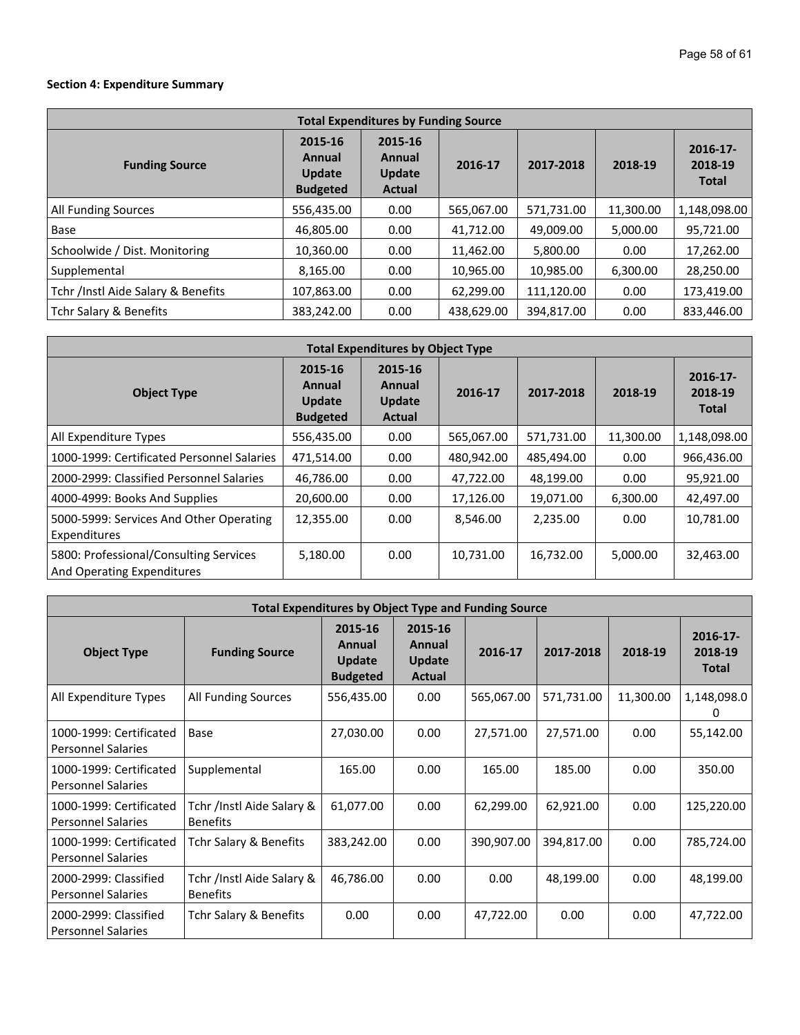## **Section 4: Expenditure Summary**

| <b>Total Expenditures by Funding Source</b> |                                                       |                                                     |            |            |           |                                        |  |  |  |
|---------------------------------------------|-------------------------------------------------------|-----------------------------------------------------|------------|------------|-----------|----------------------------------------|--|--|--|
| <b>Funding Source</b>                       | 2015-16<br>Annual<br><b>Update</b><br><b>Budgeted</b> | 2015-16<br>Annual<br><b>Update</b><br><b>Actual</b> | 2016-17    | 2017-2018  | 2018-19   | $2016 - 17$<br>2018-19<br><b>Total</b> |  |  |  |
| All Funding Sources                         | 556,435.00                                            | 0.00                                                | 565,067.00 | 571,731.00 | 11,300.00 | 1,148,098.00                           |  |  |  |
| Base                                        | 46,805.00                                             | 0.00                                                | 41,712.00  | 49,009.00  | 5,000.00  | 95,721.00                              |  |  |  |
| Schoolwide / Dist. Monitoring               | 10,360.00                                             | 0.00                                                | 11,462.00  | 5,800.00   | 0.00      | 17,262.00                              |  |  |  |
| Supplemental                                | 8,165.00                                              | 0.00                                                | 10,965.00  | 10,985.00  | 6,300.00  | 28,250.00                              |  |  |  |
| Tchr /Instl Aide Salary & Benefits          | 107,863.00                                            | 0.00                                                | 62,299.00  | 111,120.00 | 0.00      | 173,419.00                             |  |  |  |
| Tchr Salary & Benefits                      | 383,242.00                                            | 0.00                                                | 438,629.00 | 394,817.00 | 0.00      | 833,446.00                             |  |  |  |

| <b>Total Expenditures by Object Type</b>                             |                                                       |                                                     |            |            |           |                                        |  |  |  |
|----------------------------------------------------------------------|-------------------------------------------------------|-----------------------------------------------------|------------|------------|-----------|----------------------------------------|--|--|--|
| <b>Object Type</b>                                                   | 2015-16<br>Annual<br><b>Update</b><br><b>Budgeted</b> | 2015-16<br>Annual<br><b>Update</b><br><b>Actual</b> | 2016-17    | 2017-2018  | 2018-19   | $2016 - 17$<br>2018-19<br><b>Total</b> |  |  |  |
| All Expenditure Types                                                | 556,435.00                                            | 0.00                                                | 565,067.00 | 571,731.00 | 11,300.00 | 1,148,098.00                           |  |  |  |
| 1000-1999: Certificated Personnel Salaries                           | 471.514.00                                            | 0.00                                                | 480.942.00 | 485.494.00 | 0.00      | 966,436.00                             |  |  |  |
| 2000-2999: Classified Personnel Salaries                             | 46,786.00                                             | 0.00                                                | 47,722.00  | 48,199.00  | 0.00      | 95,921.00                              |  |  |  |
| 4000-4999: Books And Supplies                                        | 20,600.00                                             | 0.00                                                | 17,126.00  | 19,071.00  | 6,300.00  | 42,497.00                              |  |  |  |
| 5000-5999: Services And Other Operating<br>Expenditures              | 12,355.00                                             | 0.00                                                | 8,546.00   | 2,235.00   | 0.00      | 10,781.00                              |  |  |  |
| 5800: Professional/Consulting Services<br>And Operating Expenditures | 5,180.00                                              | 0.00                                                | 10,731.00  | 16,732.00  | 5,000.00  | 32,463.00                              |  |  |  |

| <b>Total Expenditures by Object Type and Funding Source</b> |                                              |                                                       |                                              |            |            |           |                                        |  |  |
|-------------------------------------------------------------|----------------------------------------------|-------------------------------------------------------|----------------------------------------------|------------|------------|-----------|----------------------------------------|--|--|
| <b>Object Type</b>                                          | <b>Funding Source</b>                        | 2015-16<br>Annual<br><b>Update</b><br><b>Budgeted</b> | 2015-16<br>Annual<br><b>Update</b><br>Actual | 2016-17    | 2017-2018  | 2018-19   | $2016 - 17$<br>2018-19<br><b>Total</b> |  |  |
| All Expenditure Types                                       | All Funding Sources                          | 556,435.00                                            | 0.00                                         | 565,067.00 | 571,731.00 | 11,300.00 | 1,148,098.0<br>0                       |  |  |
| 1000-1999: Certificated<br><b>Personnel Salaries</b>        | Base                                         | 27,030.00                                             | 0.00                                         | 27,571.00  | 27,571.00  | 0.00      | 55,142.00                              |  |  |
| 1000-1999: Certificated<br><b>Personnel Salaries</b>        | Supplemental                                 | 165.00                                                | 0.00                                         | 165.00     | 185.00     | 0.00      | 350.00                                 |  |  |
| 1000-1999: Certificated<br><b>Personnel Salaries</b>        | Tchr /Instl Aide Salary &<br><b>Benefits</b> | 61,077.00                                             | 0.00                                         | 62,299.00  | 62,921.00  | 0.00      | 125,220.00                             |  |  |
| 1000-1999: Certificated<br><b>Personnel Salaries</b>        | Tchr Salary & Benefits                       | 383,242.00                                            | 0.00                                         | 390,907.00 | 394,817.00 | 0.00      | 785,724.00                             |  |  |
| 2000-2999: Classified<br><b>Personnel Salaries</b>          | Tchr /Instl Aide Salary &<br><b>Benefits</b> | 46,786.00                                             | 0.00                                         | 0.00       | 48,199.00  | 0.00      | 48,199.00                              |  |  |
| 2000-2999: Classified<br><b>Personnel Salaries</b>          | Tchr Salary & Benefits                       | 0.00                                                  | 0.00                                         | 47,722.00  | 0.00       | 0.00      | 47,722.00                              |  |  |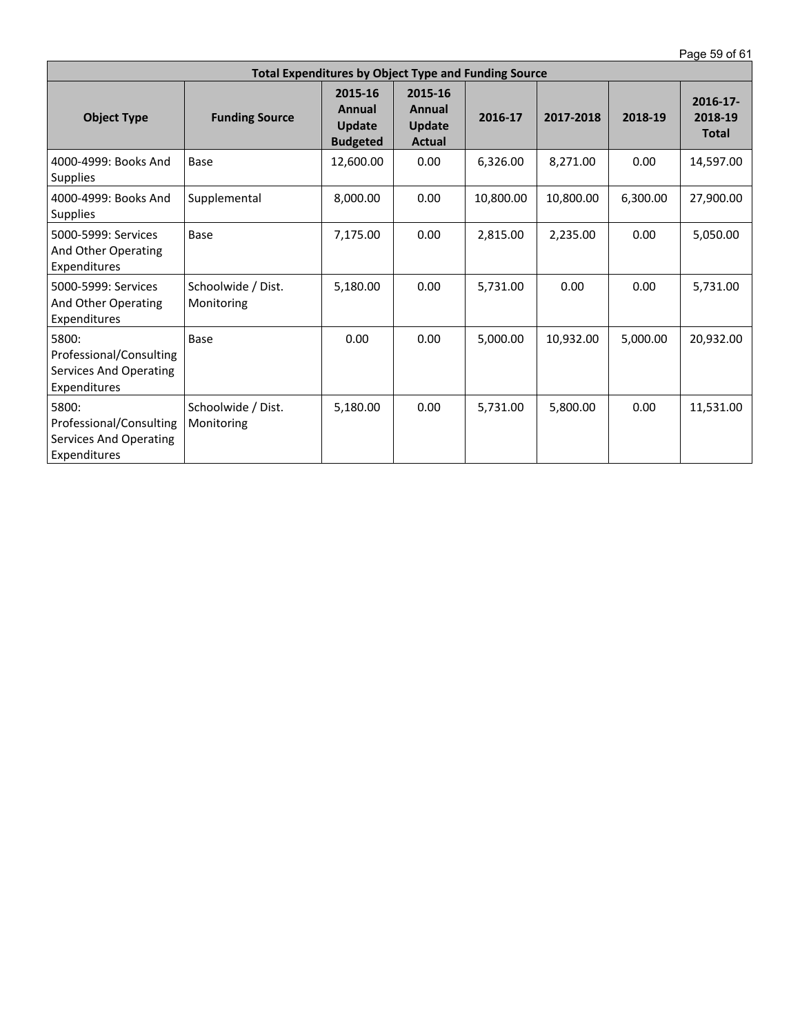Page 59 of 61

| <b>Total Expenditures by Object Type and Funding Source</b>                       |                                  |                                                       |                                              |           |           |          |                                        |  |  |
|-----------------------------------------------------------------------------------|----------------------------------|-------------------------------------------------------|----------------------------------------------|-----------|-----------|----------|----------------------------------------|--|--|
| <b>Object Type</b>                                                                | <b>Funding Source</b>            | 2015-16<br>Annual<br><b>Update</b><br><b>Budgeted</b> | 2015-16<br>Annual<br>Update<br><b>Actual</b> | 2016-17   | 2017-2018 | 2018-19  | $2016 - 17$<br>2018-19<br><b>Total</b> |  |  |
| 4000-4999: Books And<br><b>Supplies</b>                                           | Base                             | 12,600.00                                             | 0.00                                         | 6,326.00  | 8,271.00  | 0.00     | 14,597.00                              |  |  |
| 4000-4999: Books And<br><b>Supplies</b>                                           | Supplemental                     | 8,000.00                                              | 0.00                                         | 10,800.00 | 10,800.00 | 6,300.00 | 27,900.00                              |  |  |
| 5000-5999: Services<br>And Other Operating<br>Expenditures                        | Base                             | 7,175.00                                              | 0.00                                         | 2,815.00  | 2,235.00  | 0.00     | 5,050.00                               |  |  |
| 5000-5999: Services<br>And Other Operating<br>Expenditures                        | Schoolwide / Dist.<br>Monitoring | 5,180.00                                              | 0.00                                         | 5,731.00  | 0.00      | 0.00     | 5,731.00                               |  |  |
| 5800:<br>Professional/Consulting<br><b>Services And Operating</b><br>Expenditures | Base                             | 0.00                                                  | 0.00                                         | 5,000.00  | 10.932.00 | 5,000.00 | 20,932.00                              |  |  |
| 5800:<br>Professional/Consulting<br>Services And Operating<br>Expenditures        | Schoolwide / Dist.<br>Monitoring | 5,180.00                                              | 0.00                                         | 5,731.00  | 5,800.00  | 0.00     | 11,531.00                              |  |  |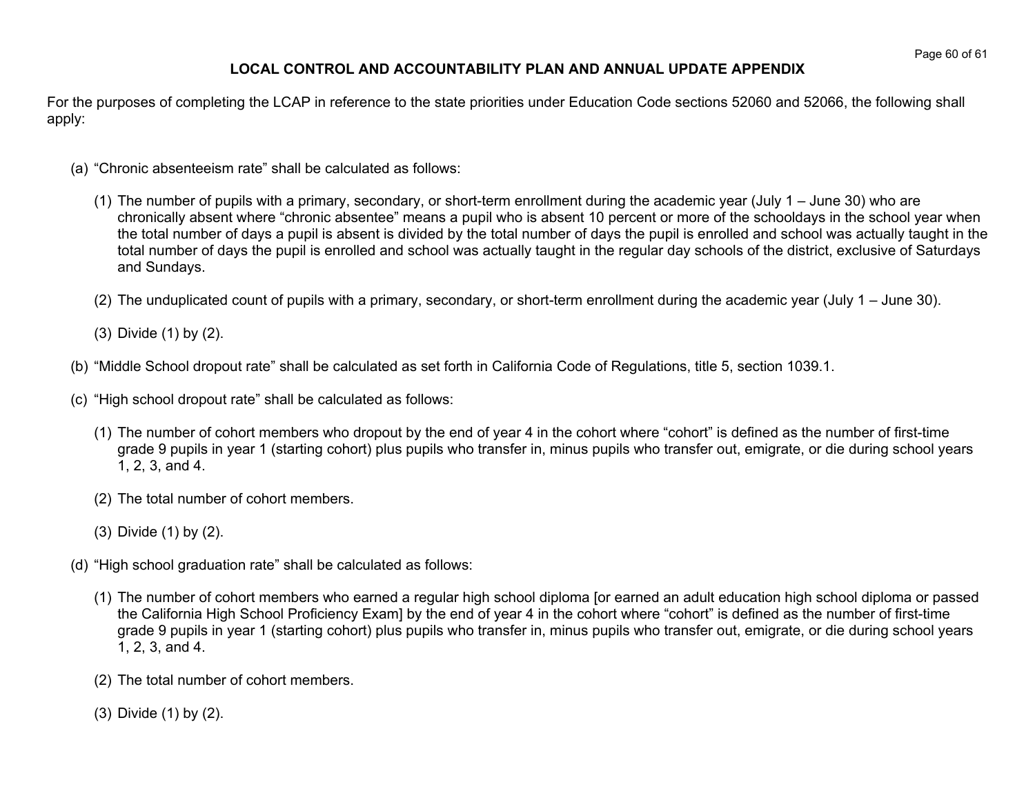## **LOCAL CONTROL AND ACCOUNTABILITY PLAN AND ANNUAL UPDATE APPENDIX**

For the purposes of completing the LCAP in reference to the state priorities under Education Code sections 52060 and 52066, the following shall apply:

- (a) "Chronic absenteeism rate" shall be calculated as follows:
	- (1) The number of pupils with a primary, secondary, or short-term enrollment during the academic year (July 1 June 30) who are chronically absent where "chronic absentee" means a pupil who is absent 10 percent or more of the schooldays in the school year when the total number of days a pupil is absent is divided by the total number of days the pupil is enrolled and school was actually taught in the total number of days the pupil is enrolled and school was actually taught in the regular day schools of the district, exclusive of Saturdays and Sundays.
	- (2) The unduplicated count of pupils with a primary, secondary, or short-term enrollment during the academic year (July 1 June 30).
	- (3) Divide (1) by (2).
- (b) "Middle School dropout rate" shall be calculated as set forth in California Code of Regulations, title 5, section 1039.1.
- (c) "High school dropout rate" shall be calculated as follows:
	- (1) The number of cohort members who dropout by the end of year 4 in the cohort where "cohort" is defined as the number of first-time grade 9 pupils in year 1 (starting cohort) plus pupils who transfer in, minus pupils who transfer out, emigrate, or die during school years 1, 2, 3, and 4.
	- (2) The total number of cohort members.
	- (3) Divide (1) by (2).
- (d) "High school graduation rate" shall be calculated as follows:
	- (1) The number of cohort members who earned a regular high school diploma [or earned an adult education high school diploma or passed the California High School Proficiency Exam] by the end of year 4 in the cohort where "cohort" is defined as the number of first-time grade 9 pupils in year 1 (starting cohort) plus pupils who transfer in, minus pupils who transfer out, emigrate, or die during school years 1, 2, 3, and 4.
	- (2) The total number of cohort members.
	- (3) Divide (1) by (2).